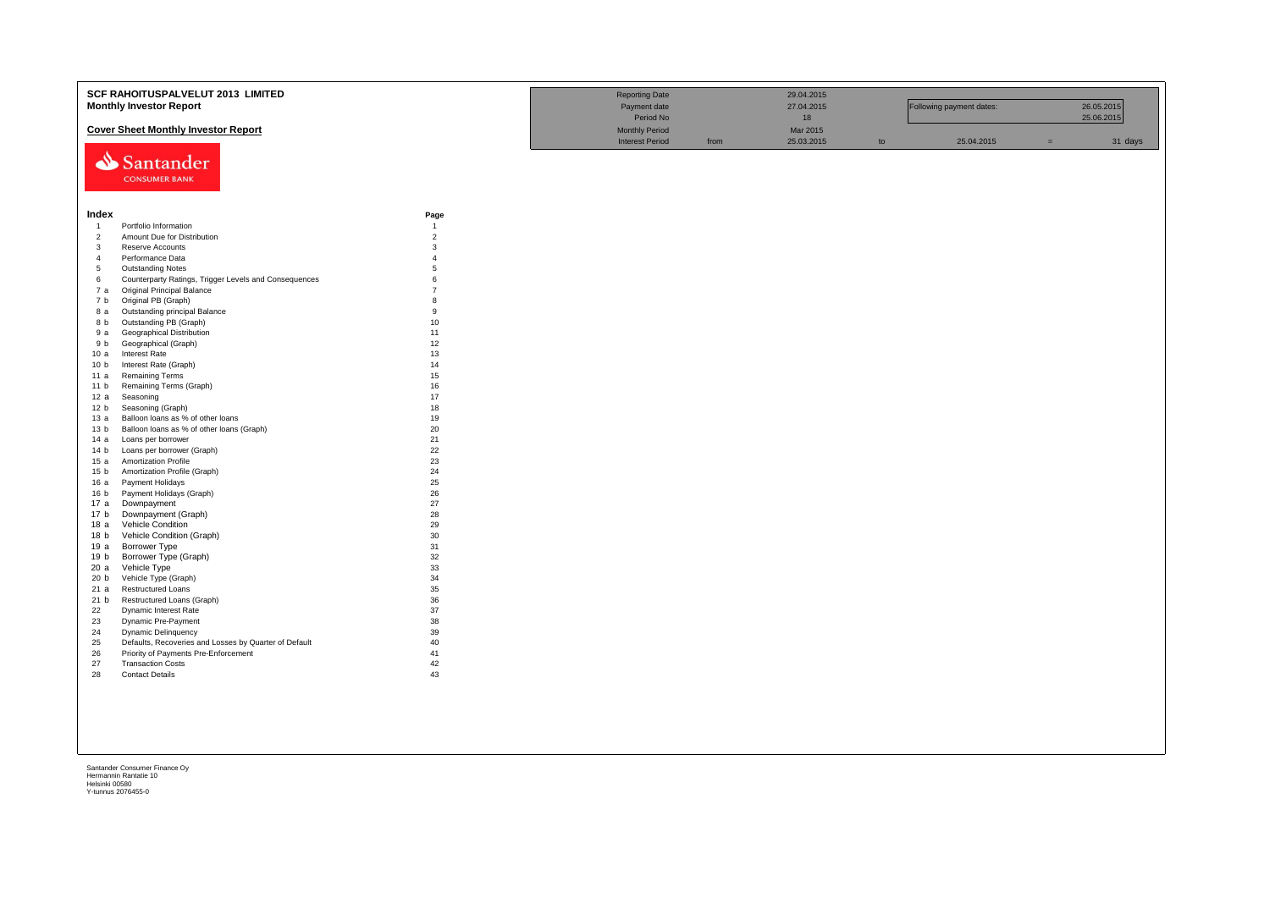|                                  | <b>SCF RAHOITUSPALVELUT 2013 LIMITED</b><br><b>Monthly Investor Report</b>     |                     | <b>Reporting Date</b><br>Payment date<br>Period No |      | 29.04.2015<br>27.04.2015<br>18 |    | Following payment dates: |     | 26.05.2015<br>25.06.2015 |
|----------------------------------|--------------------------------------------------------------------------------|---------------------|----------------------------------------------------|------|--------------------------------|----|--------------------------|-----|--------------------------|
|                                  | <b>Cover Sheet Monthly Investor Report</b>                                     |                     | <b>Monthly Period</b>                              |      | Mar 2015<br>25.03.2015         |    | 25.04.2015               | $=$ |                          |
|                                  | Santander<br><b>CONSUMER BANK</b>                                              |                     | <b>Interest Period</b>                             | from |                                | to |                          |     | 31 days                  |
| Index                            |                                                                                | Page                |                                                    |      |                                |    |                          |     |                          |
| $\overline{1}$                   | Portfolio Information                                                          | $\overline{1}$      |                                                    |      |                                |    |                          |     |                          |
| $\overline{2}$                   | Amount Due for Distribution                                                    | $\overline{2}$      |                                                    |      |                                |    |                          |     |                          |
| $\overline{3}$<br>$\overline{4}$ | Reserve Accounts<br>Performance Data                                           | 3<br>$\overline{4}$ |                                                    |      |                                |    |                          |     |                          |
| 5                                | <b>Outstanding Notes</b>                                                       | 5                   |                                                    |      |                                |    |                          |     |                          |
| 6                                | Counterparty Ratings, Trigger Levels and Consequences                          | $\mathbf{6}$        |                                                    |      |                                |    |                          |     |                          |
| 7 а                              | Original Principal Balance                                                     | $\overline{7}$      |                                                    |      |                                |    |                          |     |                          |
| 7 b                              | Original PB (Graph)                                                            | 8                   |                                                    |      |                                |    |                          |     |                          |
| 8 a                              | Outstanding principal Balance                                                  | $\mathbf{q}$        |                                                    |      |                                |    |                          |     |                          |
| 8 b                              | Outstanding PB (Graph)                                                         | 10                  |                                                    |      |                                |    |                          |     |                          |
| 9а                               | Geographical Distribution                                                      | 11                  |                                                    |      |                                |    |                          |     |                          |
| 9 b                              | Geographical (Graph)                                                           | 12                  |                                                    |      |                                |    |                          |     |                          |
| 10a                              | Interest Rate                                                                  | 13                  |                                                    |      |                                |    |                          |     |                          |
| 10 <sub>b</sub>                  | Interest Rate (Graph)                                                          | 14                  |                                                    |      |                                |    |                          |     |                          |
| 11 a                             | <b>Remaining Terms</b>                                                         | 15                  |                                                    |      |                                |    |                          |     |                          |
| 11 <sub>b</sub>                  | Remaining Terms (Graph)                                                        | 16                  |                                                    |      |                                |    |                          |     |                          |
| 12 a                             | Seasoning                                                                      | 17                  |                                                    |      |                                |    |                          |     |                          |
| 12 <sub>b</sub>                  | Seasoning (Graph)                                                              | 18<br>19            |                                                    |      |                                |    |                          |     |                          |
| 13 а<br>13 <sub>b</sub>          | Balloon loans as % of other loans<br>Balloon loans as % of other loans (Graph) | 20                  |                                                    |      |                                |    |                          |     |                          |
| 14 a                             | Loans per borrower                                                             | 21                  |                                                    |      |                                |    |                          |     |                          |
| 14 <sub>b</sub>                  | Loans per borrower (Graph)                                                     | 22                  |                                                    |      |                                |    |                          |     |                          |
| 15a                              | <b>Amortization Profile</b>                                                    | 23                  |                                                    |      |                                |    |                          |     |                          |
| 15 <sub>b</sub>                  | Amortization Profile (Graph)                                                   | 24                  |                                                    |      |                                |    |                          |     |                          |
| 16a                              | Payment Holidays                                                               | 25                  |                                                    |      |                                |    |                          |     |                          |
| 16 <sub>b</sub>                  | Payment Holidays (Graph)                                                       | 26                  |                                                    |      |                                |    |                          |     |                          |
| 17 a                             | Downpayment                                                                    | 27                  |                                                    |      |                                |    |                          |     |                          |
| 17 <sub>b</sub>                  | Downpayment (Graph)                                                            | 28                  |                                                    |      |                                |    |                          |     |                          |
| 18 a                             | <b>Vehicle Condition</b>                                                       | 29                  |                                                    |      |                                |    |                          |     |                          |
| 18 b                             | Vehicle Condition (Graph)                                                      | 30                  |                                                    |      |                                |    |                          |     |                          |
| 19a                              | Borrower Type                                                                  | 31                  |                                                    |      |                                |    |                          |     |                          |
| 19 <sub>b</sub><br>20 a          | Borrower Type (Graph)                                                          | 32<br>33            |                                                    |      |                                |    |                          |     |                          |
| 20 <sub>b</sub>                  | Vehicle Type<br>Vehicle Type (Graph)                                           | 34                  |                                                    |      |                                |    |                          |     |                          |
| 21 a                             | Restructured Loans                                                             | 35                  |                                                    |      |                                |    |                          |     |                          |
| 21 b                             | Restructured Loans (Graph)                                                     | 36                  |                                                    |      |                                |    |                          |     |                          |
| 22                               | Dynamic Interest Rate                                                          | 37                  |                                                    |      |                                |    |                          |     |                          |
| 23                               | Dynamic Pre-Payment                                                            | 38                  |                                                    |      |                                |    |                          |     |                          |
| 24                               | Dynamic Delinquency                                                            | 39                  |                                                    |      |                                |    |                          |     |                          |
| 25                               | Defaults, Recoveries and Losses by Quarter of Default                          | 40                  |                                                    |      |                                |    |                          |     |                          |
| 26                               | Priority of Payments Pre-Enforcement                                           | 41                  |                                                    |      |                                |    |                          |     |                          |
| 27                               | <b>Transaction Costs</b>                                                       | 42                  |                                                    |      |                                |    |                          |     |                          |
| 28                               | <b>Contact Details</b>                                                         | 43                  |                                                    |      |                                |    |                          |     |                          |
|                                  |                                                                                |                     |                                                    |      |                                |    |                          |     |                          |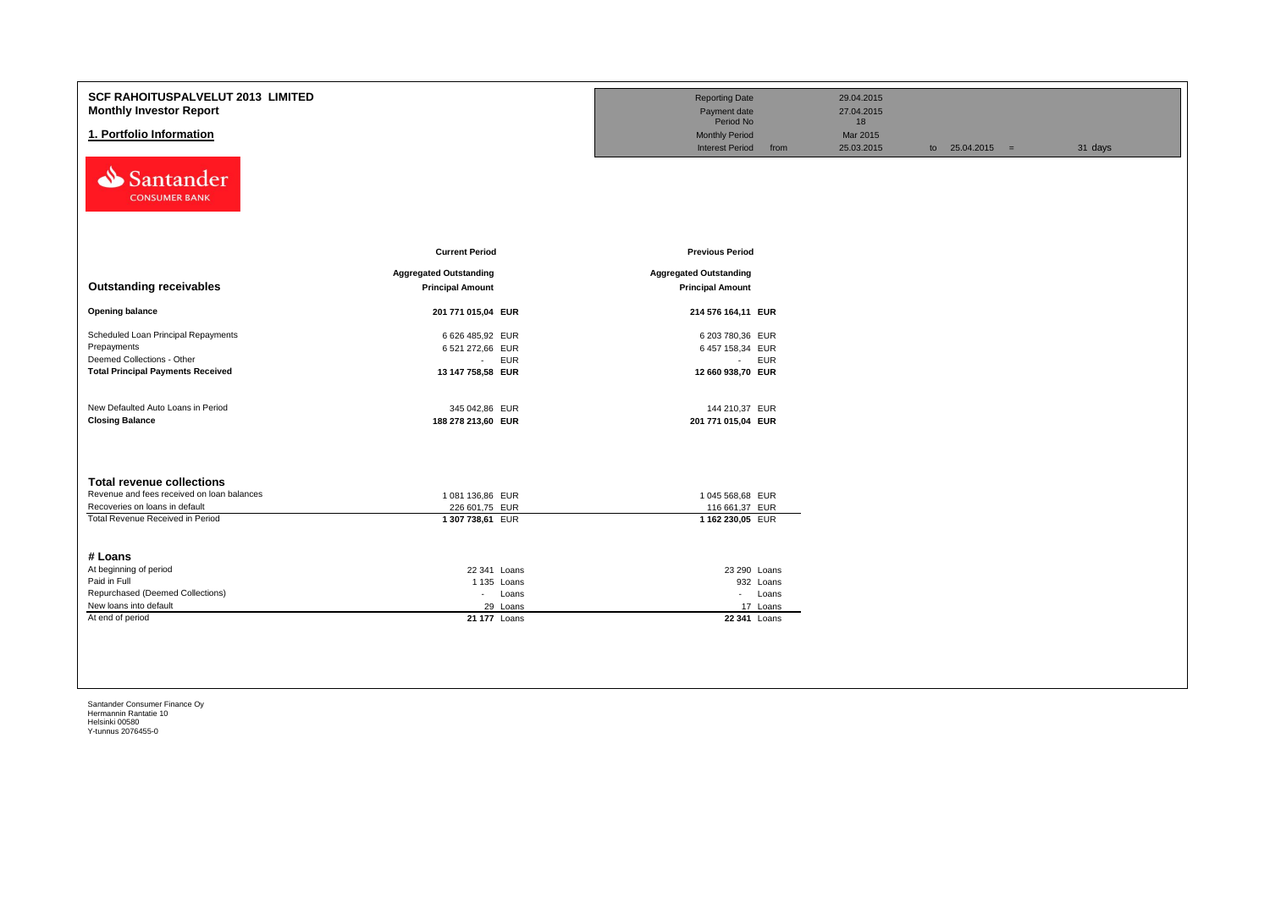| <b>SCF RAHOITUSPALVELUT 2013 LIMITED</b><br><b>Monthly Investor Report</b><br>1. Portfolio Information<br>Santander<br><b>CONSUMER BANK</b>          |                                                                                       | <b>Reporting Date</b><br>Payment date<br>Period No<br><b>Monthly Period</b><br><b>Interest Period</b><br>from | 29.04.2015<br>27.04.2015<br>18<br>Mar 2015<br>25.03.2015 | to $25.04.2015 =$ | 31 days |
|------------------------------------------------------------------------------------------------------------------------------------------------------|---------------------------------------------------------------------------------------|---------------------------------------------------------------------------------------------------------------|----------------------------------------------------------|-------------------|---------|
| <b>Outstanding receivables</b>                                                                                                                       | <b>Current Period</b><br><b>Aggregated Outstanding</b><br><b>Principal Amount</b>     | <b>Previous Period</b><br><b>Aggregated Outstanding</b><br><b>Principal Amount</b>                            |                                                          |                   |         |
| <b>Opening balance</b>                                                                                                                               | 201 771 015,04 EUR                                                                    | 214 576 164,11 EUR                                                                                            |                                                          |                   |         |
| Scheduled Loan Principal Repayments<br>Prepayments<br>Deemed Collections - Other<br><b>Total Principal Payments Received</b>                         | 6 626 485,92 EUR<br>6 521 272,66 EUR<br>$\sim 100$<br><b>EUR</b><br>13 147 758,58 EUR | 6 203 780,36 EUR<br>6 457 158,34 EUR<br>- EUR<br>12 660 938,70 EUR                                            |                                                          |                   |         |
| New Defaulted Auto Loans in Period<br><b>Closing Balance</b>                                                                                         | 345 042,86 EUR<br>188 278 213,60 EUR                                                  | 144 210,37 EUR<br>201 771 015,04 EUR                                                                          |                                                          |                   |         |
| <b>Total revenue collections</b><br>Revenue and fees received on loan balances<br>Recoveries on loans in default<br>Total Revenue Received in Period | 1 081 136,86 EUR<br>226 601,75 EUR<br>1 307 738,61 EUR                                | 1 045 568,68 EUR<br>116 661,37 EUR<br>1 162 230,05 EUR                                                        |                                                          |                   |         |
| # Loans<br>At beginning of period<br>Paid in Full<br>Repurchased (Deemed Collections)<br>New loans into default<br>At end of period                  | 22 341 Loans<br>1 135 Loans<br>- Loans<br>29 Loans<br>21 177 Loans                    | 23 290 Loans<br>932 Loans<br>- Loans<br>17 Loans<br>22 341 Loans                                              |                                                          |                   |         |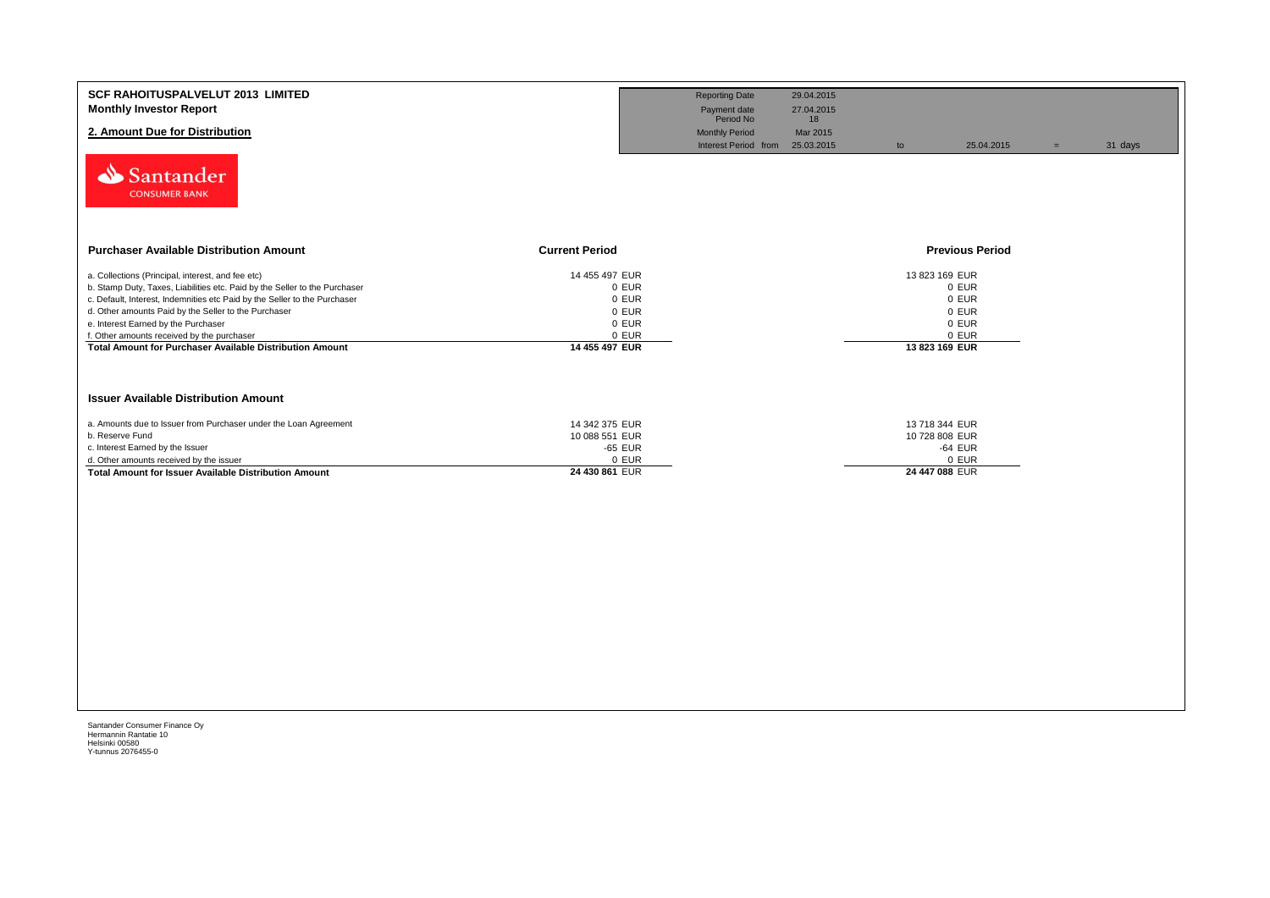| <b>SCF RAHOITUSPALVELUT 2013 LIMITED</b>                                                                                 |                                  | <b>Reporting Date</b>     | 29.04.2015       |                                  |                        |     |         |
|--------------------------------------------------------------------------------------------------------------------------|----------------------------------|---------------------------|------------------|----------------------------------|------------------------|-----|---------|
| <b>Monthly Investor Report</b>                                                                                           |                                  | Payment date<br>Period No | 27.04.2015<br>18 |                                  |                        |     |         |
| 2. Amount Due for Distribution                                                                                           |                                  | <b>Monthly Period</b>     | Mar 2015         |                                  |                        |     |         |
|                                                                                                                          |                                  | Interest Period from      | 25.03.2015       | to                               | 25.04.2015             | $=$ | 31 days |
| Santander<br><b>CONSUMER BANK</b>                                                                                        |                                  |                           |                  |                                  |                        |     |         |
| <b>Purchaser Available Distribution Amount</b><br><b>Current Period</b>                                                  |                                  |                           |                  |                                  | <b>Previous Period</b> |     |         |
| a. Collections (Principal, interest, and fee etc)                                                                        | 14 455 497 EUR                   |                           |                  | 13 823 169 EUR                   |                        |     |         |
| b. Stamp Duty, Taxes, Liabilities etc. Paid by the Seller to the Purchaser                                               | 0 EUR                            |                           |                  | 0 EUR                            |                        |     |         |
| c. Default, Interest, Indemnities etc Paid by the Seller to the Purchaser                                                | 0 EUR                            |                           |                  | 0 EUR                            |                        |     |         |
| d. Other amounts Paid by the Seller to the Purchaser                                                                     | 0 EUR                            |                           |                  | 0 EUR                            |                        |     |         |
| e. Interest Earned by the Purchaser                                                                                      | 0 EUR                            |                           |                  | 0 EUR                            |                        |     |         |
| f. Other amounts received by the purchaser<br>14 455 497 EUR<br>Total Amount for Purchaser Available Distribution Amount | 0 EUR                            |                           |                  | 0 EUR<br>13 823 169 EUR          |                        |     |         |
| <b>Issuer Available Distribution Amount</b>                                                                              |                                  |                           |                  |                                  |                        |     |         |
|                                                                                                                          |                                  |                           |                  |                                  |                        |     |         |
| a. Amounts due to Issuer from Purchaser under the Loan Agreement<br>b. Reserve Fund                                      | 14 342 375 EUR<br>10 088 551 EUR |                           |                  | 13 718 344 EUR<br>10 728 808 EUR |                        |     |         |
| c. Interest Earned by the Issuer                                                                                         | -65 EUR                          |                           |                  | -64 EUR                          |                        |     |         |
| d. Other amounts received by the issuer                                                                                  | 0 EUR                            |                           |                  | 0 EUR                            |                        |     |         |
| 24 430 861 EUR<br><b>Total Amount for Issuer Available Distribution Amount</b>                                           |                                  |                           |                  | 24 447 088 EUR                   |                        |     |         |
|                                                                                                                          |                                  |                           |                  |                                  |                        |     |         |
|                                                                                                                          |                                  |                           |                  |                                  |                        |     |         |
|                                                                                                                          |                                  |                           |                  |                                  |                        |     |         |
|                                                                                                                          |                                  |                           |                  |                                  |                        |     |         |
|                                                                                                                          |                                  |                           |                  |                                  |                        |     |         |
|                                                                                                                          |                                  |                           |                  |                                  |                        |     |         |
|                                                                                                                          |                                  |                           |                  |                                  |                        |     |         |
|                                                                                                                          |                                  |                           |                  |                                  |                        |     |         |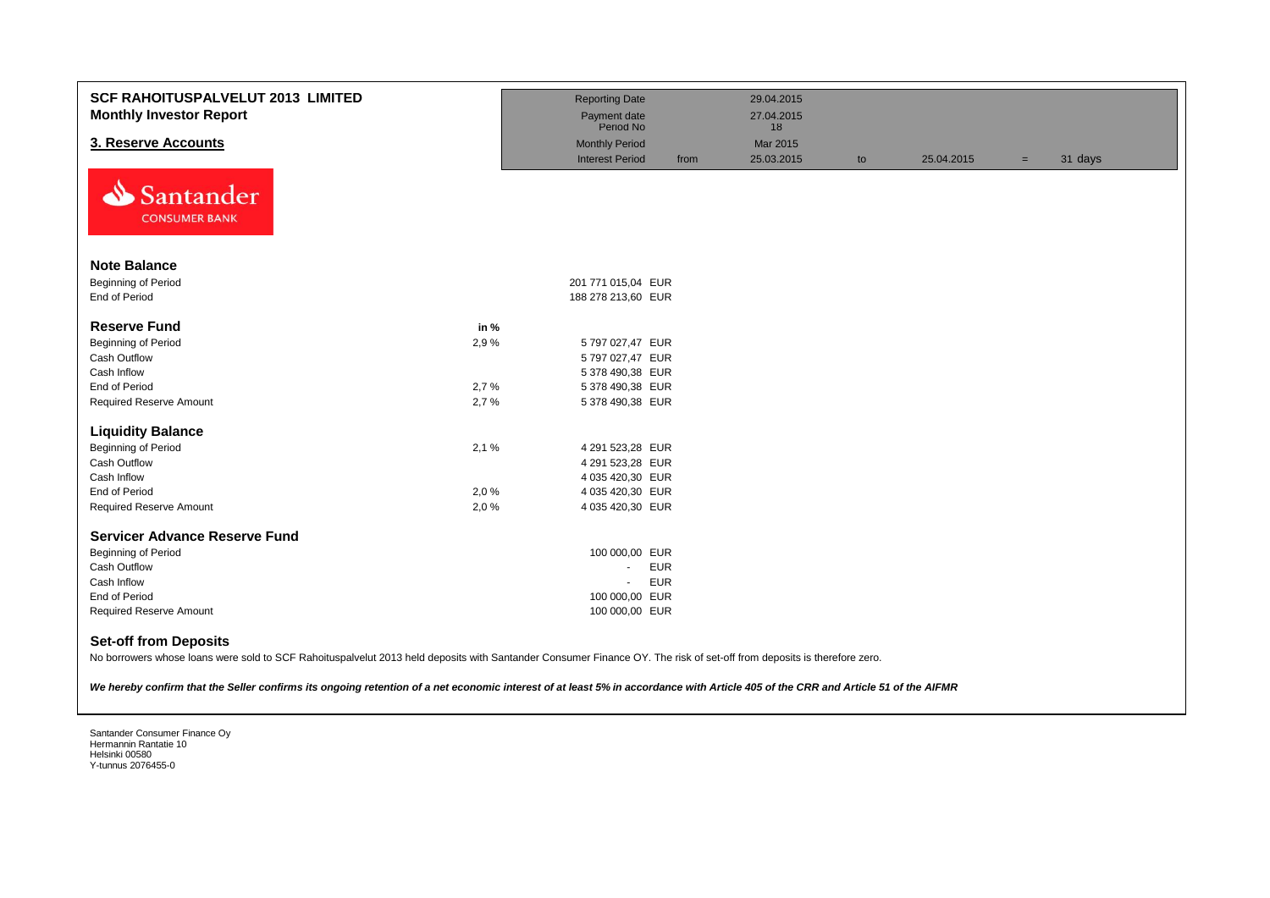| <b>SCF RAHOITUSPALVELUT 2013 LIMITED</b><br><b>Monthly Investor Report</b> |      | <b>Reporting Date</b><br>Payment date |      | 29.04.2015<br>27.04.2015 |    |            |     |         |
|----------------------------------------------------------------------------|------|---------------------------------------|------|--------------------------|----|------------|-----|---------|
|                                                                            |      | Period No                             |      | 18                       |    |            |     |         |
| 3. Reserve Accounts                                                        |      | <b>Monthly Period</b>                 |      | Mar 2015                 |    |            |     |         |
| N<br>Santander<br><b>CONSUMER BANK</b>                                     |      | <b>Interest Period</b>                | from | 25.03.2015               | to | 25.04.2015 | $=$ | 31 days |
| <b>Note Balance</b>                                                        |      |                                       |      |                          |    |            |     |         |
| Beginning of Period                                                        |      | 201 771 015,04 EUR                    |      |                          |    |            |     |         |
| End of Period                                                              |      | 188 278 213,60 EUR                    |      |                          |    |            |     |         |
|                                                                            |      |                                       |      |                          |    |            |     |         |
| <b>Reserve Fund</b>                                                        | in % |                                       |      |                          |    |            |     |         |
| Beginning of Period                                                        | 2,9% | 5 797 027,47 EUR                      |      |                          |    |            |     |         |
| Cash Outflow                                                               |      | 5 797 027,47 EUR                      |      |                          |    |            |     |         |
| Cash Inflow                                                                |      | 5 378 490,38 EUR                      |      |                          |    |            |     |         |
| End of Period                                                              | 2,7% | 5 378 490,38 EUR                      |      |                          |    |            |     |         |
| <b>Required Reserve Amount</b>                                             | 2,7% | 5 378 490,38 EUR                      |      |                          |    |            |     |         |
| <b>Liquidity Balance</b>                                                   |      |                                       |      |                          |    |            |     |         |
| <b>Beginning of Period</b>                                                 | 2,1% | 4 291 523,28 EUR                      |      |                          |    |            |     |         |
| Cash Outflow                                                               |      | 4 291 523,28 EUR                      |      |                          |    |            |     |         |
| Cash Inflow                                                                |      | 4 035 420,30 EUR                      |      |                          |    |            |     |         |
| End of Period                                                              | 2,0% | 4 035 420,30 EUR                      |      |                          |    |            |     |         |
| <b>Required Reserve Amount</b>                                             | 2,0% | 4 035 420,30 EUR                      |      |                          |    |            |     |         |
| <b>Servicer Advance Reserve Fund</b>                                       |      |                                       |      |                          |    |            |     |         |
| <b>Beginning of Period</b>                                                 |      | 100 000,00 EUR                        |      |                          |    |            |     |         |
| Cash Outflow                                                               |      | <b>EUR</b><br>$\sim$                  |      |                          |    |            |     |         |
| Cash Inflow                                                                |      | <b>EUR</b><br>$\sim$                  |      |                          |    |            |     |         |
| End of Period                                                              |      | 100 000,00 EUR                        |      |                          |    |            |     |         |
| <b>Required Reserve Amount</b>                                             |      | 100 000,00 EUR                        |      |                          |    |            |     |         |
| <b>Set-off from Deposits</b>                                               |      |                                       |      |                          |    |            |     |         |

No borrowers whose loans were sold to SCF Rahoituspalvelut 2013 held deposits with Santander Consumer Finance OY. The risk of set-off from deposits is therefore zero.

*We hereby confirm that the Seller confirms its ongoing retention of a net economic interest of at least 5% in accordance with Article 405 of the CRR and Article 51 of the AIFMR*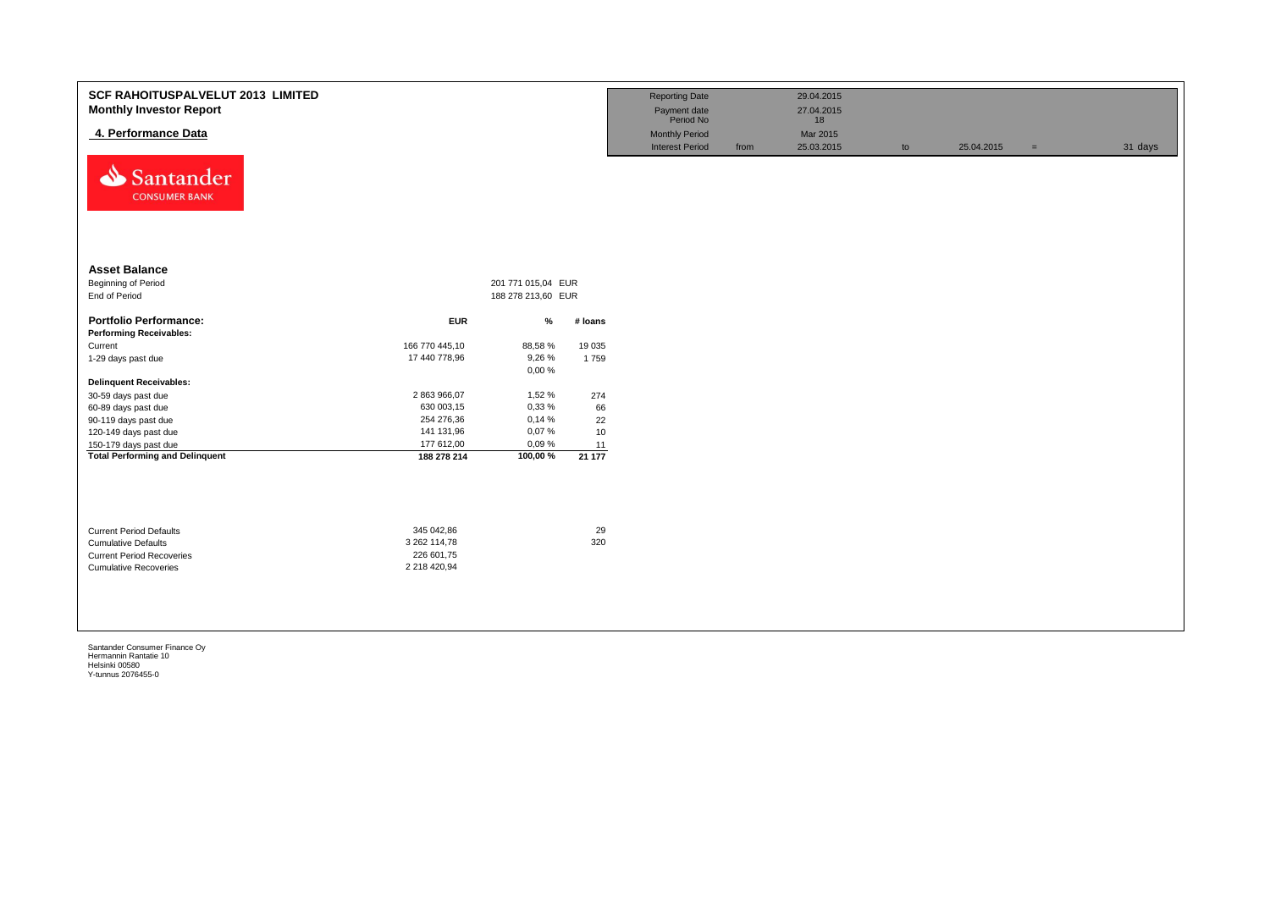| <b>SCF RAHOITUSPALVELUT 2013 LIMITED</b><br><b>Monthly Investor Report</b><br>4. Performance Data<br>مخه<br>Santander<br><b>CONSUMER BANK</b> |                           |                                          |             | <b>Reporting Date</b><br>Payment date<br>Period No<br><b>Monthly Period</b><br><b>Interest Period</b> | from | 29.04.2015<br>27.04.2015<br>18<br>Mar 2015<br>25.03.2015 | to | 25.04.2015 | $=$ | 31 days |
|-----------------------------------------------------------------------------------------------------------------------------------------------|---------------------------|------------------------------------------|-------------|-------------------------------------------------------------------------------------------------------|------|----------------------------------------------------------|----|------------|-----|---------|
| <b>Asset Balance</b><br>Beginning of Period<br>End of Period                                                                                  |                           | 201 771 015,04 EUR<br>188 278 213,60 EUR |             |                                                                                                       |      |                                                          |    |            |     |         |
| <b>Portfolio Performance:</b>                                                                                                                 | <b>EUR</b>                | %                                        | # Ioans     |                                                                                                       |      |                                                          |    |            |     |         |
| <b>Performing Receivables:</b>                                                                                                                |                           |                                          |             |                                                                                                       |      |                                                          |    |            |     |         |
| Current                                                                                                                                       | 166 770 445,10            | 88,58%                                   | 19 0 35     |                                                                                                       |      |                                                          |    |            |     |         |
| 1-29 days past due                                                                                                                            | 17 440 778,96             | 9,26%                                    | 1759        |                                                                                                       |      |                                                          |    |            |     |         |
|                                                                                                                                               |                           | 0,00%                                    |             |                                                                                                       |      |                                                          |    |            |     |         |
| <b>Delinquent Receivables:</b>                                                                                                                |                           |                                          |             |                                                                                                       |      |                                                          |    |            |     |         |
| 30-59 days past due                                                                                                                           | 2 863 966,07              | 1,52 %                                   | 274         |                                                                                                       |      |                                                          |    |            |     |         |
| 60-89 days past due                                                                                                                           | 630 003,15                | 0,33 %                                   | 66          |                                                                                                       |      |                                                          |    |            |     |         |
| 90-119 days past due                                                                                                                          | 254 276,36                | 0,14%                                    | 22          |                                                                                                       |      |                                                          |    |            |     |         |
| 120-149 days past due                                                                                                                         | 141 131,96                | 0,07%                                    | 10          |                                                                                                       |      |                                                          |    |            |     |         |
| 150-179 days past due<br><b>Total Performing and Delinquent</b>                                                                               | 177 612,00<br>188 278 214 | 0,09%<br>100,00%                         | 11<br>21177 |                                                                                                       |      |                                                          |    |            |     |         |
|                                                                                                                                               |                           |                                          |             |                                                                                                       |      |                                                          |    |            |     |         |
| <b>Current Period Defaults</b>                                                                                                                | 345 042,86                |                                          | 29          |                                                                                                       |      |                                                          |    |            |     |         |
| <b>Cumulative Defaults</b>                                                                                                                    | 3 262 114,78              |                                          | 320         |                                                                                                       |      |                                                          |    |            |     |         |
| <b>Current Period Recoveries</b>                                                                                                              | 226 601,75                |                                          |             |                                                                                                       |      |                                                          |    |            |     |         |
| <b>Cumulative Recoveries</b>                                                                                                                  | 2 218 420,94              |                                          |             |                                                                                                       |      |                                                          |    |            |     |         |
|                                                                                                                                               |                           |                                          |             |                                                                                                       |      |                                                          |    |            |     |         |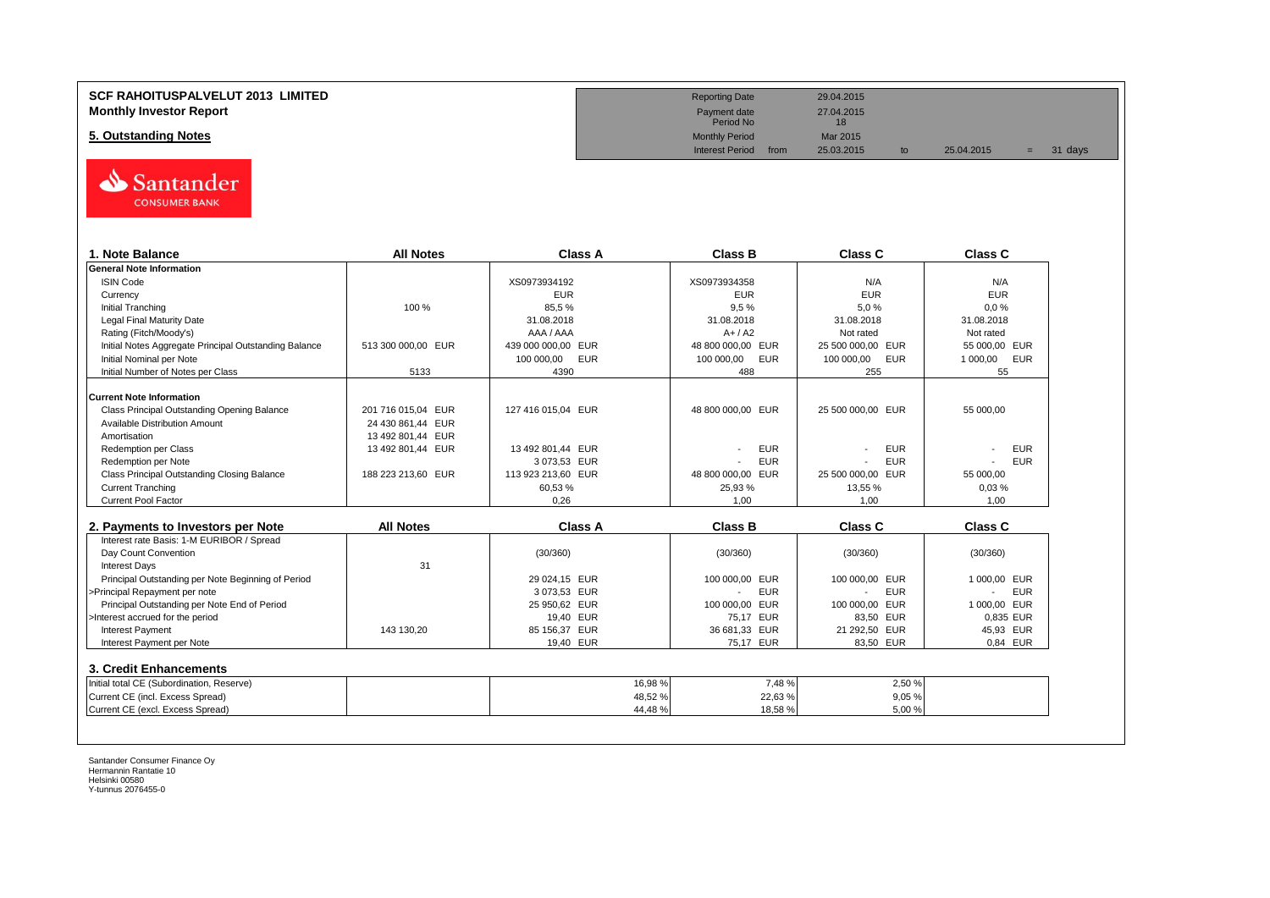## **SCF RAHOITUSPALVELUT 2013 LIMITED Reporting Date** 29.04.2015 **Monthly Investor Report** 27.04.2015<br> **Monthly Investor Report** 27.04.2015<br>
Period No

# **5. Outstanding Notes** Mar 2015<br> **5. Outstanding Notes** Mar 2015<br>
Monthly Period from 25.03.2015



| 1. Note Balance                                       | <b>All Notes</b>   | Class A            | <b>Class B</b>               | <b>Class C</b>                         | Class C                |
|-------------------------------------------------------|--------------------|--------------------|------------------------------|----------------------------------------|------------------------|
| <b>General Note Information</b>                       |                    |                    |                              |                                        |                        |
| <b>ISIN Code</b>                                      |                    | XS0973934192       | XS0973934358                 | N/A                                    | N/A                    |
| Currency                                              |                    | <b>EUR</b>         | <b>EUR</b>                   | <b>EUR</b>                             | <b>EUR</b>             |
| <b>Initial Tranching</b>                              | 100 %              | 85,5%              | 9,5%                         | 5,0%                                   | 0.0%                   |
| Legal Final Maturity Date                             |                    | 31.08.2018         | 31.08.2018                   | 31.08.2018                             | 31.08.2018             |
| Rating (Fitch/Moody's)                                |                    | AAA / AAA          | $A+/A2$                      | Not rated                              | Not rated              |
| Initial Notes Aggregate Principal Outstanding Balance | 513 300 000.00 EUR | 439 000 000,00 EUR | 48 800 000,00 EUR            | 25 500 000,00 EUR                      | 55 000.00 EUR          |
| Initial Nominal per Note                              |                    | 100 000,00<br>EUR  | 100 000,00<br><b>EUR</b>     | 100 000,00<br><b>EUR</b>               | 1 000,00<br><b>EUR</b> |
| Initial Number of Notes per Class                     | 5133               | 4390               | 488                          | 255                                    | 55                     |
| <b>Current Note Information</b>                       |                    |                    |                              |                                        |                        |
| Class Principal Outstanding Opening Balance           | 201 716 015.04 EUR | 127 416 015.04 EUR | 48 800 000.00 EUR            | 25 500 000.00 EUR                      | 55 000.00              |
| <b>Available Distribution Amount</b>                  | 24 430 861,44 EUR  |                    |                              |                                        |                        |
| Amortisation                                          | 13 492 801,44 EUR  |                    |                              |                                        |                        |
| <b>Redemption per Class</b>                           | 13 492 801,44 EUR  | 13 492 801,44 EUR  | <b>EUR</b>                   | <b>EUR</b>                             | <b>EUR</b>             |
| Redemption per Note                                   |                    | 3 073,53 EUR       | <b>EUR</b>                   | <b>EUR</b>                             | <b>EUR</b>             |
| Class Principal Outstanding Closing Balance           | 188 223 213.60 EUR | 113 923 213.60 EUR | 48 800 000.00 EUR            | 25 500 000.00 EUR                      | 55 000.00              |
| <b>Current Tranching</b>                              |                    | 60,53%             | 25,93 %                      | 13.55 %                                | 0.03%                  |
| <b>Current Pool Factor</b>                            |                    | 0.26               | 1.00                         | 1.00                                   | 1.00                   |
|                                                       |                    |                    |                              |                                        |                        |
| 2. Payments to Investors per Note                     | <b>All Notes</b>   | <b>Class A</b>     | <b>Class B</b>               | <b>Class C</b>                         | <b>Class C</b>         |
| Interest rate Basis: 1-M EURIBOR / Spread             |                    |                    |                              |                                        |                        |
| Day Count Convention                                  |                    | (30/360)           | (30/360)                     | (30/360)                               | (30/360)               |
| <b>Interest Days</b>                                  | 31                 |                    |                              |                                        |                        |
| Principal Outstanding per Note Beginning of Period    |                    | 29 024.15 EUR      | 100 000.00 EUR               | 100 000.00 EUR                         | 1 000.00 EUR           |
| >Principal Repayment per note                         |                    | 3 073,53 EUR       | <b>EUR</b><br>$\blacksquare$ | <b>EUR</b><br>$\overline{\phantom{a}}$ | <b>EUR</b>             |
| Principal Outstanding per Note End of Period          |                    | 25 950,62 EUR      | 100 000,00<br><b>EUR</b>     | 100 000,00 EUR                         | 1 000.00 EUR           |
| >Interest accrued for the period                      |                    | 19,40 EUR          | 75,17 EUR                    | 83,50 EUR                              | 0,835 EUR              |
| <b>Interest Payment</b>                               | 143 130,20         | 85 156,37 EUR      | 36 681,33 EUR                | 21 292,50 EUR                          | 45,93 EUR              |
| Interest Payment per Note                             |                    | 19,40 EUR          | 75.17 EUR                    | 83,50 EUR                              | 0.84 EUR               |
| 3. Credit Enhancements                                |                    |                    |                              |                                        |                        |
| Initial total CE (Subordination, Reserve)             |                    | 16,98 %            | 7,48%                        | 2,50 %                                 |                        |
| Current CE (incl. Excess Spread)                      |                    | 48,52%             | 22,63%                       | 9,05%                                  |                        |
| Current CE (excl. Excess Spread)                      |                    | 44,48%             | 18.58%                       | 5.00%                                  |                        |
|                                                       |                    |                    |                              |                                        |                        |

Payment date<br>Period No

Interest Period from 25.03.2015 to 25.04.2015 = 31 days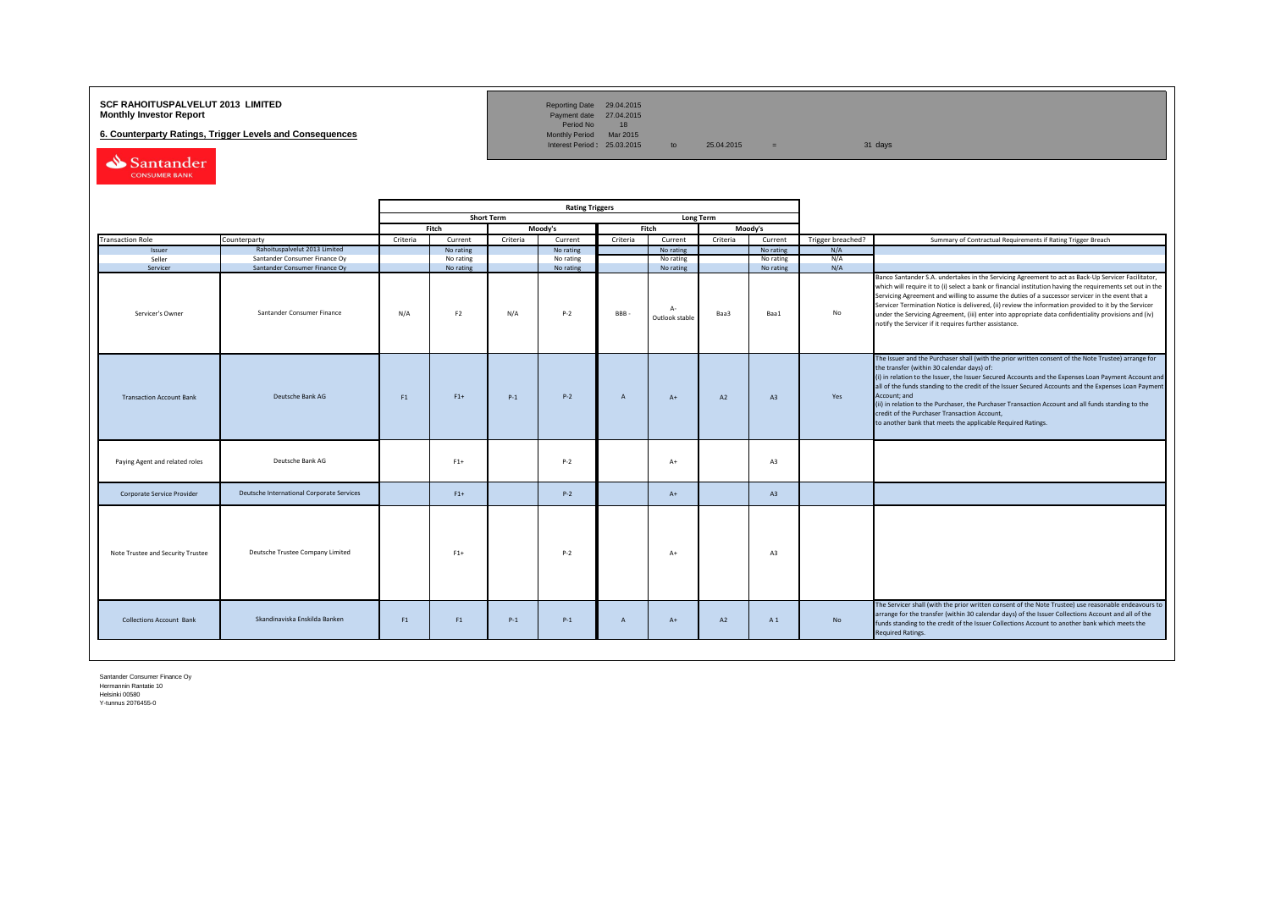## **SCF RAHOITUSPALVELUT 2013 LIMITED**<br>**Monthly Investor Report** Payment date 27.04.2015

**6. Counterparty Ratings, Trigger Levels and Consequences** 

Reporting Date 29.04.2015<br>Payment date 27.04.2015<br>Period No 18<br>Monthly Period Mar 2015

Interest Period:  $25.03.2015$  to  $25.04.2015$  = 31 days

Santander CONSUMER BANK

|                              |                                   |                                                             |          | <b>Rating Triggers</b>      |                   |                    |              |                                      |          |                   |                   |                                                                                                                                                                                                                                                                                                                                                                                                                                                                                                                                                                                                        |
|------------------------------|-----------------------------------|-------------------------------------------------------------|----------|-----------------------------|-------------------|--------------------|--------------|--------------------------------------|----------|-------------------|-------------------|--------------------------------------------------------------------------------------------------------------------------------------------------------------------------------------------------------------------------------------------------------------------------------------------------------------------------------------------------------------------------------------------------------------------------------------------------------------------------------------------------------------------------------------------------------------------------------------------------------|
|                              |                                   |                                                             |          |                             | <b>Short Term</b> |                    |              | <b>Long Term</b>                     |          |                   |                   |                                                                                                                                                                                                                                                                                                                                                                                                                                                                                                                                                                                                        |
|                              |                                   |                                                             |          | Fitch                       |                   | Moody's            |              | Fitch                                |          | Moody's           |                   |                                                                                                                                                                                                                                                                                                                                                                                                                                                                                                                                                                                                        |
|                              | <b>Transaction Role</b>           | Counterparty                                                | Criteria | Current                     | Criteria          | Current            | Criteria     | Current                              | Criteria | Current           | Trigger breached? | Summary of Contractual Requirements if Rating Trigger Breach                                                                                                                                                                                                                                                                                                                                                                                                                                                                                                                                           |
|                              | Issuer                            | Rahoituspalvelut 2013 Limited                               |          | No rating                   |                   | No rating          |              | No rating                            |          | No rating         | N/A               |                                                                                                                                                                                                                                                                                                                                                                                                                                                                                                                                                                                                        |
|                              | Seller                            | Santander Consumer Finance Oy                               |          | No rating                   |                   | No rating          |              | No rating                            |          | No rating         | N/A               |                                                                                                                                                                                                                                                                                                                                                                                                                                                                                                                                                                                                        |
| Servicer<br>Servicer's Owner |                                   | Santander Consumer Finance Oy<br>Santander Consumer Finance | N/A      | No rating<br>F <sub>2</sub> | N/A               | No rating<br>$P-2$ | BBB-         | No rating<br>$A -$<br>Outlook stable | Baa3     | No rating<br>Baa1 | N/A<br>No         | Banco Santander S.A. undertakes in the Servicing Agreement to act as Back-Up Servicer Facilitator,<br>which will require it to (i) select a bank or financial institution having the requirements set out in the<br>Servicing Agreement and willing to assume the duties of a successor servicer in the event that a<br>Servicer Termination Notice is delivered, (ii) review the information provided to it by the Servicer<br>under the Servicing Agreement, (iii) enter into appropriate data confidentiality provisions and (iv)<br>notify the Servicer if it requires further assistance.         |
|                              | <b>Transaction Account Bank</b>   | Deutsche Bank AG                                            | F1       | $F1+$                       | $P-1$             | $P-2$              | A            | $A+$                                 | A2       | A3                | Yes               | The Issuer and the Purchaser shall (with the prior written consent of the Note Trustee) arrange for<br>the transfer (within 30 calendar days) of:<br>(i) in relation to the Issuer, the Issuer Secured Accounts and the Expenses Loan Payment Account and<br>all of the funds standing to the credit of the Issuer Secured Accounts and the Expenses Loan Payment<br>Account; and<br>(ii) in relation to the Purchaser, the Purchaser Transaction Account and all funds standing to the<br>credit of the Purchaser Transaction Account,<br>to another bank that meets the applicable Required Ratings. |
|                              | Paying Agent and related roles    | Deutsche Bank AG                                            |          | $F1+$                       |                   | $P-2$              |              | $A+$                                 |          | A3                |                   |                                                                                                                                                                                                                                                                                                                                                                                                                                                                                                                                                                                                        |
|                              | Corporate Service Provider        | Deutsche International Corporate Services                   |          | $F1+$                       |                   | $P - 2$            |              | $A+$                                 |          | A3                |                   |                                                                                                                                                                                                                                                                                                                                                                                                                                                                                                                                                                                                        |
|                              | Note Trustee and Security Trustee | Deutsche Trustee Company Limited                            |          | $F1+$                       |                   | $P-2$              |              | $A+$                                 |          | A3                |                   |                                                                                                                                                                                                                                                                                                                                                                                                                                                                                                                                                                                                        |
|                              | <b>Collections Account Bank</b>   | Skandinaviska Enskilda Banken                               | F1       | F1                          | $P-1$             | $P-1$              | $\mathsf{A}$ | $A+$                                 | A2       | A1                | No                | The Servicer shall (with the prior written consent of the Note Trustee) use reasonable endeavours to<br>arrange for the transfer (within 30 calendar days) of the Issuer Collections Account and all of the<br>funds standing to the credit of the Issuer Collections Account to another bank which meets the<br><b>Required Ratings.</b>                                                                                                                                                                                                                                                              |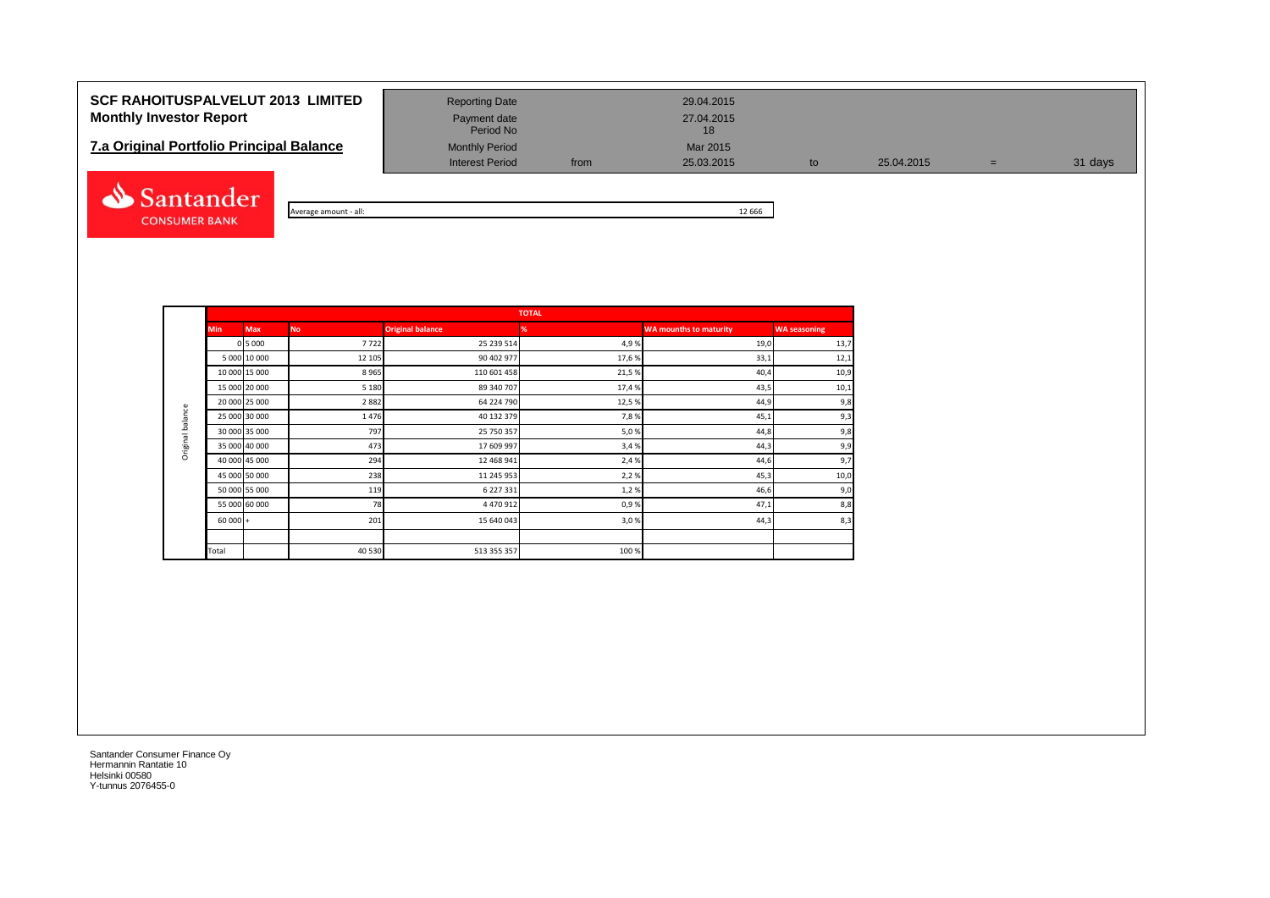# **SCF RAHOITUSPALVELUT 2013 LIMITED** Reporting Date 29.04.2015 **Monthly Investor Report Payment date** Payment date 27.04.2015

# **7.a Original Portfolio Principal Balance** Monthly Period Mar 2015<br>Interest Period Mar 2003.2015



Average amount - all: 12 666

Interest Period from 25.03.2015 to 25.04.2015 = 31 days

|                  |               |              |           |                         | <b>TOTAL</b> |                               |                     |
|------------------|---------------|--------------|-----------|-------------------------|--------------|-------------------------------|---------------------|
|                  | <b>Min</b>    | <b>Max</b>   | <b>No</b> | <b>Original balance</b> | %            | <b>WA mounths to maturity</b> | <b>WA seasoning</b> |
|                  |               | 0 5 0 0 0    | 7722      | 25 239 514              | 4,9%         | 19,0                          | 13,7                |
|                  |               | 5 000 10 000 | 12 105    | 90 402 977              | 17,6%        | 33,1                          | 12,1                |
|                  | 10 000 15 000 |              | 8965      | 110 601 458             | 21,5%        | 40,4                          | 10,9                |
|                  | 15 000 20 000 |              | 5 1 8 0   | 89 340 707              | 17,4 %       | 43,5                          | 10,1                |
|                  | 20 000 25 000 |              | 2882      | 64 224 790              | 12,5%        | 44,9                          | 9,8                 |
| Original balance | 25 000 30 000 |              | 1476      | 40 132 379              | 7,8%         | 45,1                          | 9,3                 |
|                  | 30 000 35 000 |              | 797       | 25 750 357              | 5,0%         | 44,8                          | 9,8                 |
|                  | 35 000 40 000 |              | 473       | 17 609 997              | 3,4 %        | 44,3                          | 9,9                 |
|                  | 40 000 45 000 |              | 294       | 12 468 941              | 2,4 %        | 44,6                          | 9,7                 |
|                  | 45 000 50 000 |              | 238       | 11 245 953              | 2,2%         | 45,3                          | 10,0                |
|                  | 50 000 55 000 |              | 119       | 6 227 331               | 1,2%         | 46,6                          | 9,0                 |
|                  | 55 000 60 000 |              | 78        | 4 470 912               | 0,9%         | 47,1                          | 8,8                 |
|                  | $60000 +$     |              | 201       | 15 640 043              | 3,0%         | 44,3                          | 8,3                 |
|                  |               |              |           |                         |              |                               |                     |
|                  | Total         |              | 40 530    | 513 355 357             | 100 %        |                               |                     |

Period No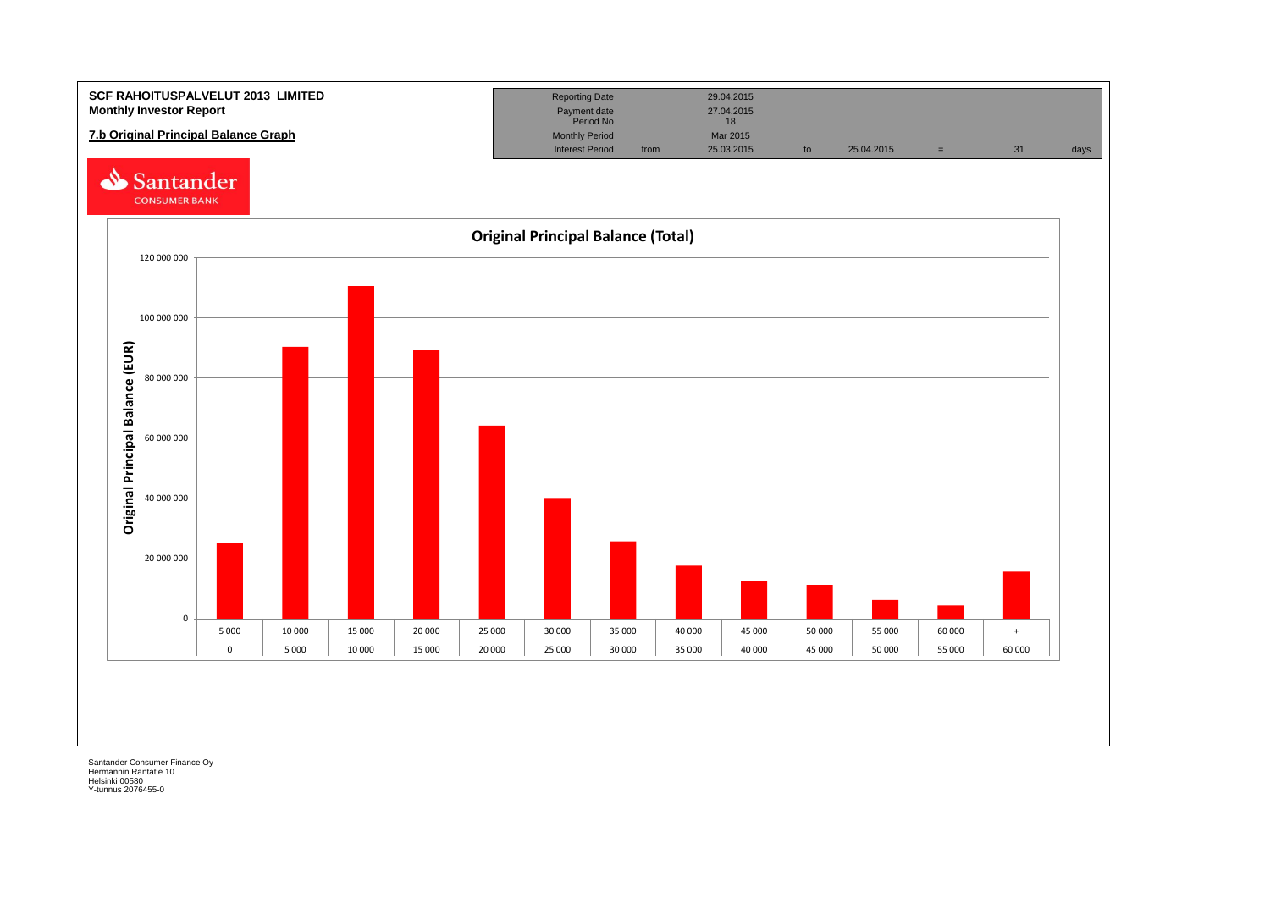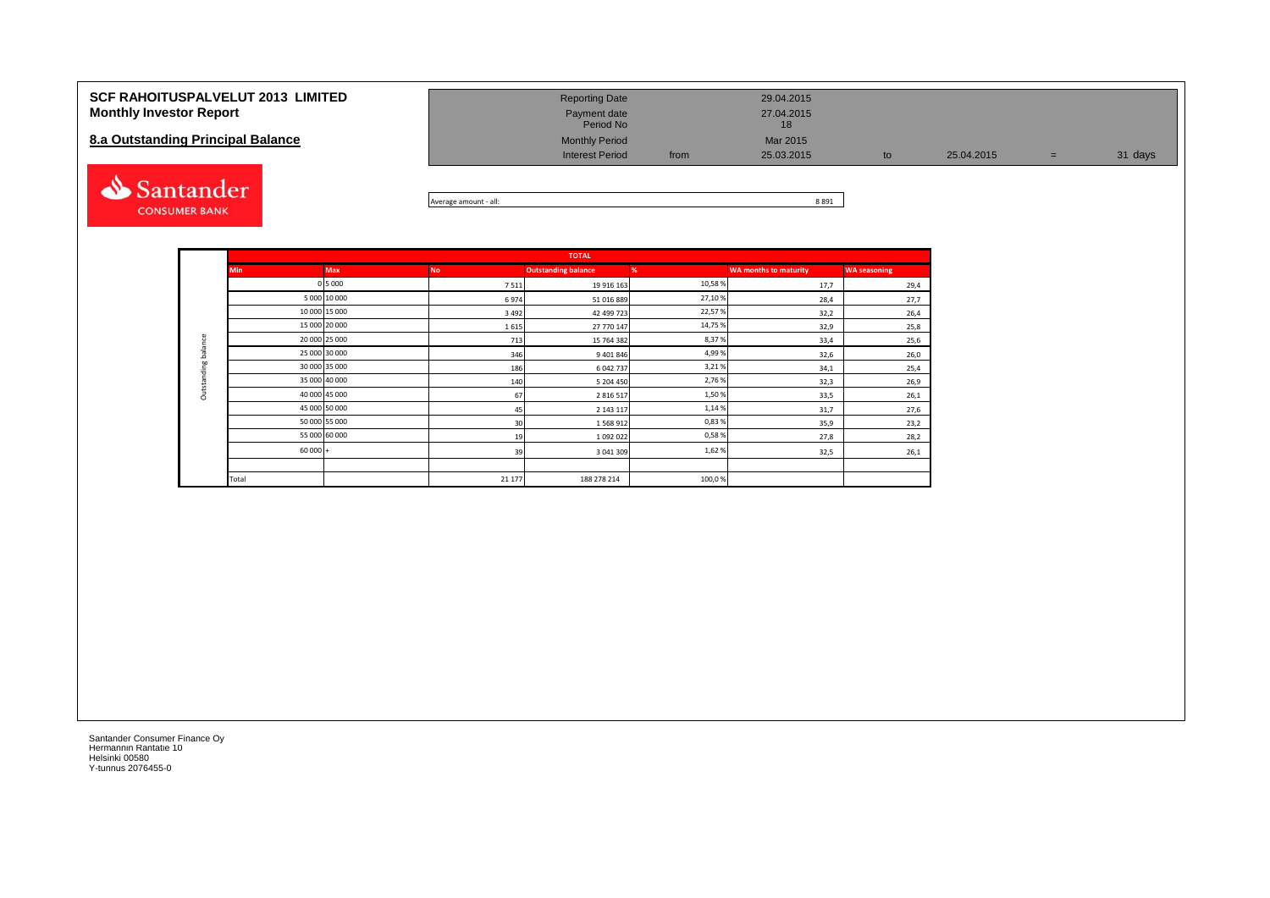| <b>SCF RAHOITUSPALVELUT 2013 LIMITED</b> | <b>Reporting Date</b>     | 29.04.2015         |            |   |         |
|------------------------------------------|---------------------------|--------------------|------------|---|---------|
| <b>Monthly Investor Report</b>           | Payment date<br>Period No | 27.04.2015<br>18   |            |   |         |
| 8.a Outstanding Principal Balance        | <b>Monthly Period</b>     | Mar 2015           |            |   |         |
|                                          | <b>Interest Period</b>    | 25.03.2015<br>from | 25.04.2015 | = | 31 days |
|                                          |                           |                    |            |   |         |



| : - all:       | 8891 |
|----------------|------|
| Average amount | ⊥כסי |

|                     |               |               |           | <b>TOTAL</b>               |        |                              |                     |
|---------------------|---------------|---------------|-----------|----------------------------|--------|------------------------------|---------------------|
|                     | <b>Min</b>    | <b>Max</b>    | <b>No</b> | <b>Outstanding balance</b> | %      | <b>WA months to maturity</b> | <b>WA seasoning</b> |
|                     |               | 0 5 0 0 0     | 7511      | 19 916 163                 | 10,58% | 17,7                         | 29,4                |
|                     |               | 5 000 10 000  | 6974      | 51 016 889                 | 27,10% | 28,4                         | 27,7                |
|                     |               | 10 000 15 000 | 3 4 9 2   | 42 499 723                 | 22,57% | 32,2                         | 26,4                |
|                     |               | 15 000 20 000 | 1615      | 27 770 147                 | 14,75% | 32,9                         | 25,8                |
|                     | 20 000 25 000 |               | 713       | 15 764 382                 | 8,37%  | 33,4                         | 25,6                |
| Outstanding balance | 25 000 30 000 |               | 346       | 9 401 846                  | 4,99%  | 32,6                         | 26,0                |
|                     |               | 30 000 35 000 | 186       | 6 042 737                  | 3,21%  | 34,1                         | 25,4                |
|                     |               | 35 000 40 000 | 140       | 5 204 450                  | 2,76%  | 32,3                         | 26,9                |
|                     |               | 40 000 45 000 | 67        | 2 8 1 6 5 1 7              | 1,50%  | 33,5                         | 26,1                |
|                     | 45 000 50 000 |               | 45        | 2 143 117                  | 1,14%  | 31,7                         | 27,6                |
|                     |               | 50 000 55 000 | 30        | 1568912                    | 0,83%  | 35,9                         | 23,2                |
|                     |               | 55 000 60 000 | 19        | 1092022                    | 0,58%  | 27,8                         | 28,2                |
|                     | $60000 +$     |               | 39        | 3 041 309                  | 1,62%  | 32,5                         | 26,1                |
|                     |               |               |           |                            |        |                              |                     |
|                     | Total         |               | 21 177    | 188 278 214                | 100,0% |                              |                     |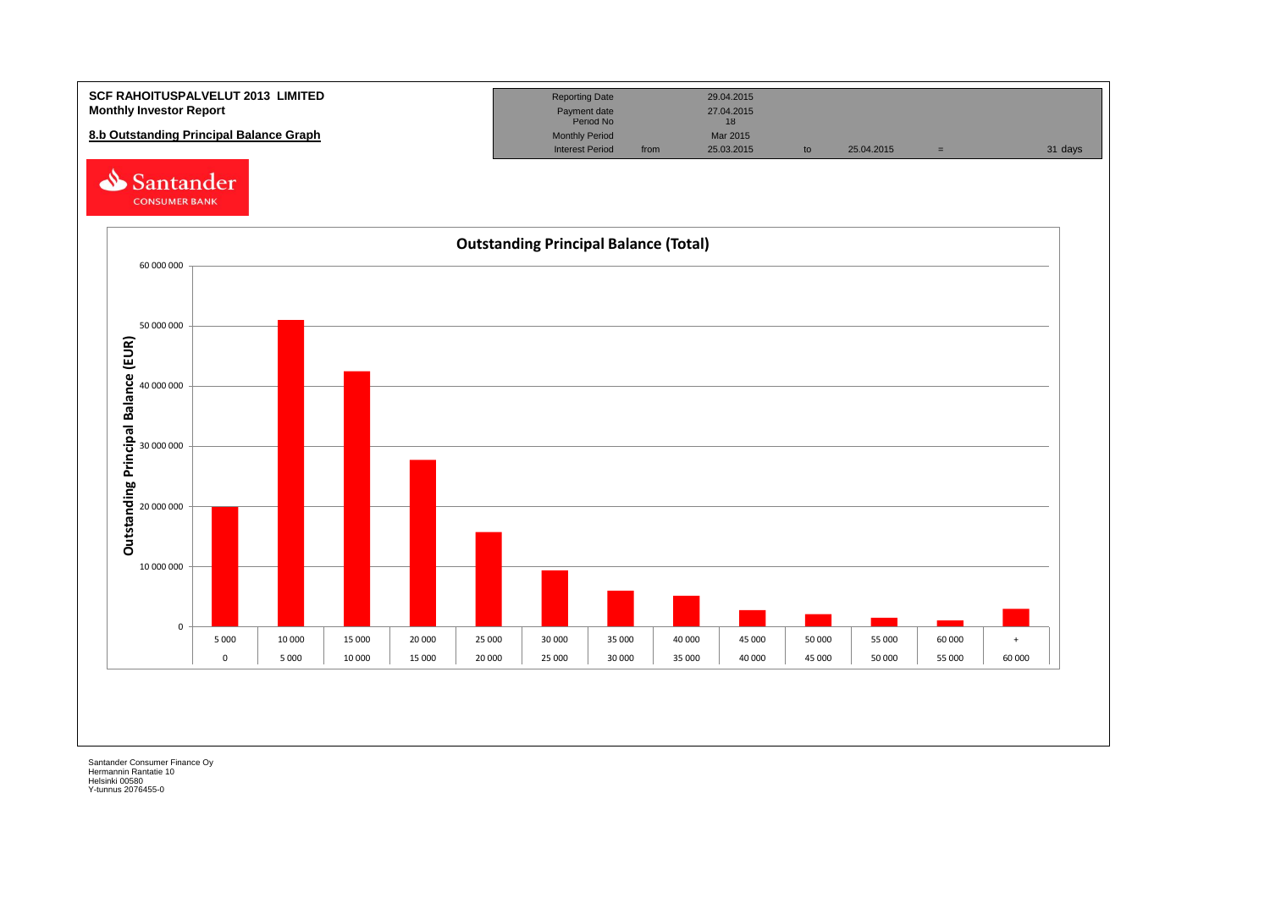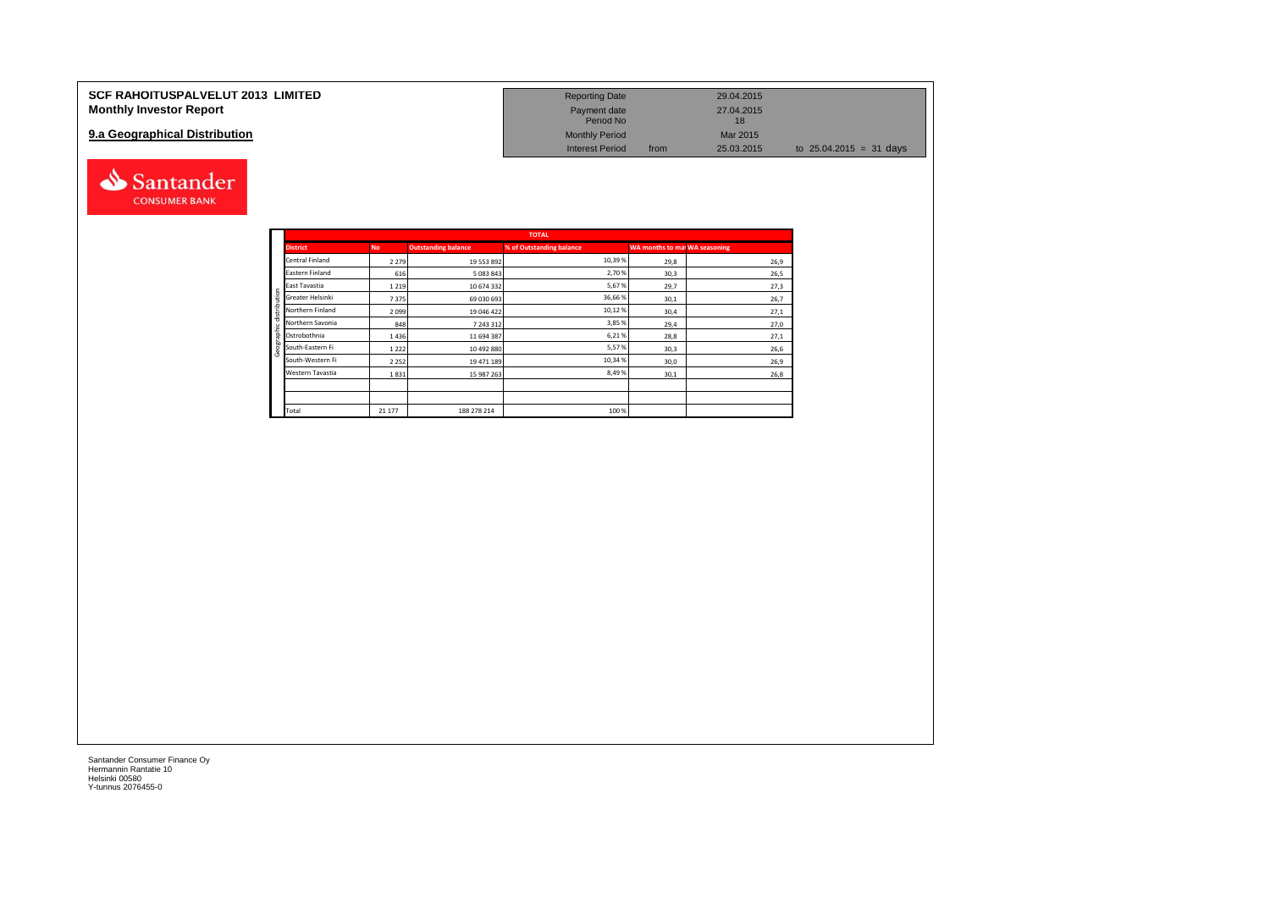| <b>SCF RAHOITUSPALVELUT 2013 LIMITED</b> | <b>Reporting Date</b>     |      | 29.04.2015       |                           |
|------------------------------------------|---------------------------|------|------------------|---------------------------|
| <b>Monthly Investor Report</b>           | Payment date<br>Period No |      | 27.04.2015<br>18 |                           |
| 9.a Geographical Distribution            | <b>Monthly Period</b>     |      | Mar 2015         |                           |
|                                          | <b>Interest Period</b>    | from | 25.03.2015       | to $25.04.2015 = 31$ days |



Santander **CONSUMER BANK**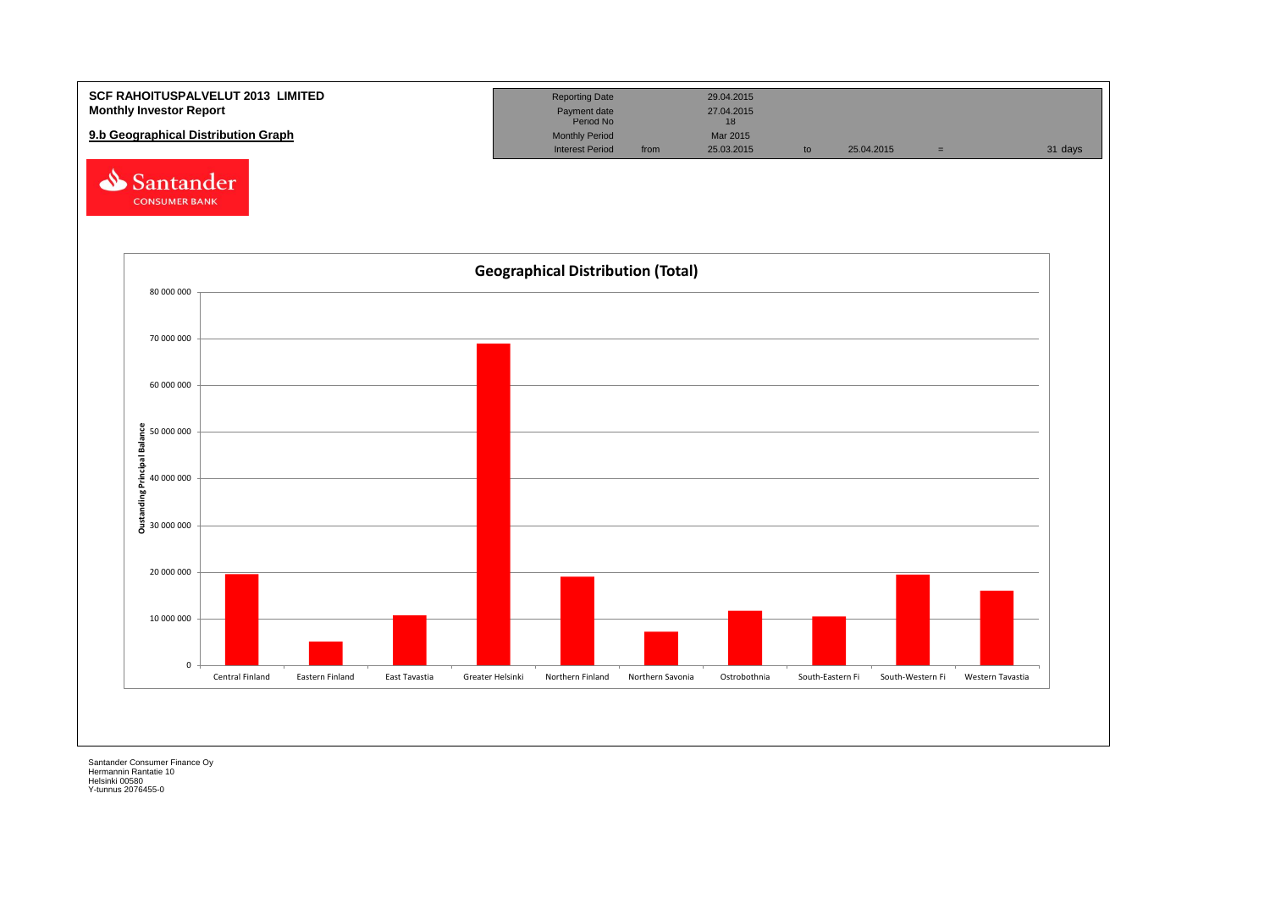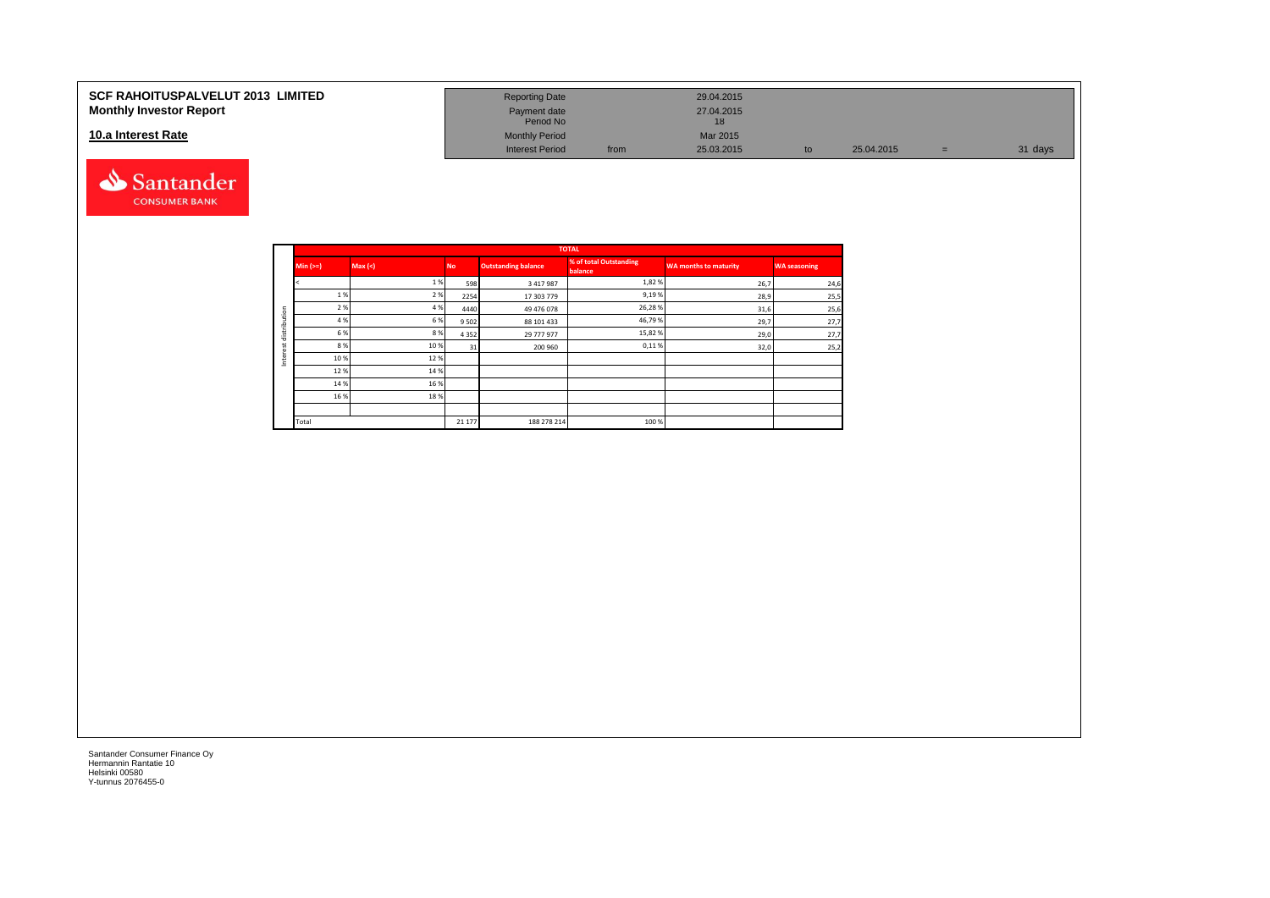#### **10.a Interest Rate**



| SCF RAHOITUSPALVELUT 2013  LIMITED<br><b>Monthly Investor Report</b> | <b>Reporting Date</b><br>Payment date<br>Period No |      | 29.04.2015<br>27.04.2015 |            |   |         |
|----------------------------------------------------------------------|----------------------------------------------------|------|--------------------------|------------|---|---------|
| 10.a Interest Rate                                                   | <b>Monthly Period</b>                              |      | Mar 2015                 |            |   |         |
|                                                                      | <b>Interest Period</b>                             | from | 25.03.2015               | 25.04.2015 | = | 31 days |

|                           |          |        |           |                            | <b>TOTAL</b>                       |                       |                     |
|---------------------------|----------|--------|-----------|----------------------------|------------------------------------|-----------------------|---------------------|
|                           | $Min (=$ | Max(<) | <b>No</b> | <b>Outstanding balance</b> | % of total Outstanding<br>balance, | WA months to maturity | <b>WA seasoning</b> |
|                           |          | 1%     | 598       | 3417987                    | 1,82%                              | 26,7                  | 24,6                |
|                           | 1%       | 2%     | 2254      | 17 303 779                 | 9,19%                              | 28,9                  | 25,5                |
| ution                     | 2 %      | 4 %    | 4440      | 49 476 078                 | 26,28%                             | 31,6                  | 25,6                |
|                           | 4 %      | 6%     | 9 5 0 2   | 88 101 433                 | 46,79%                             | 29,7                  | 27,7                |
| distrib                   | 6 %      | 8%     | 4 3 5 2   | 29 777 977                 | 15,82%                             | 29,0                  | 27,7                |
| سد<br>$\overline{1}$<br>ā | 8 %      | 10%    | 31        | 200 960                    | 0,11%                              | 32,0                  | 25,2                |
| έ<br>Ξ                    | 10%      | 12%    |           |                            |                                    |                       |                     |
|                           | 12%      | 14 %   |           |                            |                                    |                       |                     |
|                           | 14 %     | 16 %   |           |                            |                                    |                       |                     |
|                           | 16 %     | 18%    |           |                            |                                    |                       |                     |
|                           |          |        |           |                            |                                    |                       |                     |
|                           | Total    |        | 21 177    | 188 278 214                | 100 %                              |                       |                     |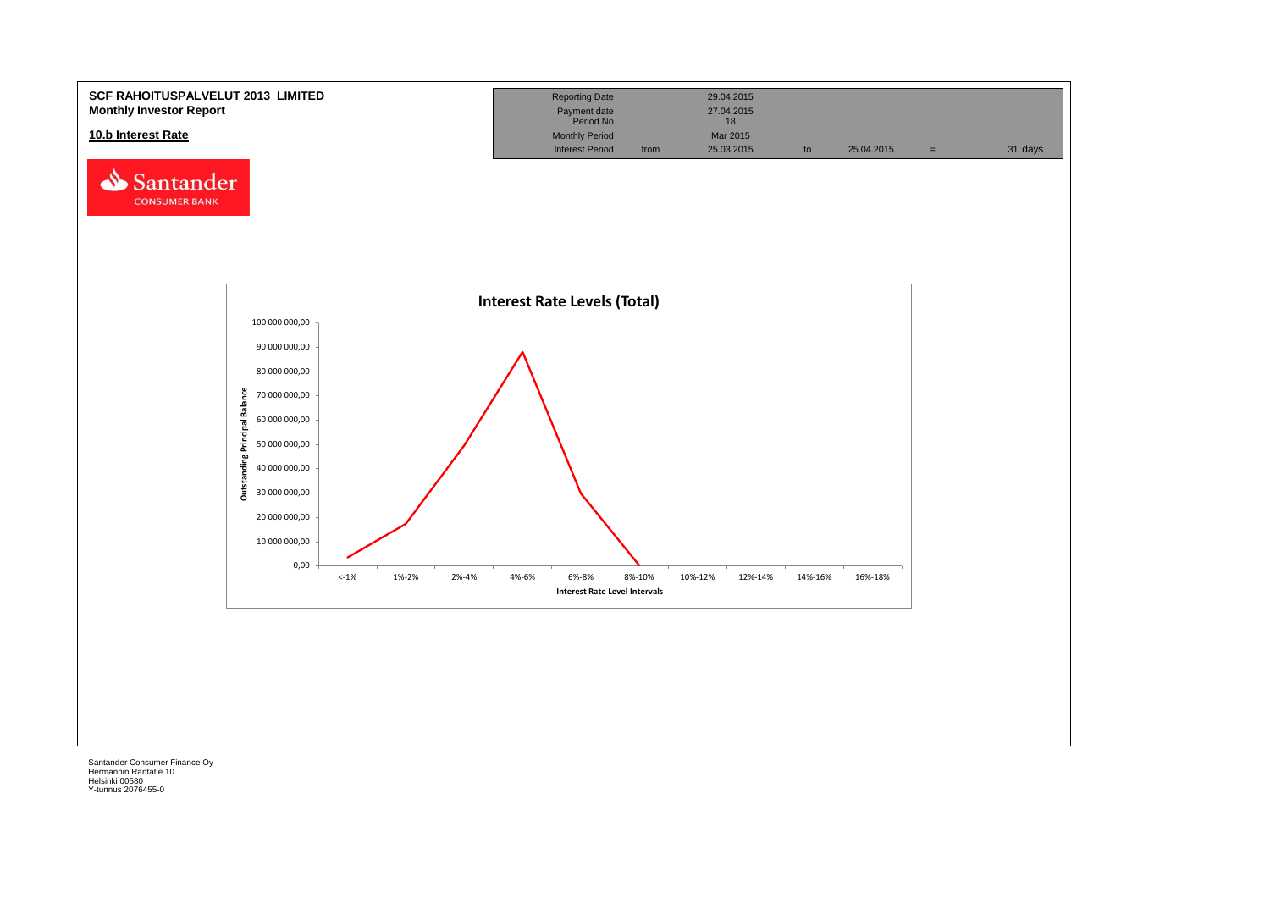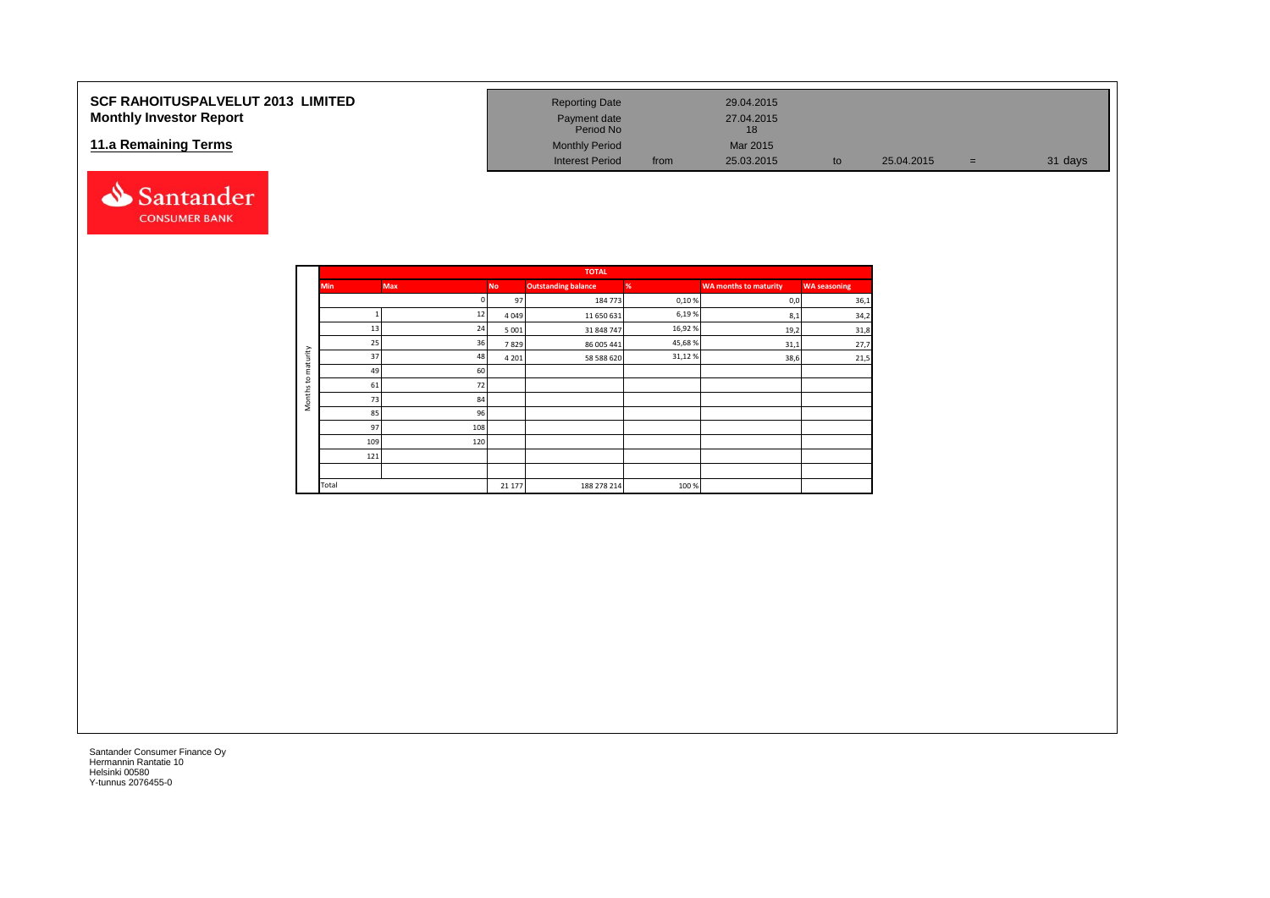#### **SCF RAHOITUSPALVELUT 2013 LIMITED Monthly Investor Report**

#### **11.a Remaining Terms**



| <b>Reporting Date</b>     |      | 29.04.2015       |    |            |   |         |
|---------------------------|------|------------------|----|------------|---|---------|
| Payment date<br>Period No |      | 27.04.2015<br>18 |    |            |   |         |
| <b>Monthly Period</b>     |      | Mar 2015         |    |            |   |         |
| <b>Interest Period</b>    | from | 25.03.2015       | to | 25.04.2015 | = | 31 days |

|                     |            |            |           | <b>TOTAL</b>               |         |                       |                     |
|---------------------|------------|------------|-----------|----------------------------|---------|-----------------------|---------------------|
|                     | <b>Min</b> | <b>Max</b> | <b>No</b> | <b>Outstanding balance</b> | %       | WA months to maturity | <b>WA</b> seasoning |
|                     |            | n          | 97        | 184 773                    | 0,10%   | 0,0                   | 36,1                |
|                     |            | 12         | 4049      | 11 650 631                 | 6,19%   | 8,1                   | 34,2                |
|                     | 13         | 24         | 5 0 0 1   | 31 848 747                 | 16,92%  | 19,2                  | 31,8                |
|                     | 25         | 36         | 7829      | 86 005 441                 | 45,68%  | 31,1                  | 27,7                |
| maturity            | 37         | 48         | 4 2 0 1   | 58 588 620                 | 31,12 % | 38,6                  | 21,5                |
| $\overline{c}$      | 49         | 60         |           |                            |         |                       |                     |
|                     | 61         | 72         |           |                            |         |                       |                     |
| Months <sup>-</sup> | 73         | 84         |           |                            |         |                       |                     |
|                     | 85         | 96         |           |                            |         |                       |                     |
|                     | 97         | 108        |           |                            |         |                       |                     |
|                     | 109        | 120        |           |                            |         |                       |                     |
|                     | 121        |            |           |                            |         |                       |                     |
|                     |            |            |           |                            |         |                       |                     |
|                     | Total      |            | 21 177    | 188 278 214                | 100%    |                       |                     |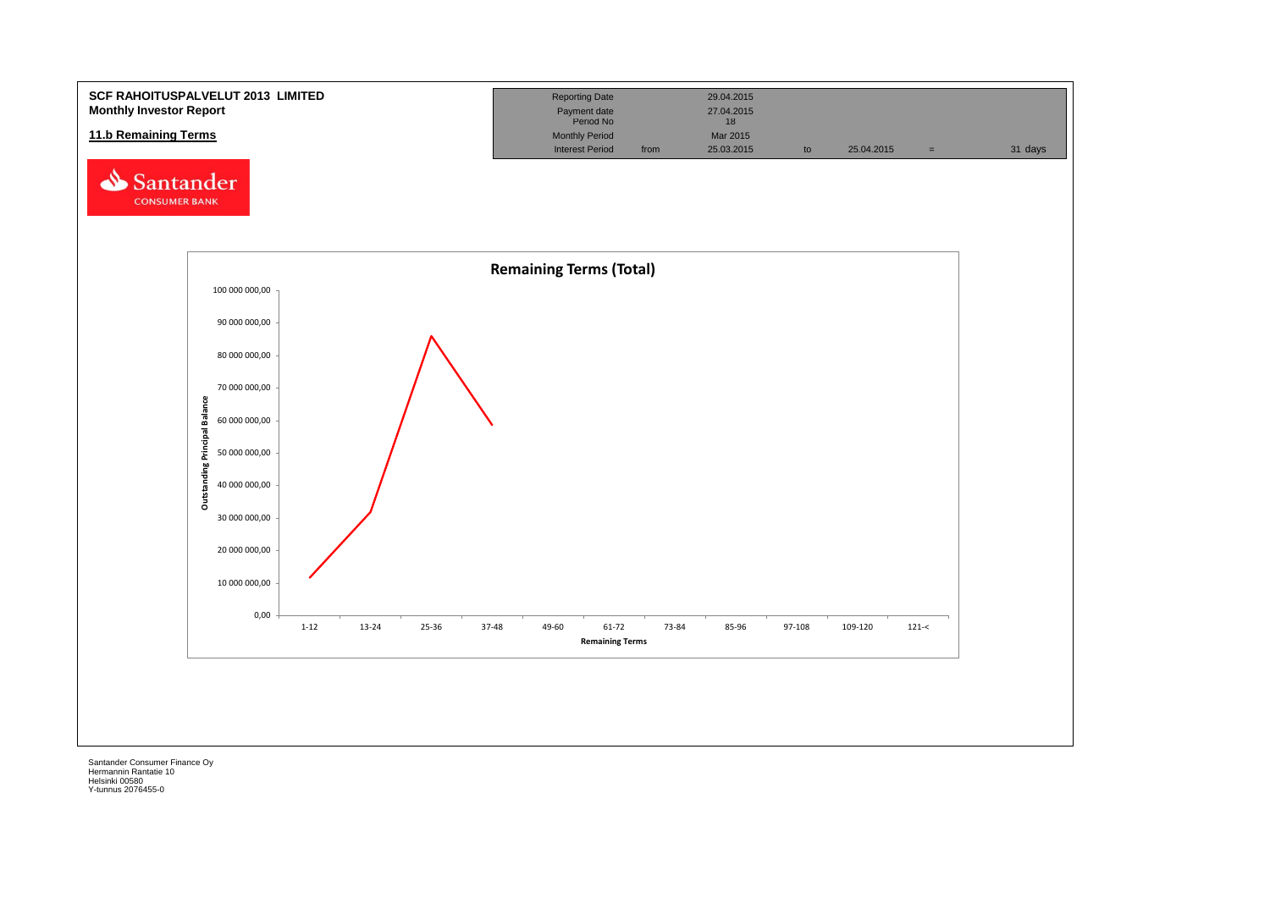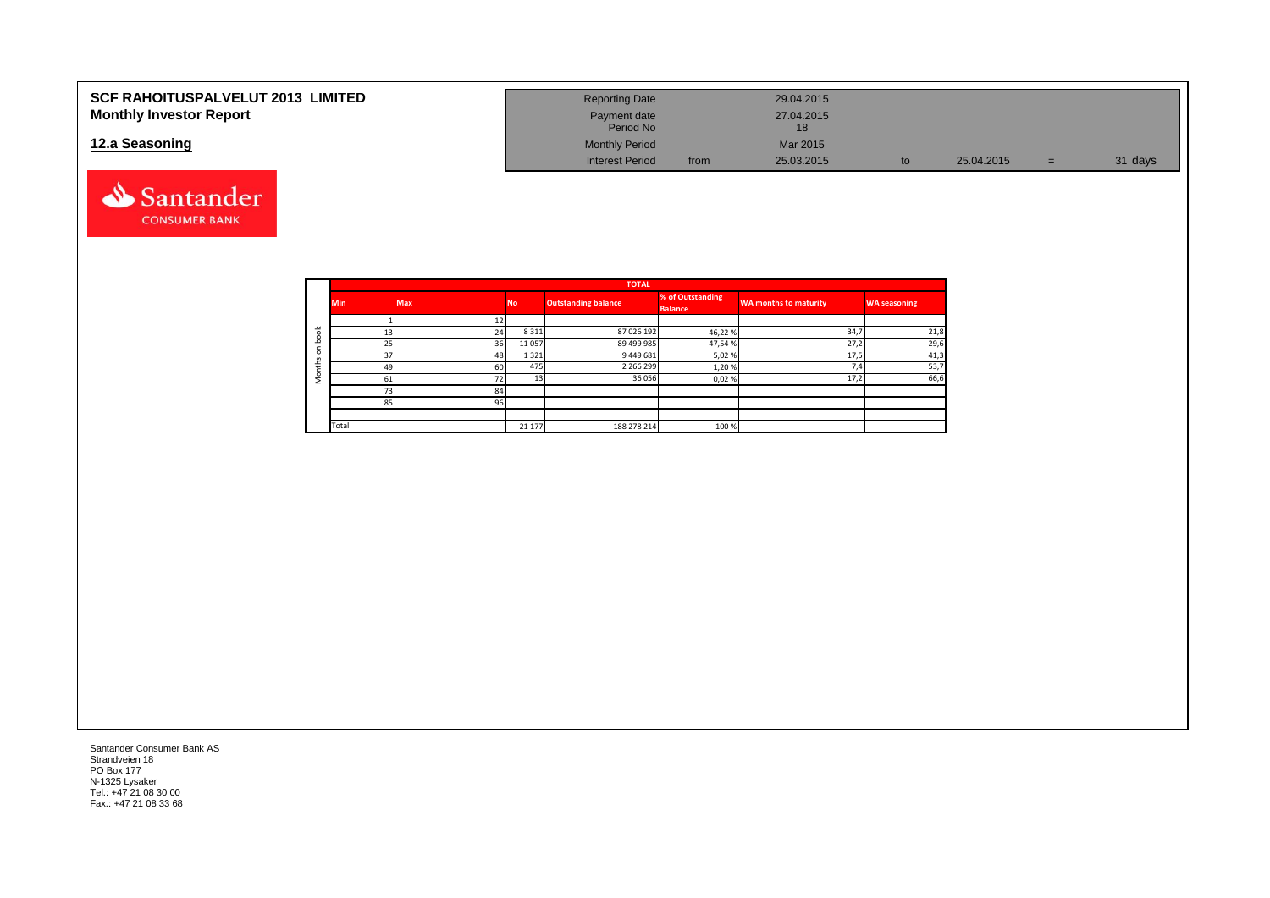| <b>SCF RAHOITUSPALVELUT 2013 LIMITED</b> | <b>Reporting Date</b>     |      | 29.04.2015 |            |     |         |
|------------------------------------------|---------------------------|------|------------|------------|-----|---------|
| <b>Monthly Investor Report</b>           | Payment date<br>Period No |      | 27.04.2015 |            |     |         |
| 12.a Seasoning                           | <b>Monthly Period</b>     |      | Mar 2015   |            |     |         |
|                                          | <b>Interest Period</b>    | from | 25.03.2015 | 25.04.2015 | $=$ | 31 days |



Santander Consumer Bank AS Strandveien 18 PO Box 177 N-1325 Lysaker Tel.: +47 21 08 30 00 Fax.: +47 21 08 33 68

Santander **CONSUMER BANK**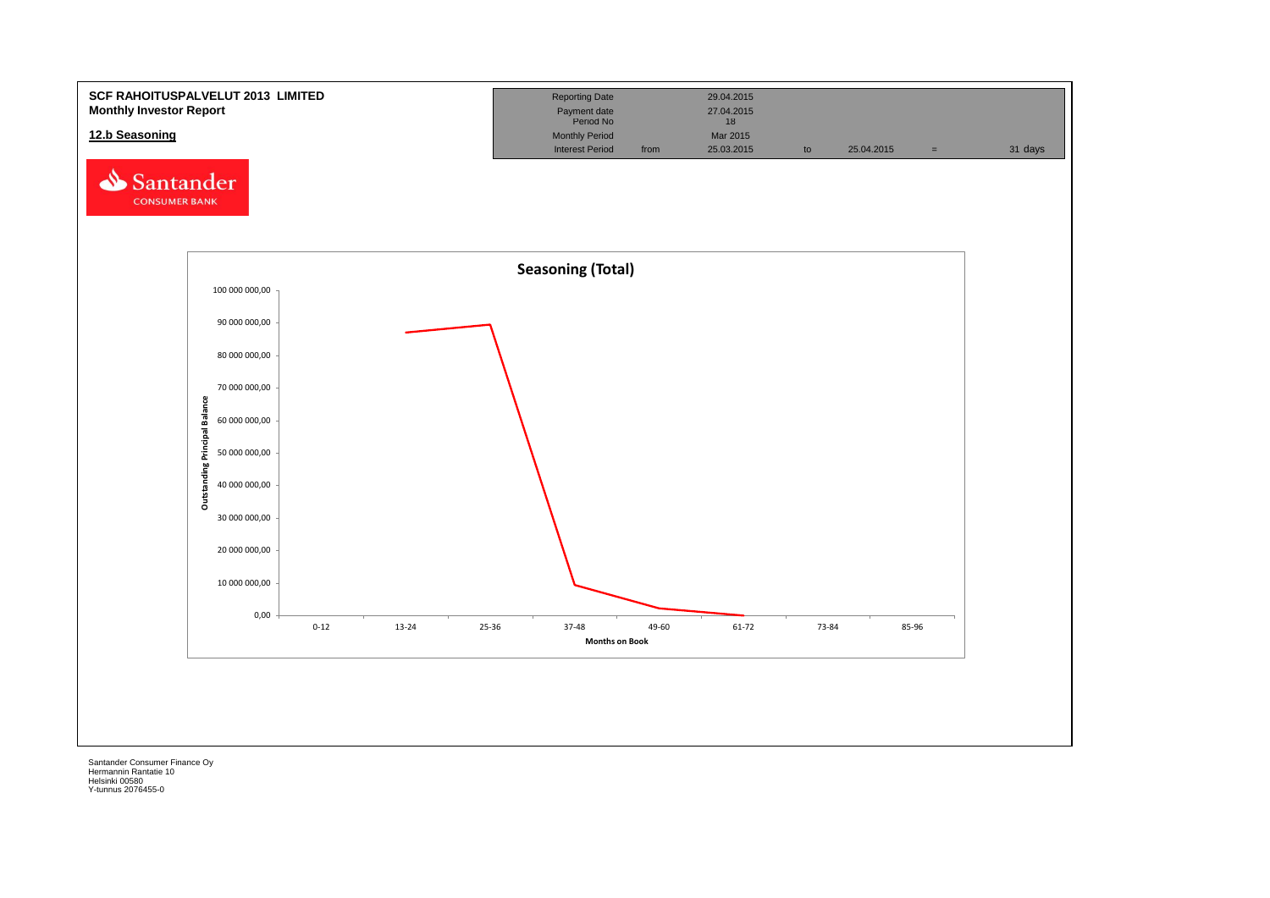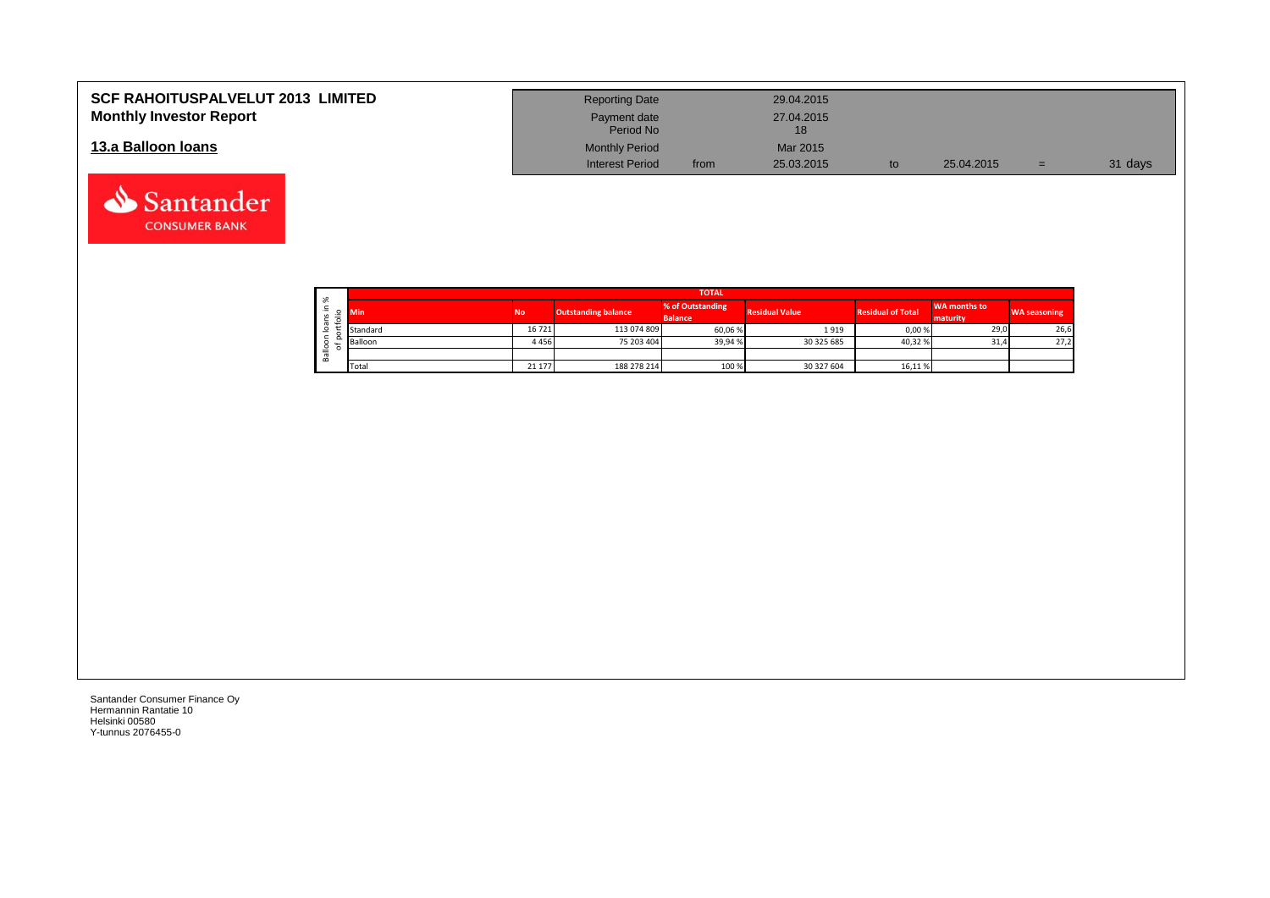| <b>SCF RAHOITUSPALVELUT 2013 LIMITED</b> | <b>Reporting Date</b>     |      | 29.04.2015       |            |     |         |
|------------------------------------------|---------------------------|------|------------------|------------|-----|---------|
| <b>Monthly Investor Report</b>           | Payment date<br>Period No |      | 27.04.2015<br>18 |            |     |         |
| 13.a Balloon Ioans                       | <b>Monthly Period</b>     |      | Mar 2015         |            |     |         |
|                                          | <b>Interest Period</b>    | from | 25.03.2015       | 25.04.2015 | $=$ | 31 days |

| $\sim$       | <b>TOTAL</b> |           |                            |                                    |                       |                          |                                 |                     |  |  |  |  |
|--------------|--------------|-----------|----------------------------|------------------------------------|-----------------------|--------------------------|---------------------------------|---------------------|--|--|--|--|
| ∸.<br>o<br>⋍ | Min          | <b>No</b> | <b>Outstanding balance</b> | % of Outstanding<br><b>Balance</b> | <b>Residual Value</b> | <b>Residual of Total</b> | <b>WA months to</b><br>maturity | <b>WA seasoning</b> |  |  |  |  |
| -            | Standard     | 16721     | 113 074 809                | 60,06%                             | 1919                  | 0,00 %                   | 29,0                            | 26,6                |  |  |  |  |
|              | Balloon      | 4456      | 75 203 404                 | 39,94%                             | 30 325 685            | 40,32 %                  | 31,4                            | 27,2                |  |  |  |  |
| ≚<br>≃       |              |           |                            |                                    |                       |                          |                                 |                     |  |  |  |  |
|              | Total        | 21 177    | 188 278 214                | 100 %                              | 30 327 604            | 16,11 %                  |                                 |                     |  |  |  |  |

┑

Santander Consumer Finance Oy Hermannin Rantatie 10 Helsinki 00580 Y-tunnus 2076455-0

Santander **CONSUMER BANK**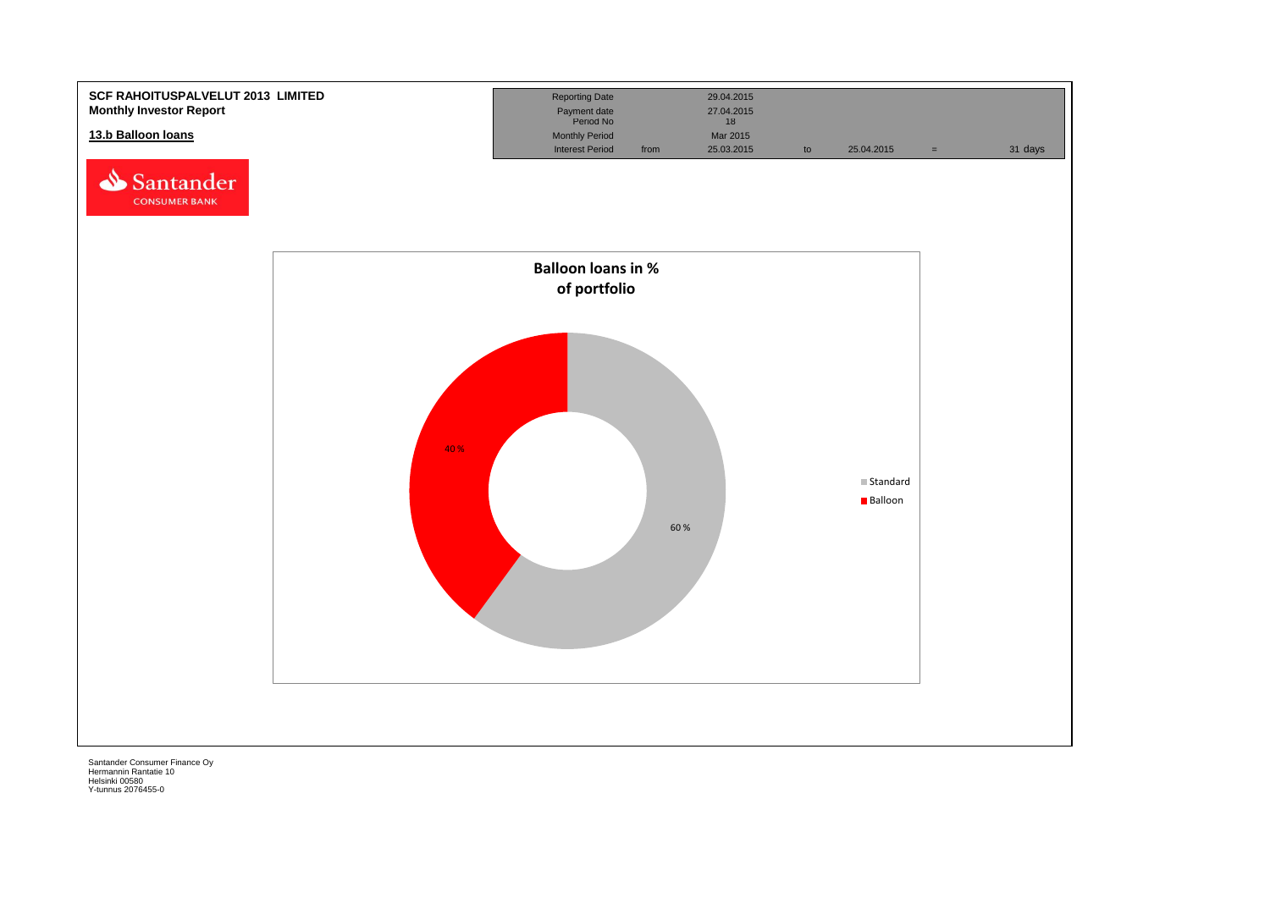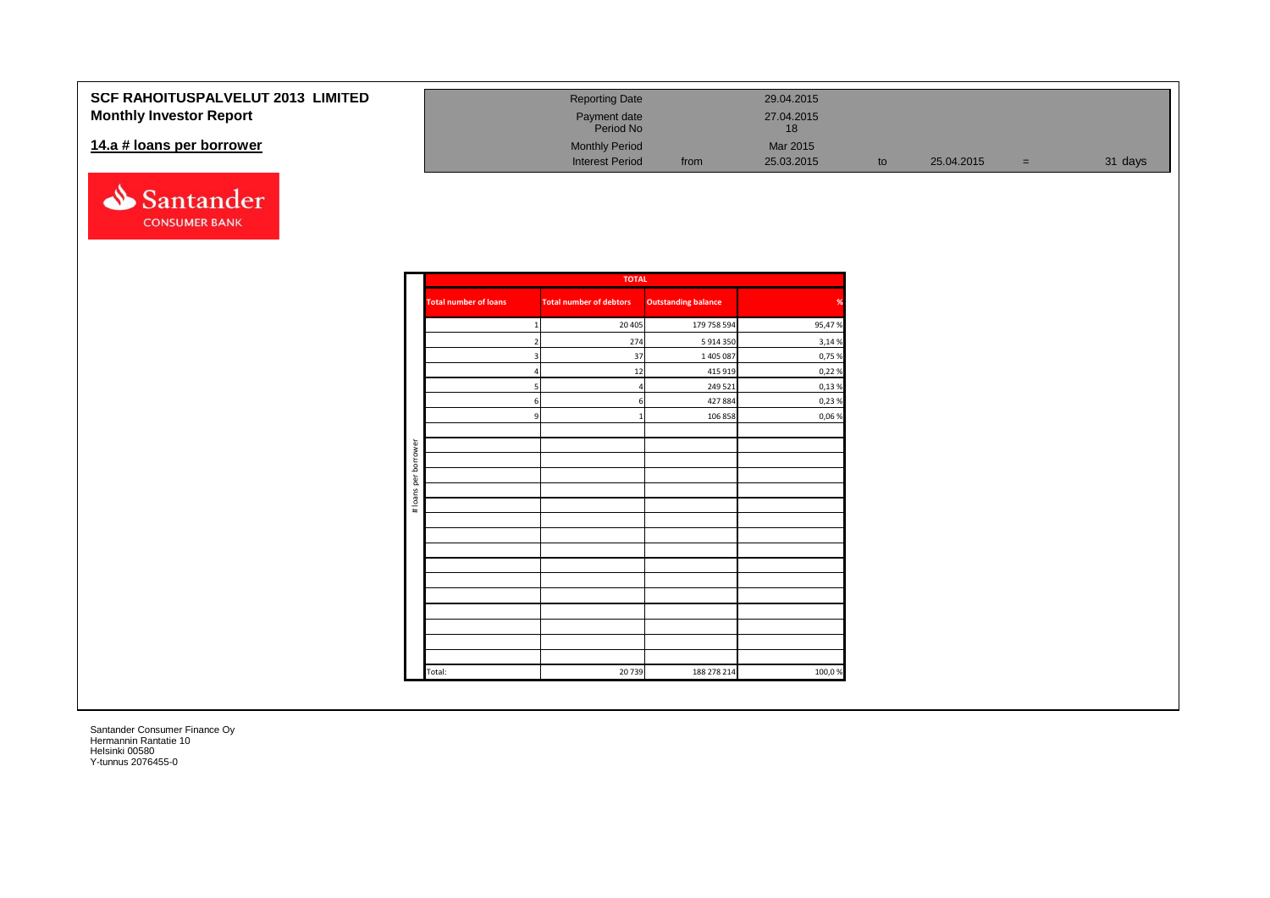### **SCF RAHOITUSPALVELUT 20 Monthly Investor Report**

#### 14.a # loans per borrower



| <b>2013 LIMITED</b> | <b>Reporting Date</b>     |      | 29.04.2015                    |    |            |     |         |
|---------------------|---------------------------|------|-------------------------------|----|------------|-----|---------|
|                     | Payment date<br>Period No |      | 27.04.2015<br>18 <sup>1</sup> |    |            |     |         |
|                     | <b>Monthly Period</b>     |      | Mar 2015                      |    |            |     |         |
|                     | <b>Interest Period</b>    | from | 25.03.2015                    | to | 25.04.2015 | $=$ | 31 days |

|                      |                              | <b>TOTAL</b>                   |                            |        |
|----------------------|------------------------------|--------------------------------|----------------------------|--------|
|                      | <b>Total number of loans</b> | <b>Total number of debtors</b> | <b>Outstanding balance</b> | %      |
|                      | $\mathbf{1}$                 | 20 4 05                        | 179 758 594                | 95,47% |
|                      | 2                            | 274                            | 5 914 350                  | 3,14%  |
|                      | 3                            | 37                             | 1 405 087                  | 0,75 % |
|                      | 4                            | 12                             | 415 919                    | 0,22%  |
|                      | 5                            | $\overline{4}$                 | 249 521                    | 0,13%  |
|                      | 6                            | 6                              | 427 884                    | 0,23%  |
|                      | 9                            | -1                             | 106 858                    | 0,06%  |
|                      |                              |                                |                            |        |
| # loans per borrower |                              |                                |                            |        |
|                      |                              |                                |                            |        |
|                      |                              |                                |                            |        |
|                      |                              |                                |                            |        |
|                      |                              |                                |                            |        |
|                      |                              |                                |                            |        |
|                      |                              |                                |                            |        |
|                      |                              |                                |                            |        |
|                      |                              |                                |                            |        |
|                      |                              |                                |                            |        |
|                      |                              |                                |                            |        |
|                      |                              |                                |                            |        |
|                      |                              |                                |                            |        |
|                      | Total:                       | 20739                          | 188 278 214                | 100,0% |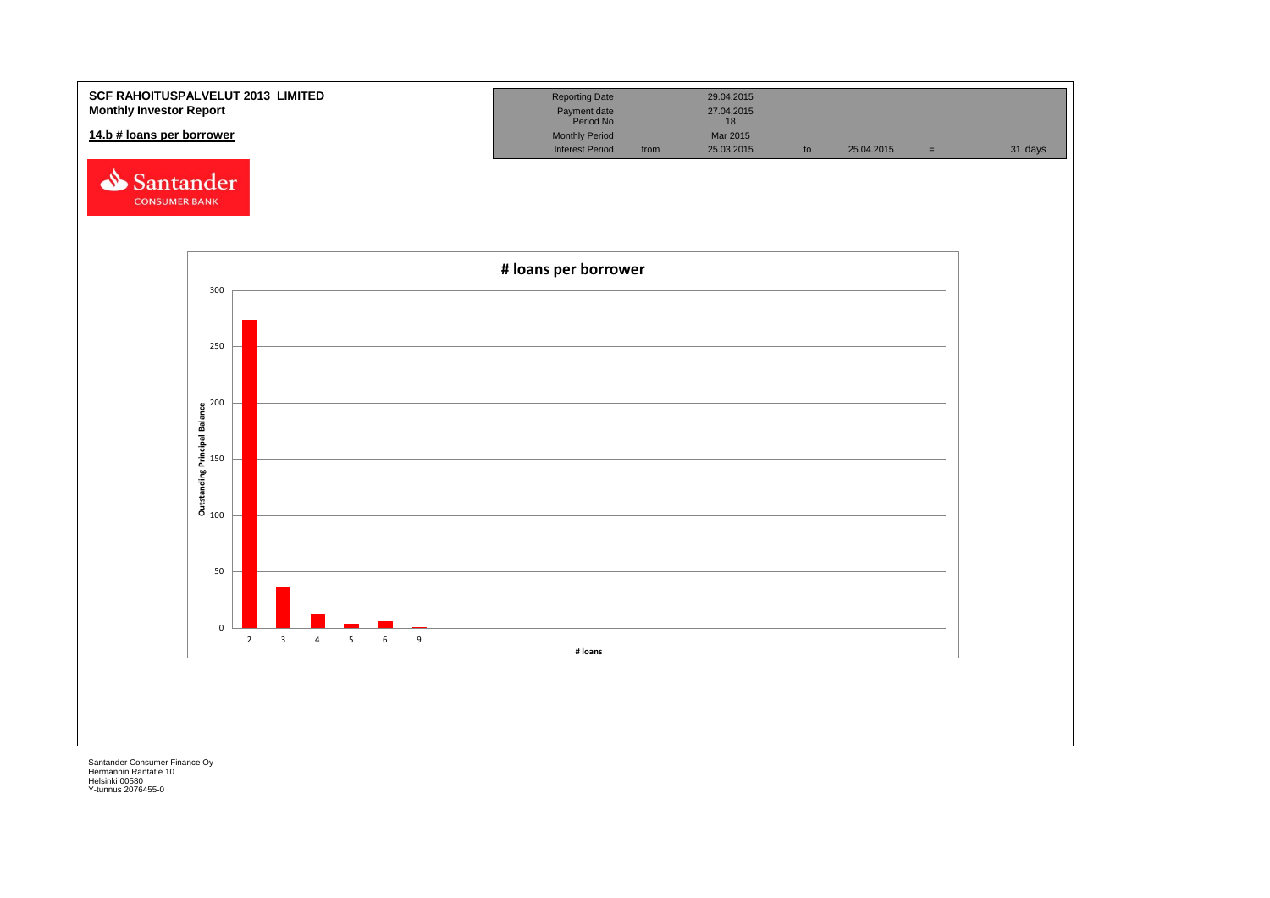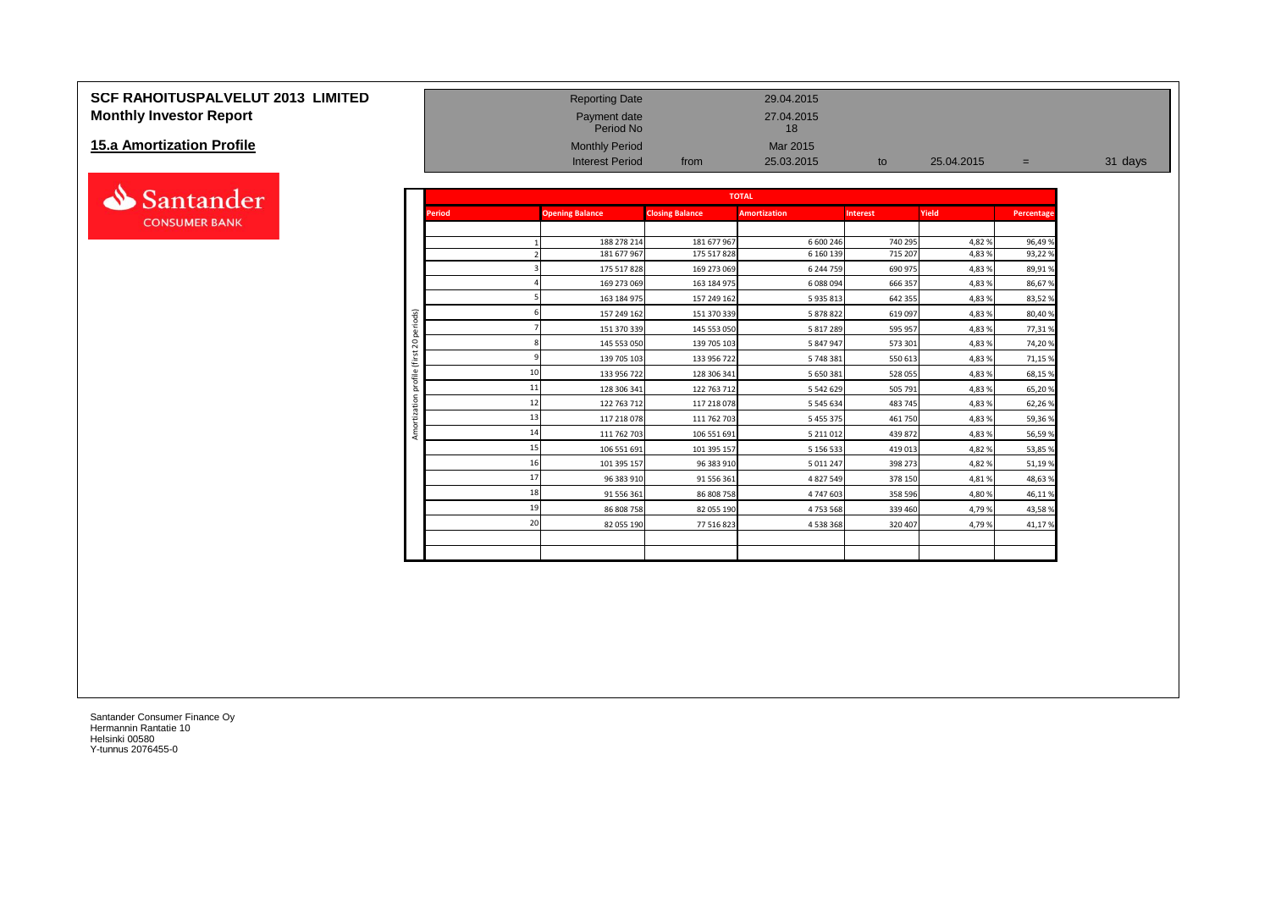#### **SCF RAHOITUSPALVELUT 2013 LIMITED** Reporting Date 29.04.2015 **Monthly Investor Report Payment date** 27.04.2015

#### **15.a Amortization Profile**



|                                   |                     |               | Period No              |                        | 18                  |                 |            |            |         |
|-----------------------------------|---------------------|---------------|------------------------|------------------------|---------------------|-----------------|------------|------------|---------|
| <b>15.a Amortization Profile</b>  |                     |               | <b>Monthly Period</b>  |                        | Mar 2015            |                 |            |            |         |
|                                   |                     |               | <b>Interest Period</b> | from                   | 25.03.2015          | to              | 25.04.2015 | $=$        | 31 days |
|                                   |                     |               |                        |                        | <b>TOTAL</b>        |                 |            |            |         |
| Santander<br><b>CONSUMER BANK</b> |                     | <b>Period</b> | <b>Opening Balance</b> | <b>Closing Balance</b> | <b>Amortization</b> | <b>Interest</b> | Yield      | Percentage |         |
|                                   |                     |               |                        |                        |                     |                 |            |            |         |
|                                   |                     |               | 188 278 214            | 181 677 967            | 6 600 246           | 740 295         | 4,82%      | 96,49%     |         |
|                                   |                     |               | 181 677 967            | 175 517 828            | 6 160 139           | 715 207         | 4,83 %     | 93,22%     |         |
|                                   |                     |               | 175 517 828            | 169 273 069            | 6 244 759           | 690 975         | 4,83 %     | 89,91%     |         |
|                                   |                     |               | 169 273 069            | 163 184 975            | 6 088 094           | 666 357         | 4,83 %     | 86,67%     |         |
|                                   |                     |               | 163 184 975            | 157 249 162            | 5 935 813           | 642 355         | 4,83%      | 83,52%     |         |
|                                   | periods)            |               | 157 249 162            | 151 370 339            | 5 878 822           | 619 097         | 4,83 %     | 80,40%     |         |
|                                   |                     |               | 151 370 339            | 145 553 050            | 5 817 289           | 595 957         | 4,83 %     | 77,31%     |         |
|                                   | $\overline{c}$      |               | 145 553 050            | 139 705 103            | 5 847 947           | 573 301         | 4,83%      | 74,20%     |         |
|                                   | $\overline{ }$      |               | 139 705 103            | 133 956 722            | 5 748 381           | 550 613         | 4,83 %     | 71,15%     |         |
|                                   | ofile               |               | 133 956 722            | 128 306 341            | 5 650 381           | 528 055         | 4,83 %     | 68,15%     |         |
|                                   | ă<br>$\overline{5}$ | 11            | 128 306 341            | 122 763 712            | 5 542 629           | 505 791         | 4,83 %     | 65,20%     |         |
|                                   | zati                | 12            | 122 763 712            | 117 218 078            | 5 5 4 5 6 3 4       | 483 745         | 4,83 %     | 62,26%     |         |
|                                   |                     | 13            | 117 218 078            | 111 762 703            | 5 455 375           | 461 750         | 4,83 %     | 59,36%     |         |
|                                   | Amor                | 14            | 111 762 703            | 106 551 691            | 5 211 012           | 439 872         | 4,83%      | 56,59%     |         |
|                                   |                     |               | 106 551 691            | 101 395 157            | 5 156 533           | 419 013         | 4,82%      | 53,85 %    |         |
|                                   |                     |               | 101 395 157            | 96 383 910             | 5 0 1 2 2 4 7       | 398 273         | 4,82 %     | 51,19%     |         |
|                                   |                     |               | 96 383 910             | 91 556 361             | 4 827 549           | 378 150         | 4,81%      | 48,63%     |         |
|                                   |                     | 18            | 91 556 361             | 86 808 758             | 4 747 603           | 358 596         | 4,80%      | 46,11%     |         |
|                                   |                     | 19            | 86 808 758             | 82 055 190             | 4753568             | 339 460         | 4,79%      | 43,58%     |         |
|                                   |                     | 20            | 82 055 190             | 77 516 823             | 4 538 368           | 320 407         | 4,79%      | 41,17%     |         |
|                                   |                     |               |                        |                        |                     |                 |            |            |         |
|                                   |                     |               |                        |                        |                     |                 |            |            |         |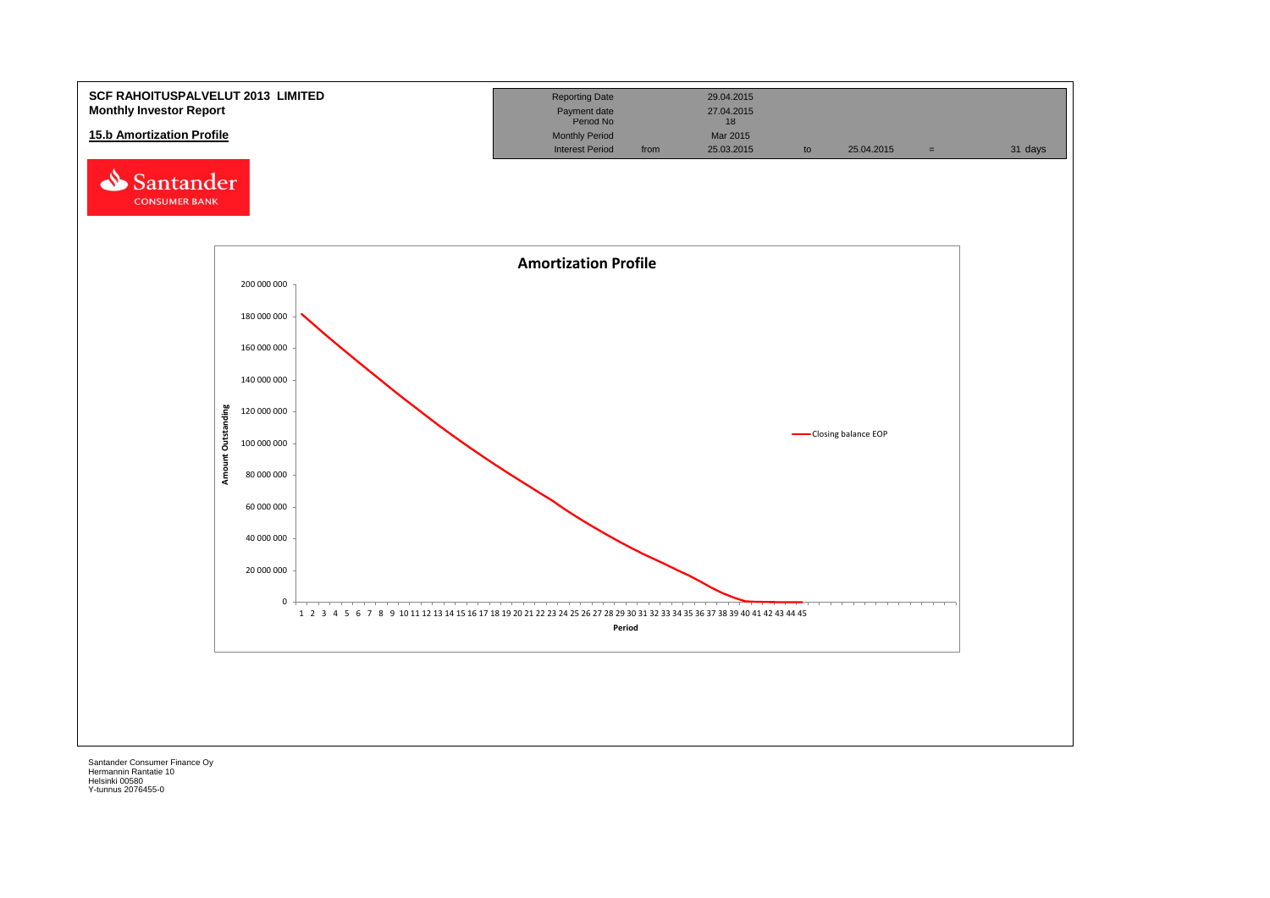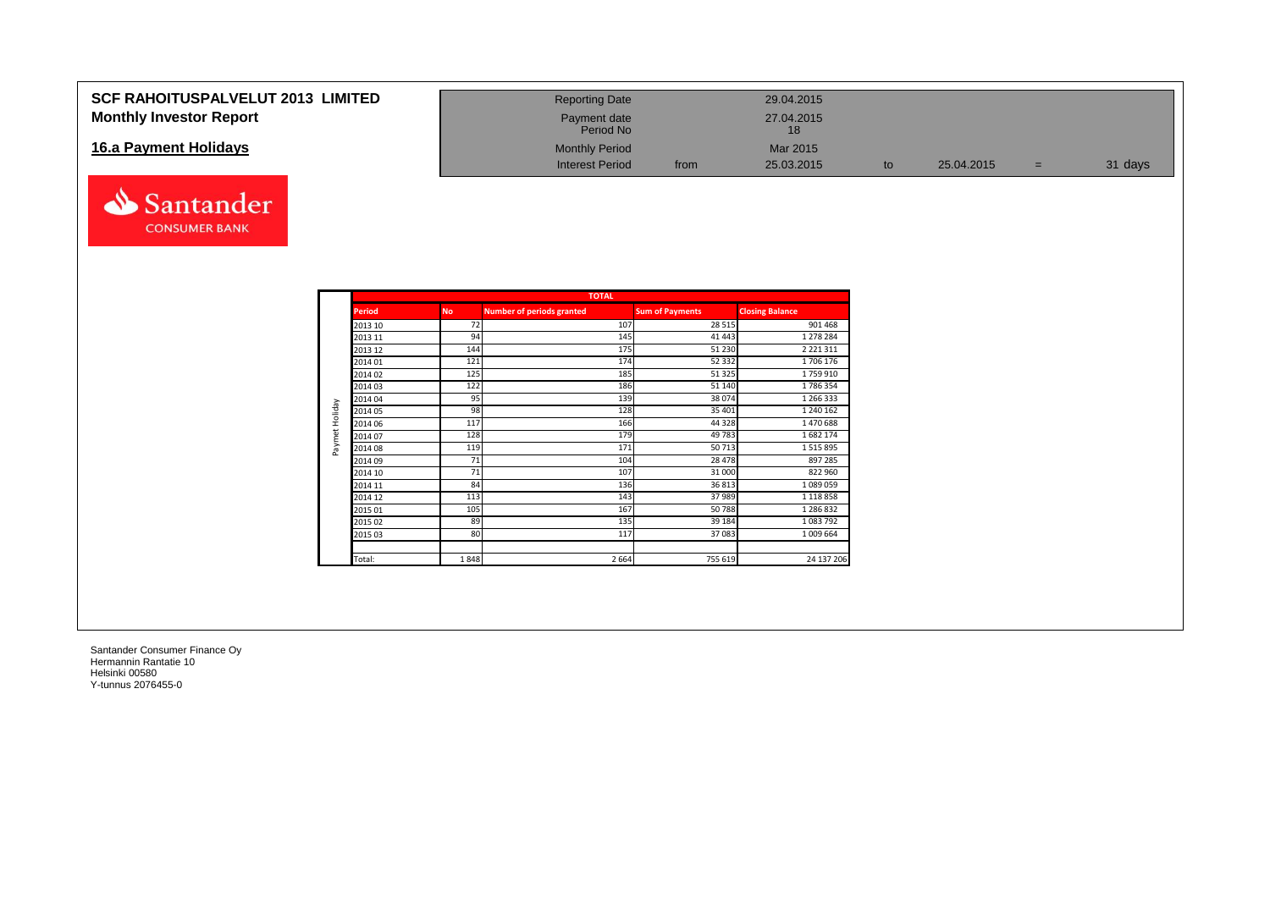#### **SCF RAHOITUSPALVELUT 2013 LIMITED Monthly Investor Report**

#### **16.a Payment Holidays**



| <b>Reporting Date</b>     |      | 29.04.2015       |    |            |     |         |
|---------------------------|------|------------------|----|------------|-----|---------|
| Payment date<br>Period No |      | 27.04.2015<br>18 |    |            |     |         |
| <b>Monthly Period</b>     |      | Mar 2015         |    |            |     |         |
| <b>Interest Period</b>    | from | 25.03.2015       | to | 25.04.2015 | $=$ | 31 days |

|                | <b>TOTAL</b>  |           |                                  |                        |                        |  |  |  |  |  |  |  |  |
|----------------|---------------|-----------|----------------------------------|------------------------|------------------------|--|--|--|--|--|--|--|--|
|                | <b>Period</b> | <b>No</b> | <b>Number of periods granted</b> | <b>Sum of Payments</b> | <b>Closing Balance</b> |  |  |  |  |  |  |  |  |
|                | 2013 10       | 72        | 107                              | 28 5 15                | 901 468                |  |  |  |  |  |  |  |  |
|                | 2013 11       | 94        | 145                              | 41 4 43                | 1 278 284              |  |  |  |  |  |  |  |  |
|                | 2013 12       | 144       | 175                              | 51 230                 | 2 2 2 1 3 1 1          |  |  |  |  |  |  |  |  |
|                | 2014 01       | 121       | 174                              | 52 332                 | 1706 176               |  |  |  |  |  |  |  |  |
|                | 2014 02       | 125       | 185                              | 51 325                 | 1759910                |  |  |  |  |  |  |  |  |
|                | 2014 03       | 122       | 186                              | 51 140                 | 1786354                |  |  |  |  |  |  |  |  |
|                | 2014 04       | 95        | 139                              | 38 0 74                | 1 266 333              |  |  |  |  |  |  |  |  |
| Paymet Holiday | 2014 05       | 98        | 128                              | 35 401                 | 1 240 162              |  |  |  |  |  |  |  |  |
|                | 2014 06       | 117       | 166                              | 44 3 28                | 1470688                |  |  |  |  |  |  |  |  |
|                | 2014 07       | 128       | 179                              | 49783                  | 1682174                |  |  |  |  |  |  |  |  |
|                | 2014 08       | 119       | 171                              | 50713                  | 1515895                |  |  |  |  |  |  |  |  |
|                | 2014 09       | 71        | 104                              | 28 478                 | 897 285                |  |  |  |  |  |  |  |  |
|                | 2014 10       | 71        | 107                              | 31 000                 | 822 960                |  |  |  |  |  |  |  |  |
|                | 2014 11       | 84        | 136                              | 36813                  | 1089059                |  |  |  |  |  |  |  |  |
|                | 2014 12       | 113       | 143                              | 37 989                 | 1 1 1 8 8 5 8          |  |  |  |  |  |  |  |  |
|                | 2015 01       | 105       | 167                              | 50788                  | 1 286 832              |  |  |  |  |  |  |  |  |
|                | 2015 02       | 89        | 135                              | 39 184                 | 1083792                |  |  |  |  |  |  |  |  |
|                | 2015 03       | 80        | 117                              | 37 083                 | 1 009 664              |  |  |  |  |  |  |  |  |
|                |               |           |                                  |                        |                        |  |  |  |  |  |  |  |  |
|                | Total:        | 1848      | 2 6 6 4                          | 755 619                | 24 137 206             |  |  |  |  |  |  |  |  |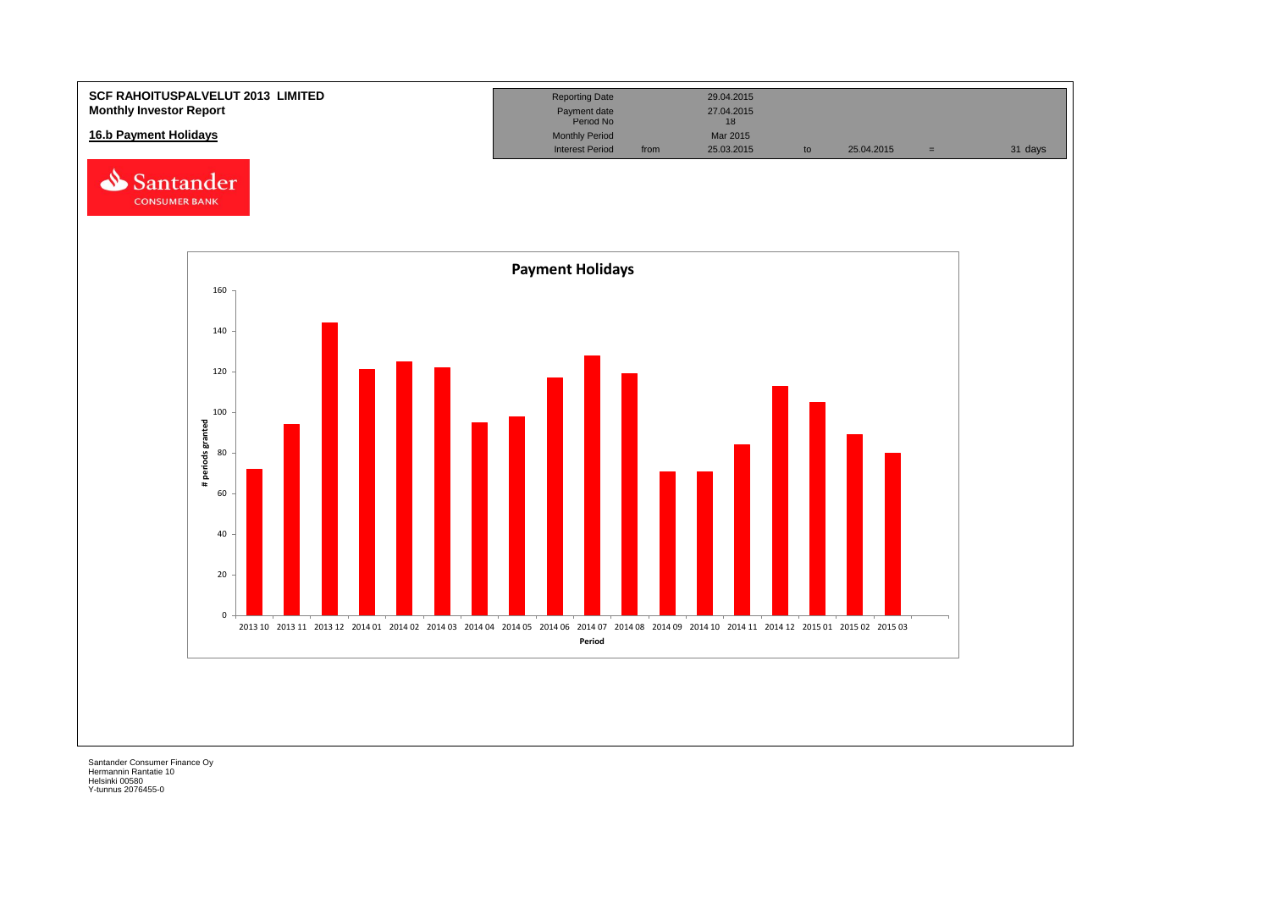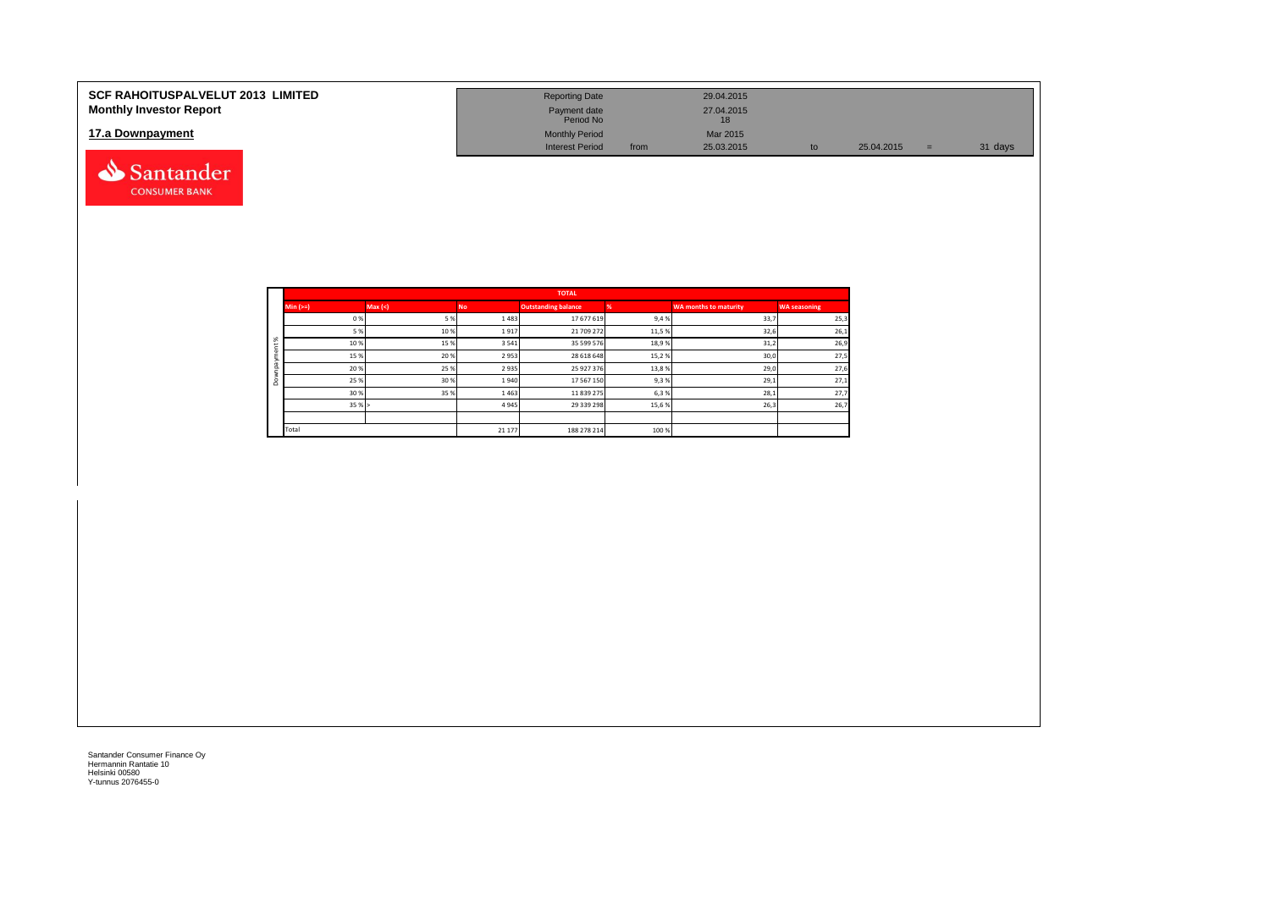| <b>SCF RAHOITUSPALVELUT 2013 LIMITED</b><br><b>Monthly Investor Report</b> | <b>Reporting Date</b><br>Payment date                        |      | 29.04.2015<br>27.04.2015     |    |            |     |         |
|----------------------------------------------------------------------------|--------------------------------------------------------------|------|------------------------------|----|------------|-----|---------|
| 17.a Downpayment                                                           | Period No<br><b>Monthly Period</b><br><b>Interest Period</b> | from | 18<br>Mar 2015<br>25.03.2015 | to | 25.04.2015 | $=$ | 31 days |
| Santander                                                                  |                                                              |      |                              |    |            |     |         |

|              |            |         |           | <b>TOTAL</b>               |       |                       |                     |
|--------------|------------|---------|-----------|----------------------------|-------|-----------------------|---------------------|
|              | $Min (==)$ | Max (<) | <b>No</b> | <b>Outstanding balance</b> |       | WA months to maturity | <b>WA seasoning</b> |
|              | 0%         | 5 %     | 1483      | 17 677 619                 | 9,4%  | 33,7                  | 25,3                |
|              | 5 %        | 10%     | 1917      | 21 709 272                 | 11,5% | 32,6                  | 26,1                |
| ೫            | 10%        | 15 %    | 3541      | 35 599 576                 | 18,9% | 31,2                  | 26,9                |
| ۰            | 15 %       | 20 %    | 2953      | 28 618 648                 | 15,2% | 30,0                  | 27,5                |
| $\bar{a}$    | 20%        | 25 %    | 2935      | 25 927 376                 | 13,8% | 29,0                  | 27,6                |
| ۰<br>$\circ$ | 25 %       | 30 %    | 1940      | 17 567 150                 | 9,3%  | 29,1                  | 27,1                |
|              | 30 %       | 35 %    | 1463      | 11 839 275                 | 6,3%  | 28,1                  | 27,7                |
|              | 35%        |         | 4945      | 29 339 298                 | 15,6% | 26,3                  | 26,7                |
|              |            |         |           |                            |       |                       |                     |
|              | Total      |         | 21 177    | 188 278 214                | 100 % |                       |                     |

**CONSUMER BANK**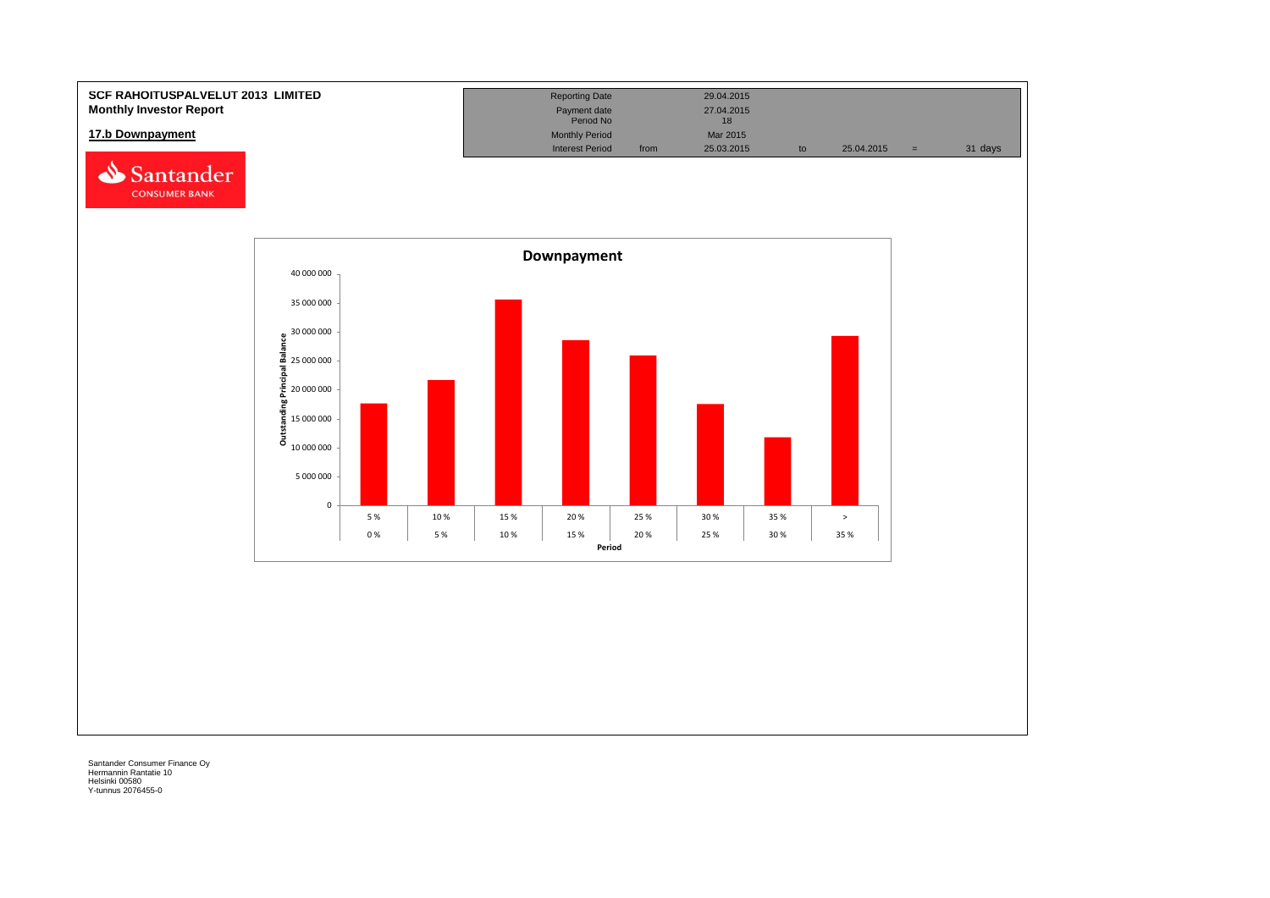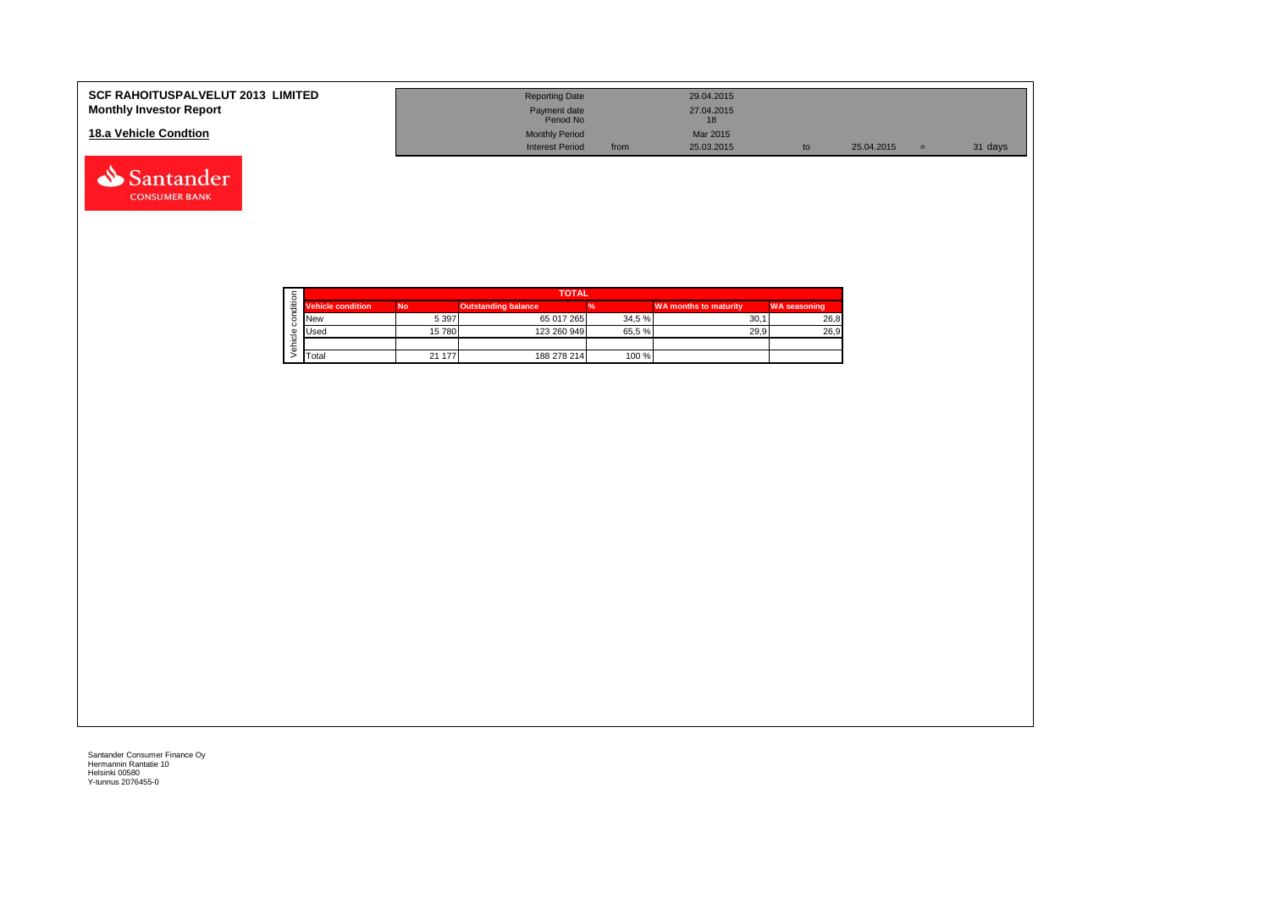| <b>SCF RAHOITUSPALVELUT 2013 LIMITED</b><br><b>Monthly Investor Report</b> | <b>Reporting Date</b><br>Payment date<br>Period No |      | 29.04.2015<br>27.04.2015 |    |            |     |         |
|----------------------------------------------------------------------------|----------------------------------------------------|------|--------------------------|----|------------|-----|---------|
| 18.a Vehicle Condtion                                                      | <b>Monthly Period</b><br><b>Interest Period</b>    | from | Mar 2015<br>25.03.2015   | to | 25.04.2015 | $=$ | 31 days |



Santander **CONSUMER BANK**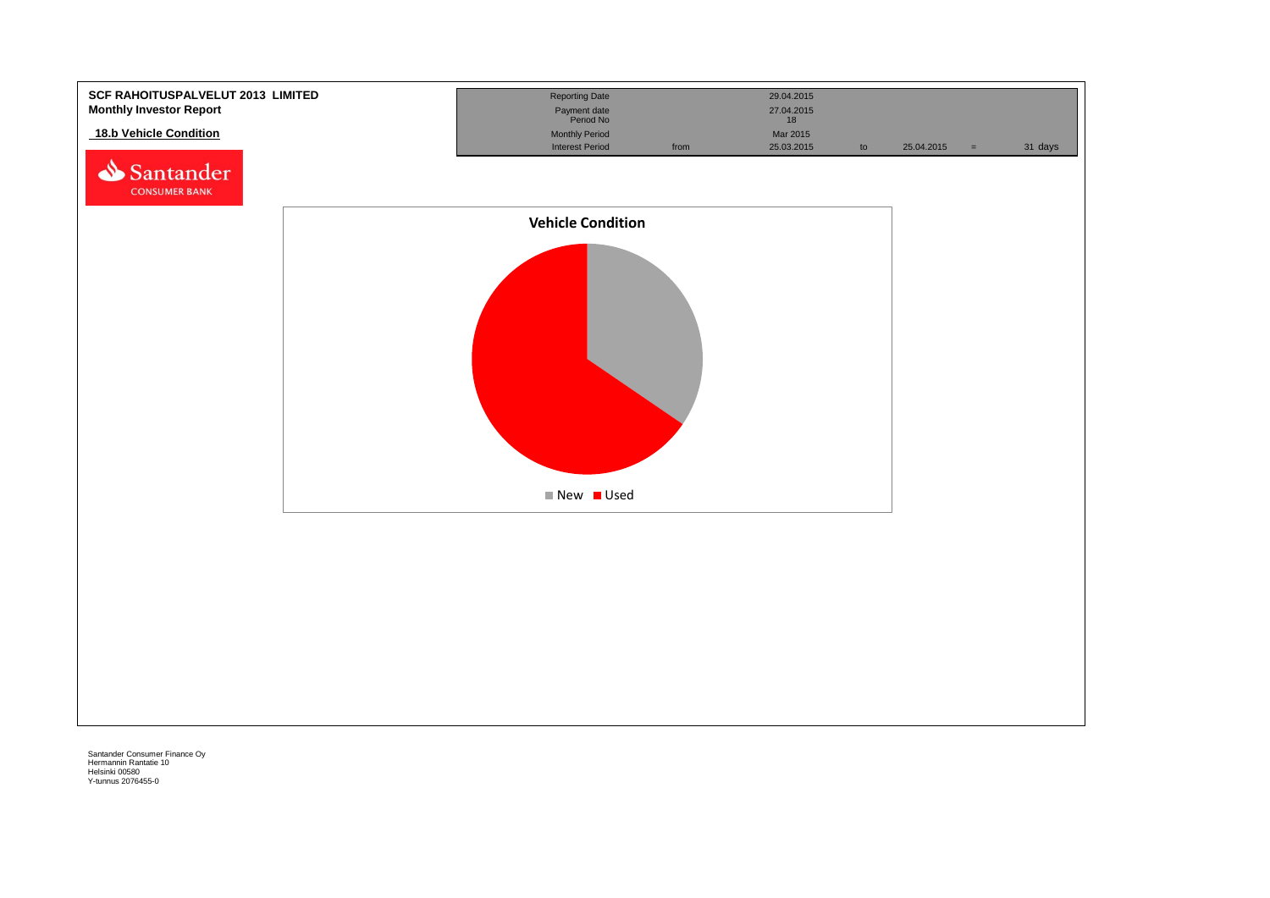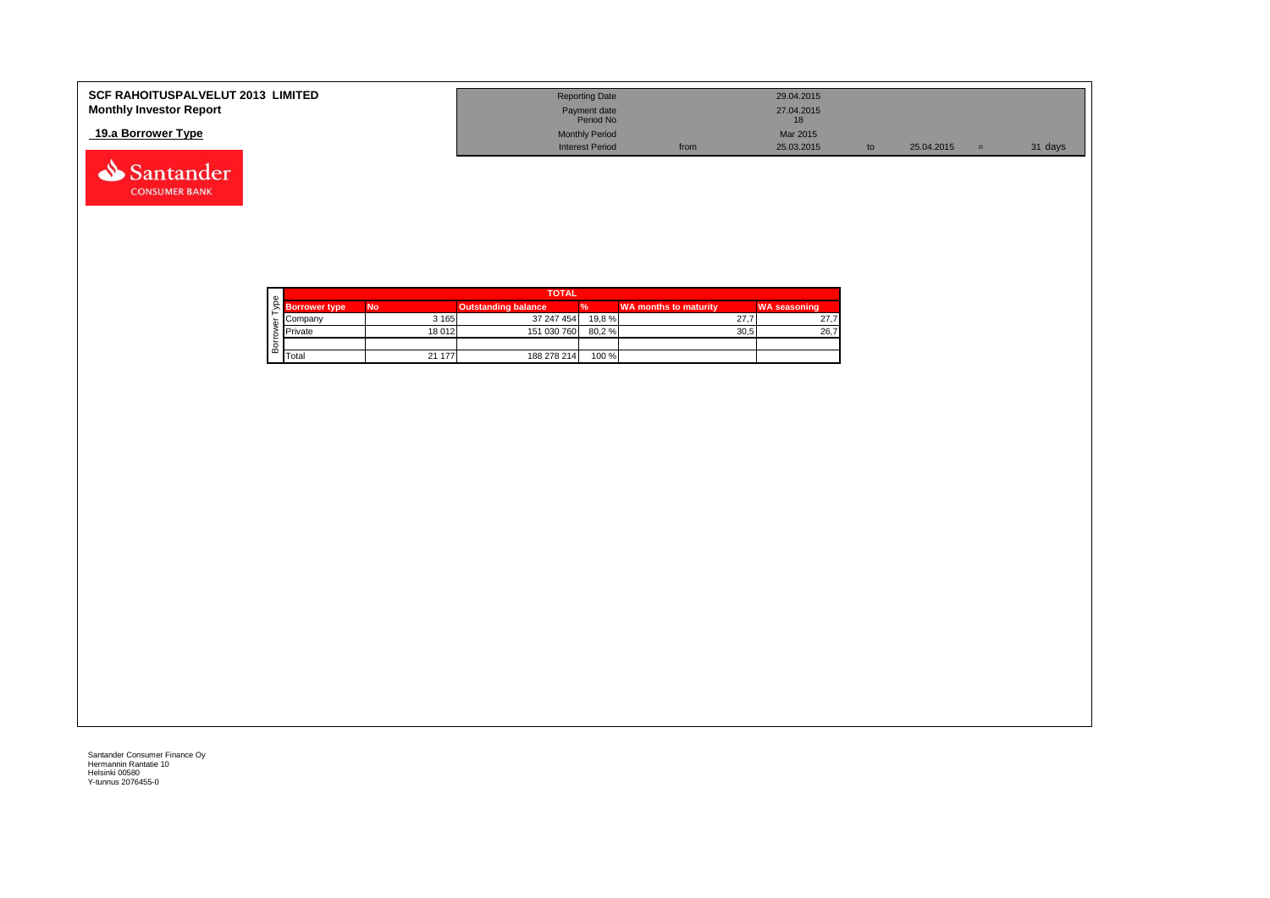| <b>SCF RAHOITUSPALVELUT 2013 LIMITED</b><br><b>Monthly Investor Report</b> | <b>Reporting Date</b><br>Payment date<br>Period No |      | 29.04.2015<br>27.04.2015 |            |         |
|----------------------------------------------------------------------------|----------------------------------------------------|------|--------------------------|------------|---------|
| 19.a Borrower Type                                                         | <b>Monthly Period</b><br><b>Interest Period</b>    | from | Mar 2015<br>25.03.2015   | 25.04.2015 | 31 days |



Santander **CONSUMER BANK**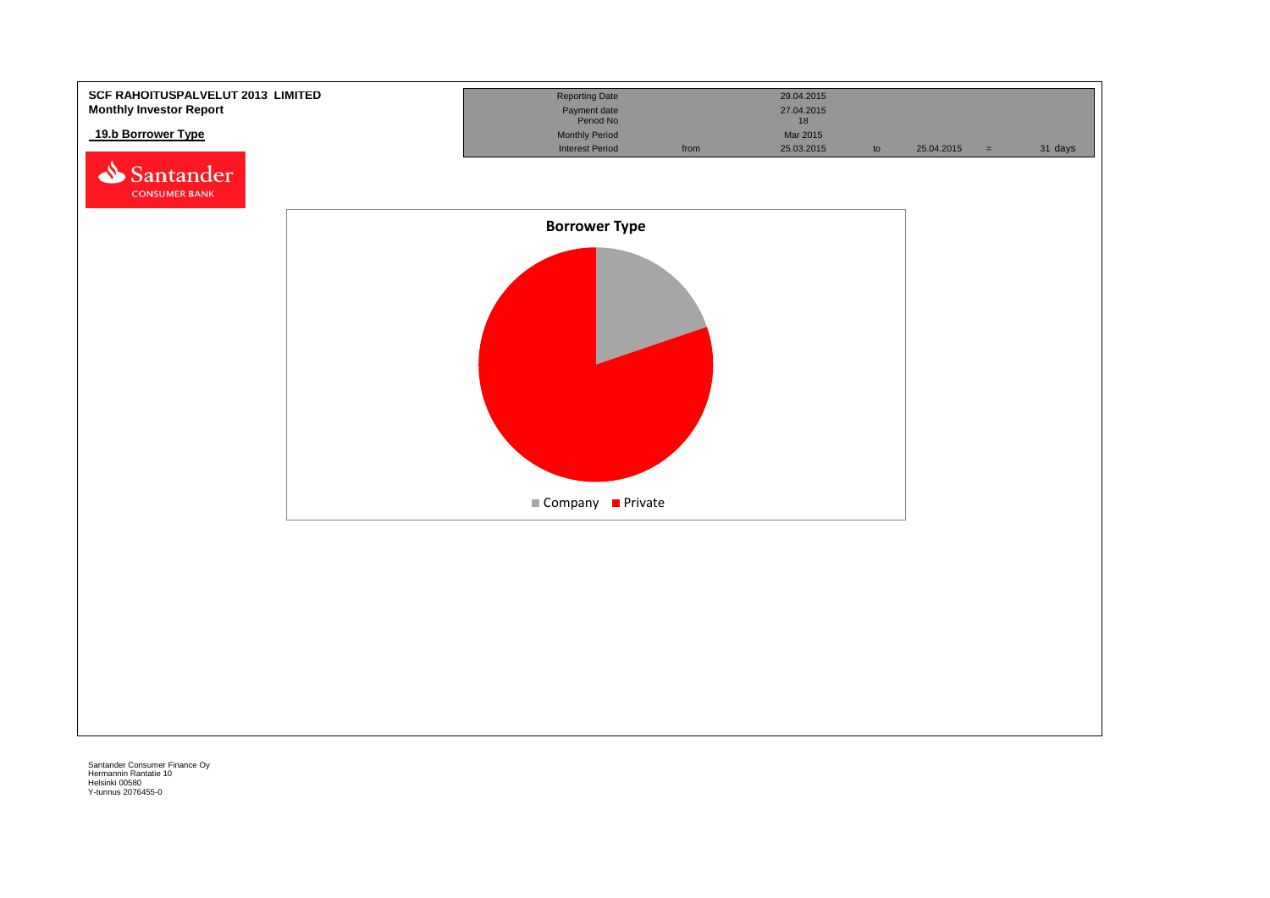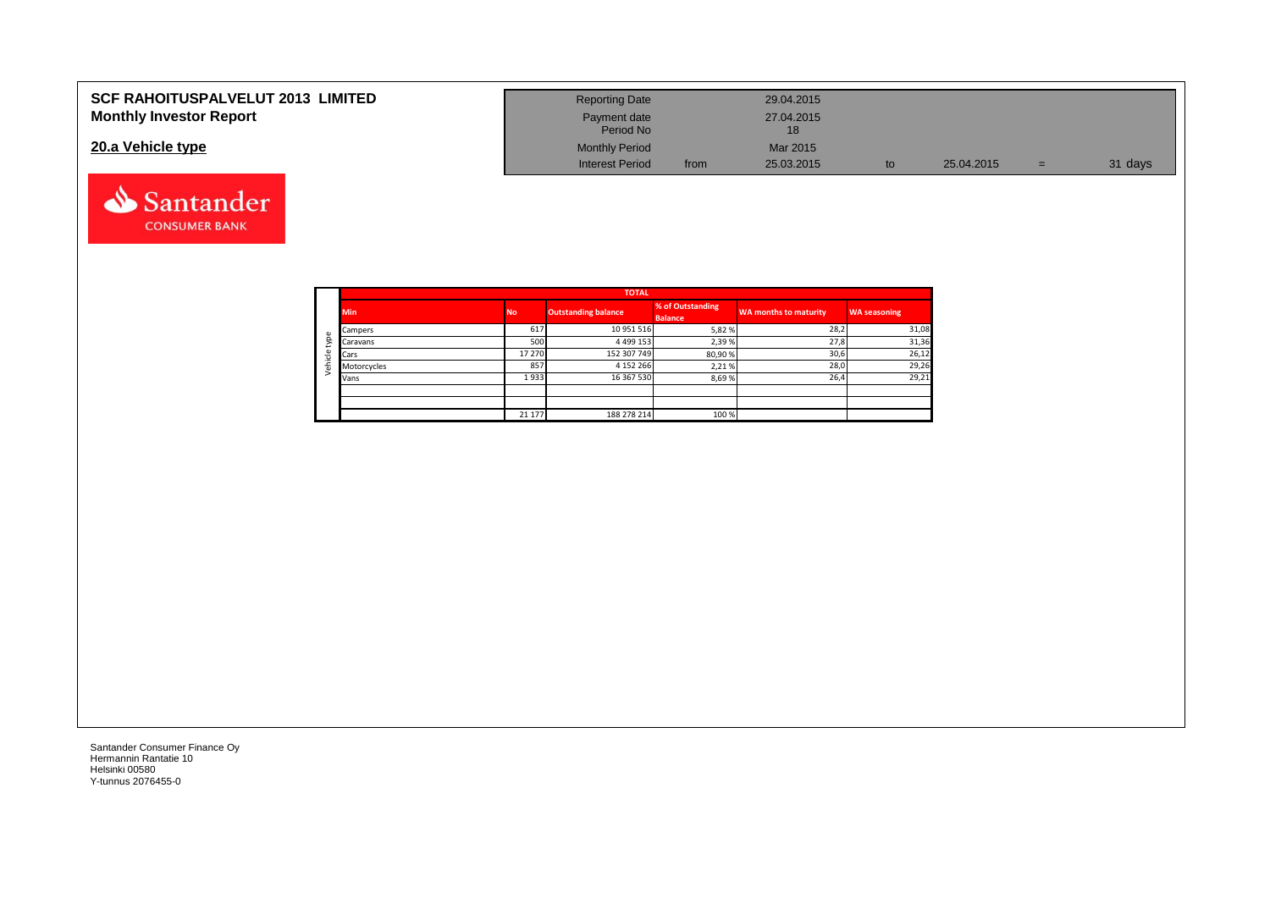| <b>SCF RAHOITUSPALVELUT 2013 LIMITED</b> | <b>Reporting Date</b>     |      | 29.04.2015       |            |     |         |
|------------------------------------------|---------------------------|------|------------------|------------|-----|---------|
| <b>Monthly Investor Report</b>           | Payment date<br>Period No |      | 27.04.2015<br>18 |            |     |         |
| 20.a Vehicle type                        | <b>Monthly Period</b>     |      | Mar 2015         |            |     |         |
|                                          | <b>Interest Period</b>    | from | 25.03.2015       | 25.04.2015 | $=$ | 31 days |



Santander **CONSUMER BANK**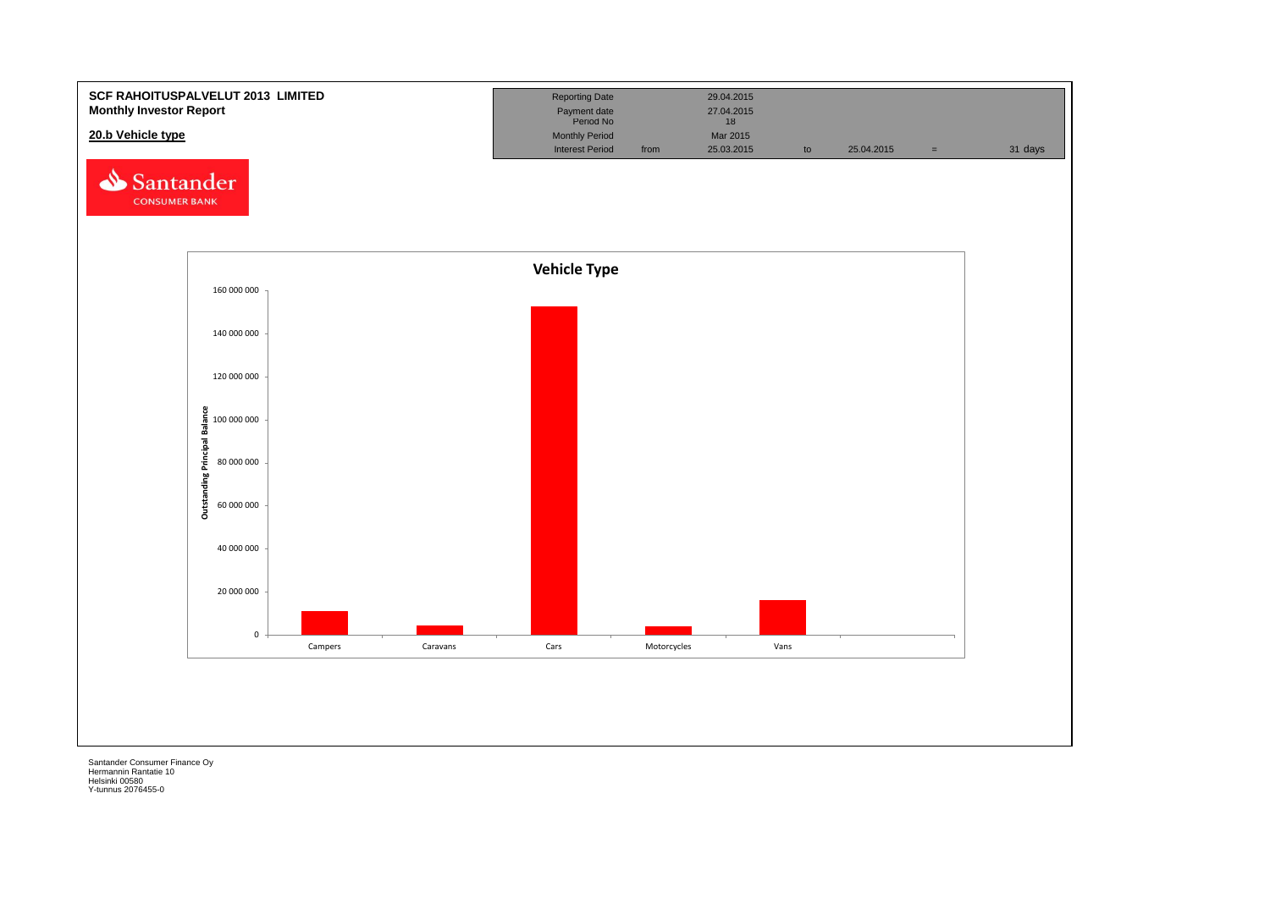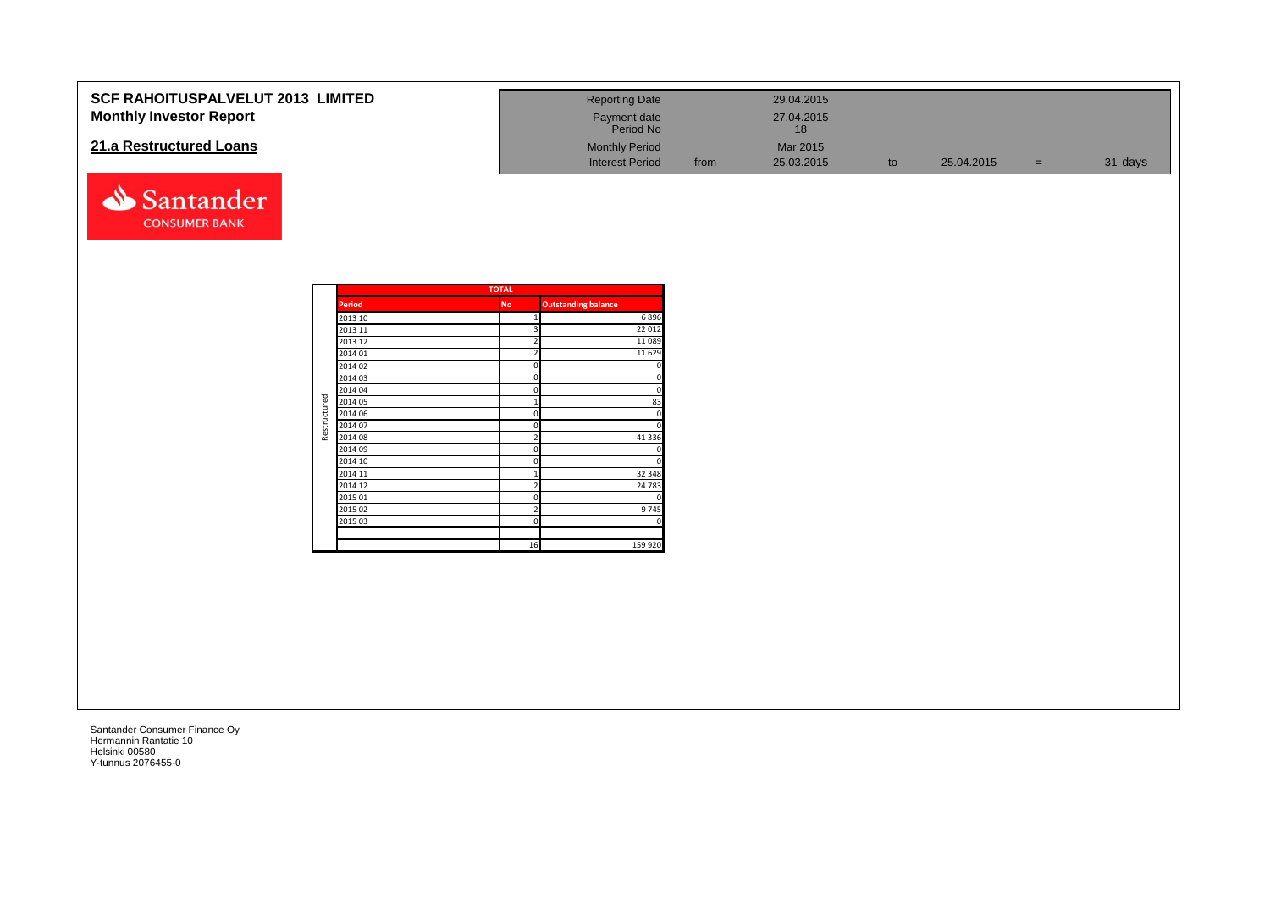| <b>SCF RAHOITUSPALVELUT 2013 LIMITED</b> | <b>Reporting Date</b>     |      | 29.04.2015 |            |     |         |
|------------------------------------------|---------------------------|------|------------|------------|-----|---------|
| <b>Monthly Investor Report</b>           | Payment date<br>Period No |      | 27.04.2015 |            |     |         |
| 21.a Restructured Loans                  | <b>Monthly Period</b>     |      | Mar 2015   |            |     |         |
|                                          | <b>Interest Period</b>    | from | 25.03.2015 | 25.04.2015 | $=$ | 31 days |

|              |               | <b>TOTAL</b>   |                            |
|--------------|---------------|----------------|----------------------------|
|              | <b>Period</b> | <b>No</b>      | <b>Outstanding balance</b> |
|              | 2013 10       | 1              | 6896                       |
|              | 2013 11       | 3              | 22 012                     |
|              | 2013 12       | $\overline{2}$ | 11089                      |
|              | 2014 01       | $\overline{2}$ | 11 6 29                    |
|              | 2014 02       | 0              | $\mathbf 0$                |
|              | 2014 03       | 0              | $\overline{0}$             |
|              | 2014 04       | 0              | $\overline{0}$             |
| Restructured | 2014 05       | 1              | 83                         |
|              | 2014 06       | 0              | 0                          |
|              | 2014 07       | 0              | $\overline{0}$             |
|              | 2014 08       | $\overline{2}$ | 41 3 3 6                   |
|              | 2014 09       | 0              | 0                          |
|              | 2014 10       | 0              | $\overline{0}$             |
|              | 2014 11       | 1              | 32 348                     |
|              | 2014 12       | $\overline{2}$ | 24 783                     |
|              | 2015 01       | 0              | 0                          |
|              | 2015 02       | $\overline{2}$ | 9745                       |
|              | 2015 03       | 0              | $\overline{0}$             |
|              |               |                |                            |
|              |               | 16             | 159 920                    |

Santander **CONSUMER BANK**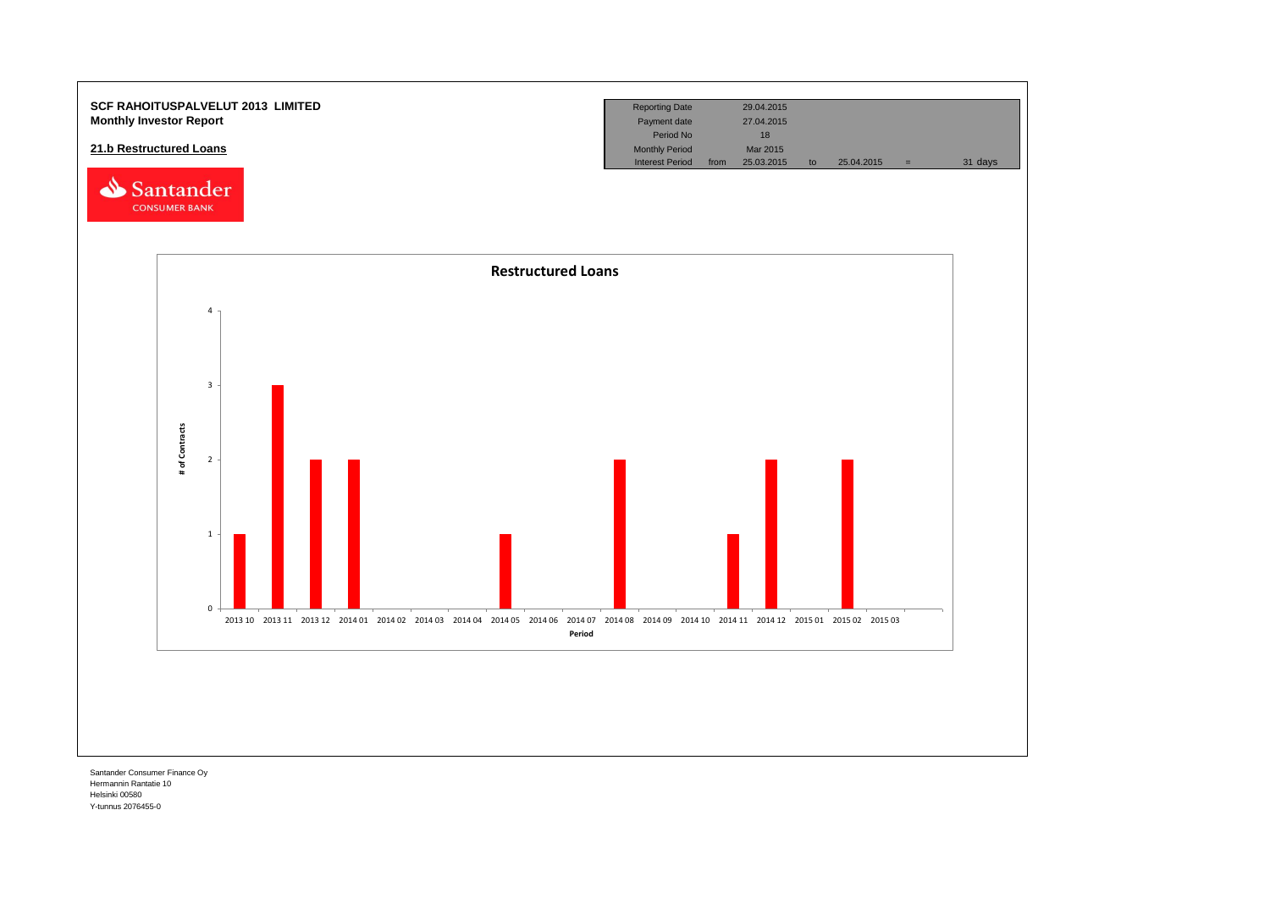

Hermannin Rantatie 10 Helsinki 00580 Y-tunnus 2076455-0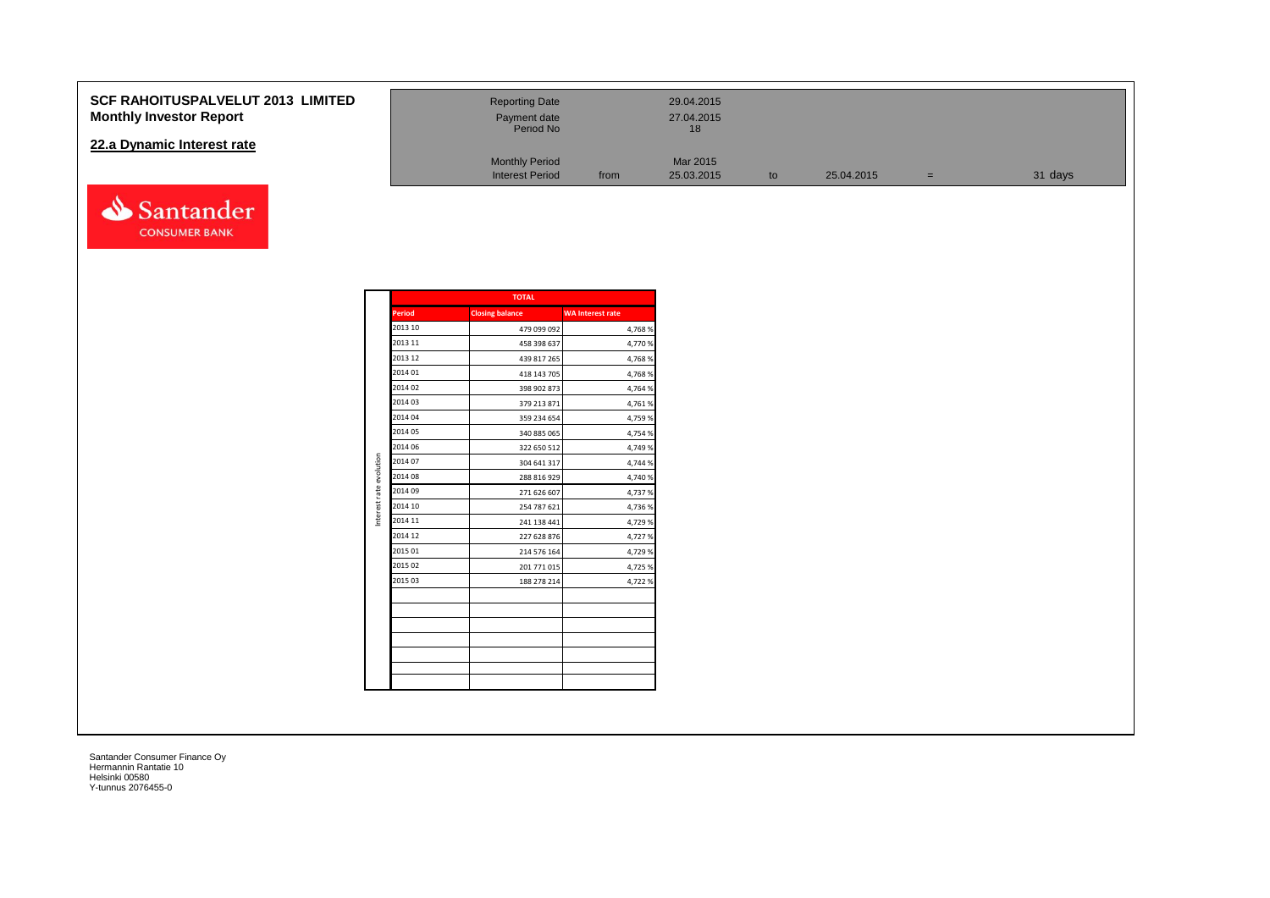#### **SCF RAHOITUSPALVELUT 2013 Monthly Investor Report**

#### **22.a Dynamic Interest rate**



| <b>LIMITED</b> | <b>Reporting Date</b><br>Payment date<br>Period No |      | 29.04.2015<br>27.04.2015<br>18 |    |            |          |         |
|----------------|----------------------------------------------------|------|--------------------------------|----|------------|----------|---------|
|                | <b>Monthly Period</b><br><b>Interest Period</b>    | from | Mar 2015<br>25.03.2015         | to | 25.04.2015 | $\equiv$ | 31 days |

|                         |               | <b>TOTAL</b>           |                         |
|-------------------------|---------------|------------------------|-------------------------|
|                         | <b>Period</b> | <b>Closing balance</b> | <b>WA Interest rate</b> |
|                         | 2013 10       | 479 099 092            | 4,768%                  |
|                         | 2013 11       | 458 398 637            | 4,770%                  |
|                         | 2013 12       | 439 817 265            | 4,768%                  |
|                         | 2014 01       | 418 143 705            | 4,768%                  |
|                         | 2014 02       | 398 902 873            | 4,764 %                 |
|                         | 2014 03       | 379 213 871            | 4,761%                  |
|                         | 2014 04       | 359 234 654            | 4,759 %                 |
|                         | 2014 05       | 340 885 065            | 4,754 %                 |
|                         | 2014 06       | 322 650 512            | 4,749 %                 |
|                         | 2014 07       | 304 641 317            | 4,744 %                 |
|                         | 2014 08       | 288 816 929            | 4,740 %                 |
| Interest rate evolution | 2014 09       | 271 626 607            | 4,737 %                 |
|                         | 2014 10       | 254 787 621            | 4,736%                  |
|                         | 2014 11       | 241 138 441            | 4,729 %                 |
|                         | 2014 12       | 227 628 876            | 4,727%                  |
|                         | 2015 01       | 214 576 164            | 4,729 %                 |
|                         | 2015 02       | 201 771 015            | 4,725 %                 |
|                         | 2015 03       | 188 278 214            | 4,722 %                 |
|                         |               |                        |                         |
|                         |               |                        |                         |
|                         |               |                        |                         |
|                         |               |                        |                         |
|                         |               |                        |                         |
|                         |               |                        |                         |
|                         |               |                        |                         |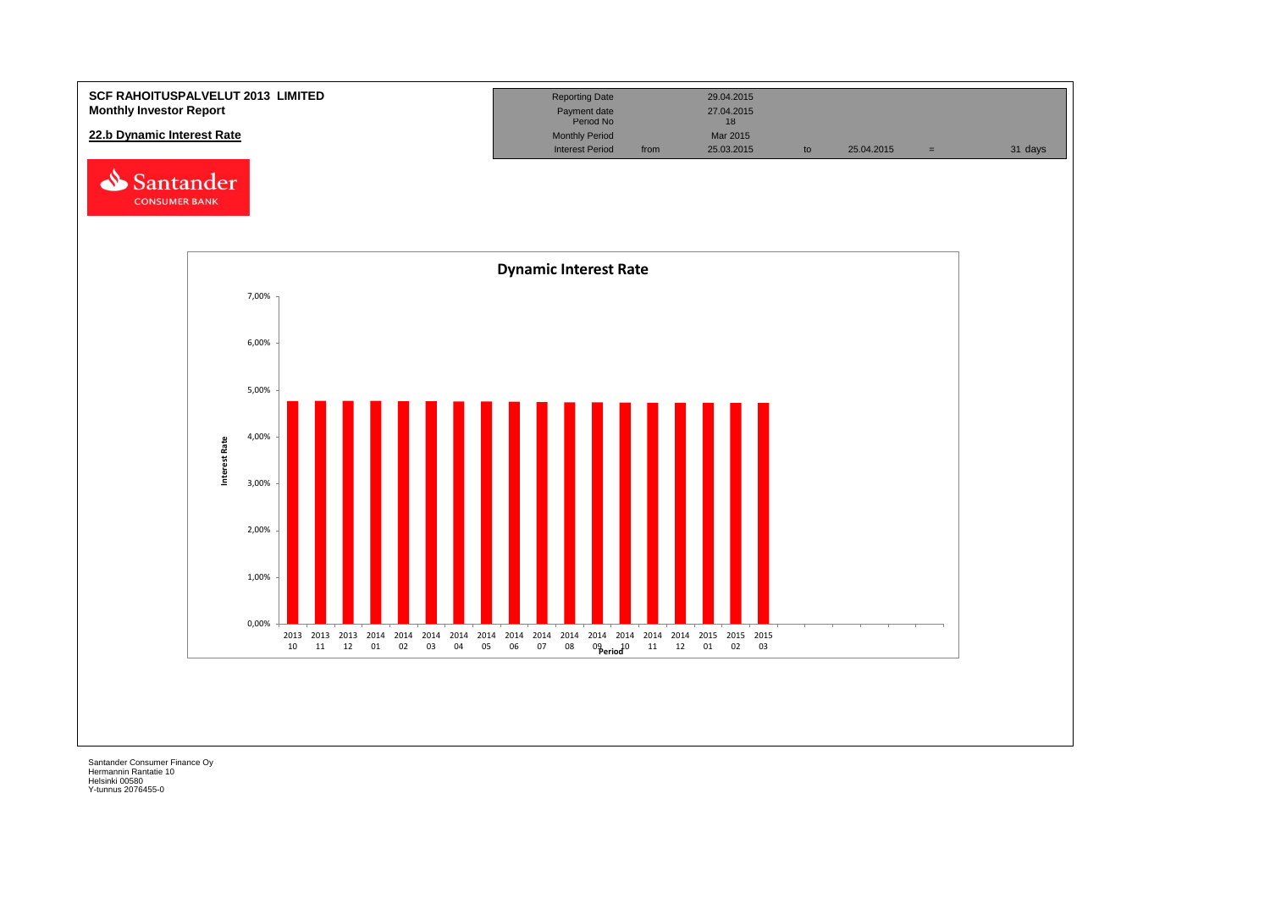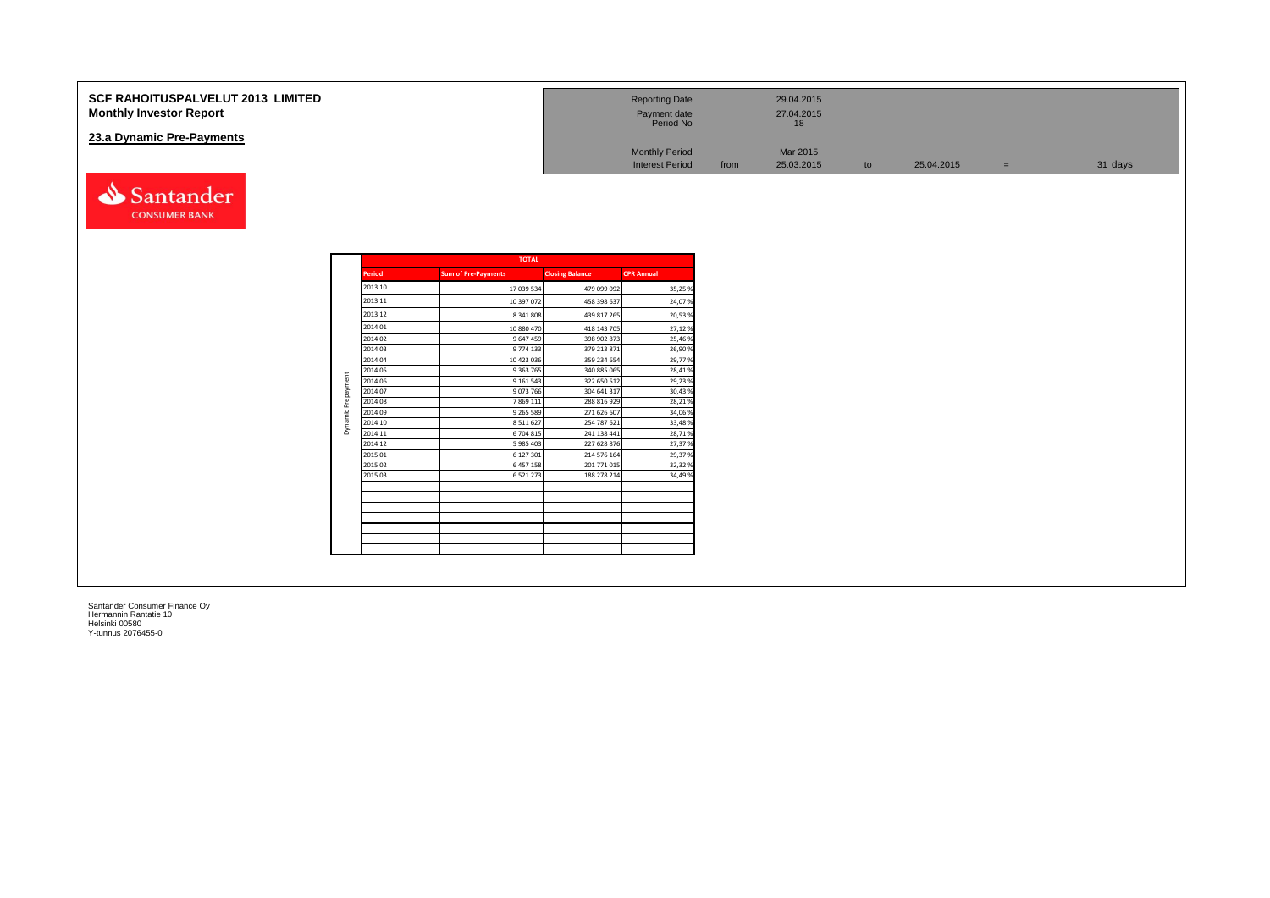| <b>SCF RAHOITUSPALVELUT 2013 LIMITED</b><br><b>Monthly Investor Report</b> | <b>Reporting Date</b><br>Payment date<br>Period No |      | 29.04.2015<br>27.04.2015 |    |            |     |         |
|----------------------------------------------------------------------------|----------------------------------------------------|------|--------------------------|----|------------|-----|---------|
| 23.a Dynamic Pre-Payments                                                  |                                                    |      |                          |    |            |     |         |
|                                                                            | <b>Monthly Period</b>                              |      | Mar 2015                 |    |            |     |         |
|                                                                            | <b>Interest Period</b>                             | from | 25.03.2015               | to | 25.04.2015 | $=$ | 31 days |

|               | <b>TOTAL</b>               |                        |                   |
|---------------|----------------------------|------------------------|-------------------|
| <b>Period</b> | <b>Sum of Pre-Payments</b> | <b>Closing Balance</b> | <b>CPR Annual</b> |
| 2013 10       | 17 039 534                 | 479 099 092            | 35,25%            |
| 2013 11       | 10 397 072                 | 458 398 637            | 24,07%            |
| 2013 12       | 8 341 808                  | 439 817 265            | 20,53%            |
| 2014 01       | 10 880 470                 | 418 143 705            | 27,12%            |
| 2014 02       | 9 647 459                  | 398 902 873            | 25,46%            |
| 2014 03       | 9774133                    | 379 213 871            | 26,90%            |
| 2014 04       | 10 423 036                 | 359 234 654            | 29,77%            |
| 2014 05       | 9 3 63 7 65                | 340 885 065            | 28,41%            |
| 2014 06       | 9 161 543                  | 322 650 512            | 29,23%            |
| 2014 07       | 9073766                    | 304 641 317            | 30,43%            |
| 2014 08       | 7 869 111                  | 288 816 929            | 28,21%            |
| 2014 09       | 9 2 6 5 5 8 9              | 271 626 607            | 34,06%            |
| 2014 10       | 8511627                    | 254 787 621            | 33,48%            |
| 2014 11       | 6 704 815                  | 241 138 441            | 28,71%            |
| 2014 12       | 5 985 403                  | 227 628 876            | 27,37%            |
| 2015 01       | 6 127 301                  | 214 576 164            | 29,37%            |
| 2015 02       | 6 457 158                  | 201 771 015            | 32,32%            |
| 2015 03       | 6 5 2 1 2 7 3              | 188 278 214            | 34,49%            |
|               |                            |                        |                   |
|               |                            |                        |                   |
|               |                            |                        |                   |
|               |                            |                        |                   |
|               |                            |                        |                   |
|               |                            |                        |                   |

Santander **CONSUMER BANK**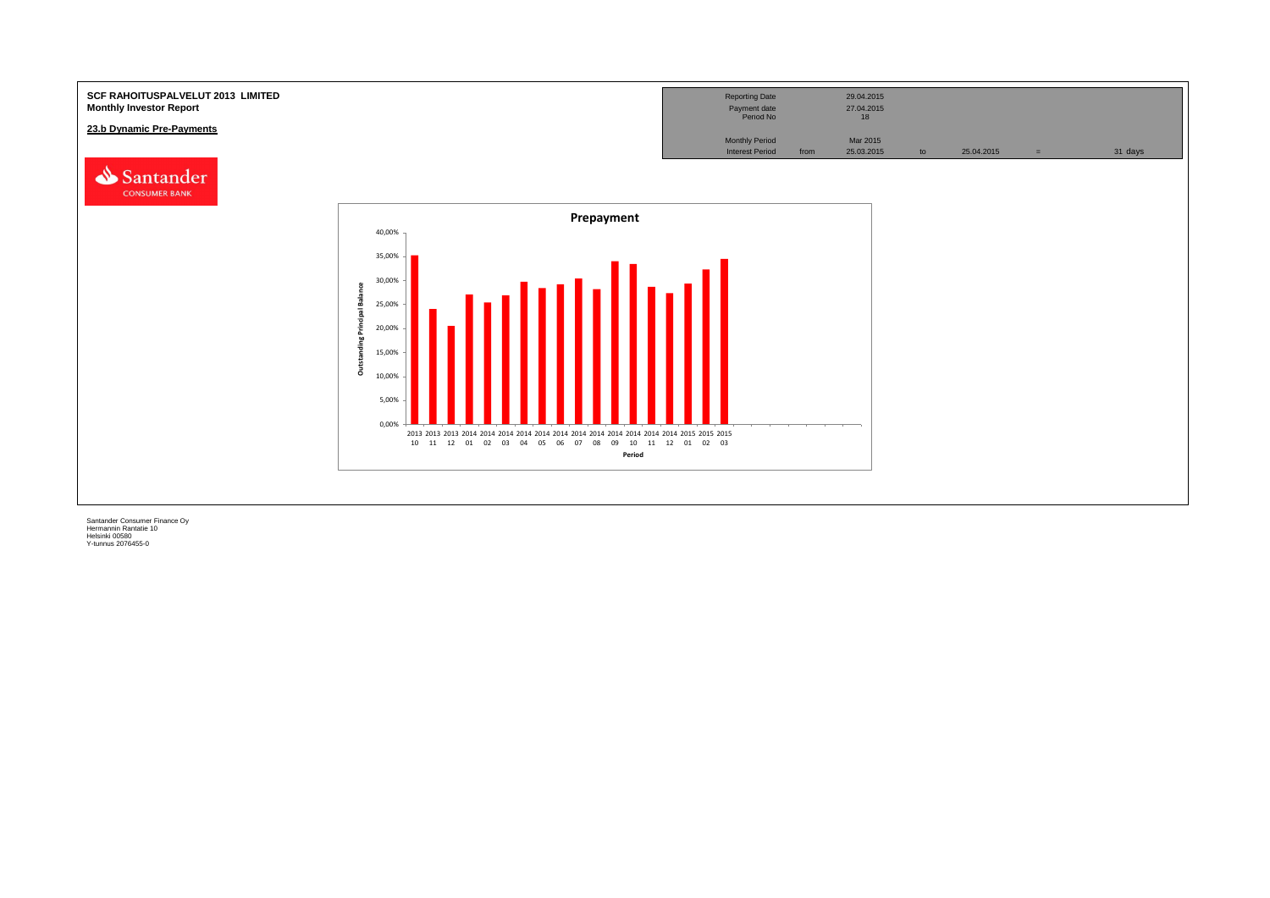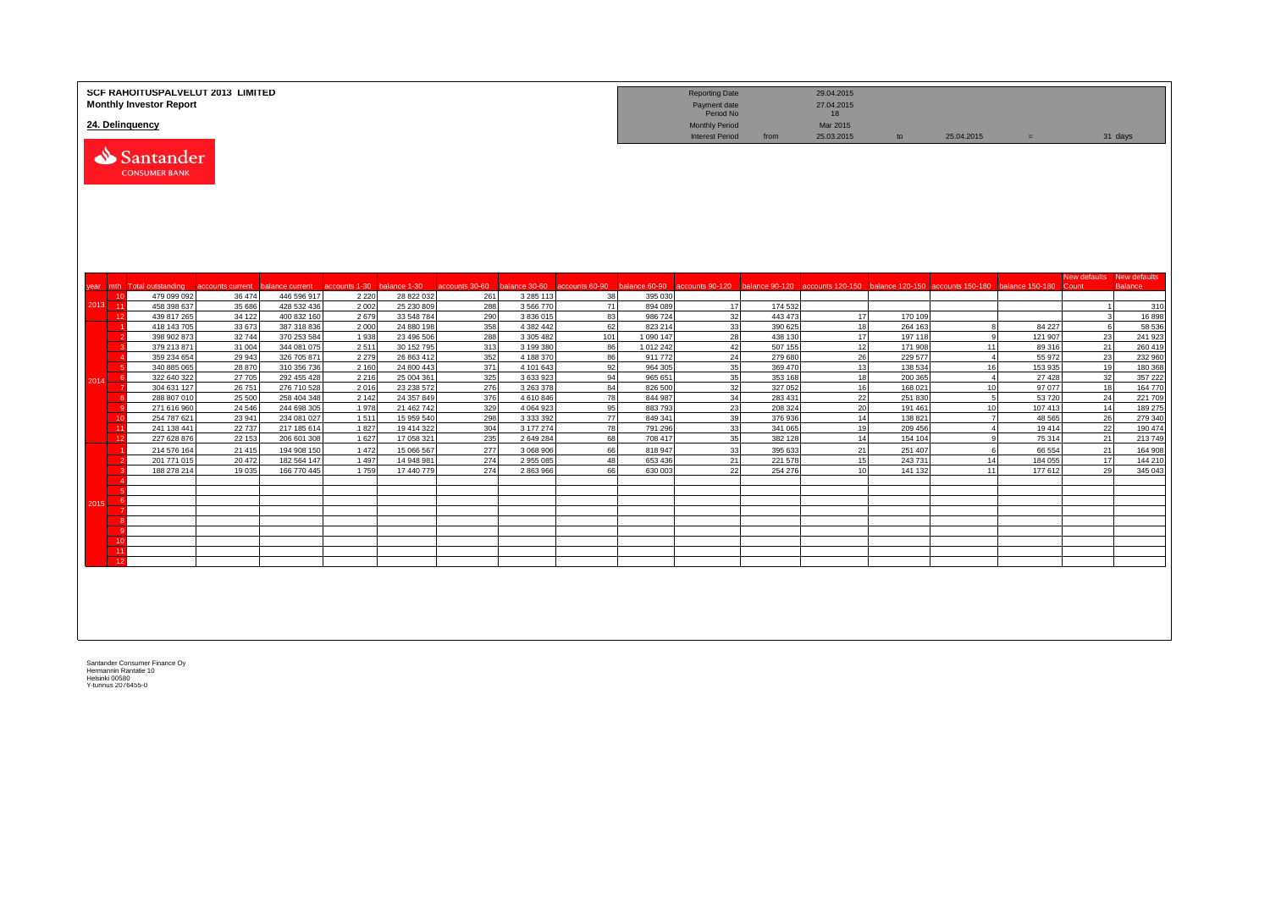|      |          | <b>Monthly Investor Report</b>    | SCF RAHOITUSPALVELUT 2013 LIMITED |                            |                            |                          |                |                        |           |                                                 | <b>Reporting Date</b><br>Payment date<br>Period No |                        | 29.04.2015<br>27.04.2015<br>18 |                    |                                                                                                                                                   |                   |                           |                    |
|------|----------|-----------------------------------|-----------------------------------|----------------------------|----------------------------|--------------------------|----------------|------------------------|-----------|-------------------------------------------------|----------------------------------------------------|------------------------|--------------------------------|--------------------|---------------------------------------------------------------------------------------------------------------------------------------------------|-------------------|---------------------------|--------------------|
|      |          | 24. Delinquency                   |                                   |                            |                            |                          |                |                        |           | <b>Monthly Period</b><br><b>Interest Period</b> | from                                               | Mar 2015<br>25.03.2015 | to                             | 25.04.2015         | $=$                                                                                                                                               |                   | 31 days                   |                    |
|      |          | Santander<br><b>CONSUMER BANK</b> |                                   |                            |                            |                          |                |                        |           |                                                 |                                                    |                        |                                |                    |                                                                                                                                                   |                   |                           |                    |
| vear |          | mth Total outstanding             | accounts current                  | balance current            | accounts 1-30 balance 1-30 |                          | accounts 30-60 |                        |           |                                                 |                                                    |                        |                                |                    | balance 30-60 accounts 60-90 balance 60-90 accounts 90-120 balance 90-120 accounts 120-150 balance 120-150 accounts 150-180 balance 150-180 Count |                   | New defaults New defaults | <b>Balance</b>     |
|      | 10       | 479 099 092                       | 36 474                            | 446 596 917                | 2 2 2 0                    | 28 822 032               | 261            | 3 2 8 5 1 1 3          | 38        | 395 030                                         |                                                    |                        |                                |                    |                                                                                                                                                   |                   |                           |                    |
| 2013 | $-11$    | 458 398 637                       | 35 686                            | 428 532 436                | 2 0 0 2                    | 25 230 809               | 288            | 3 5 6 7 7 0            | 71        | 894 089                                         | 17                                                 | 174 532                |                                |                    |                                                                                                                                                   |                   | $\overline{1}$            | 310                |
|      | 12       | 439 817 265                       | 34 122                            | 400 832 160                | 2679                       | 33 548 784               | 290            | 3 836 015              | 83        | 986724                                          | 32                                                 | 443 473                | 17                             | 170 109            |                                                                                                                                                   |                   | $\mathbf{3}$              | 16898              |
|      |          | 418 143 705                       | 33 673                            | 387 318 836                | 2 0 0 0                    | 24 880 198               | 358            | 4 382 442              | 62        | 823 214                                         | 33                                                 | 390 625                | 18                             | 264 163            | 8                                                                                                                                                 | 84 227            | 6                         | 58 536             |
|      |          | 398 902 873<br>379 213 871        | 32744<br>31 004                   | 370 253 584<br>344 081 075 | 1938<br>2511               | 23 496 506<br>30 152 795 | 288<br>313     | 3 305 482<br>3 199 380 | 101<br>86 | 1 090 147<br>1 012 242                          | 28<br>42                                           | 438 130<br>507 155     | 17<br>12                       | 197 118<br>171 908 | <b>q</b><br>11                                                                                                                                    | 121 907<br>89 316 | 23<br>21                  | 241 923<br>260 419 |
|      |          | 359 234 654                       | 29 943                            | 326 705 871                | 2 2 7 9                    | 26 863 412               | 352            | 4 188 370              | 86        | 911772                                          | 24                                                 | 279 680                | 26                             | 229 577            | $\mathbf{A}$                                                                                                                                      | 55 972            | 23                        | 232 960            |
|      |          | 340 885 065                       | 28 870                            | 310 356 736                | 2 1 6 0                    | 24 800 443               | 371            | 4 101 643              | 92        | 964 305                                         | 35                                                 | 369 470                | 13                             | 138 534            | 16                                                                                                                                                | 153 935           | 19                        | 180 368            |
| 2014 |          | 322 640 322                       | 27 705                            | 292 455 428                | 2 2 1 6                    | 25 004 361               | 325            | 3 633 923              | 94        | 965 651                                         | 35                                                 | 353 168                | 18                             | 200 365            | $\overline{4}$                                                                                                                                    | 27 4 28           | 32                        | 357 222            |
|      |          | 304 631 127                       | 26 751                            | 276 710 528                | 2016                       | 23 238 572               | 276            | 3 263 378              | 84        | 826 500                                         | 32                                                 | 327 052                | 16                             | 168 021            | 10                                                                                                                                                | 97 077            | 18                        | 164 770            |
|      |          | 288 807 010                       | 25 500                            | 258 404 348                | 2 1 4 2                    | 24 357 849               | 376            | 4610846                | 78        | 844 987                                         | 34                                                 | 283 431                | 22                             | 251 830            | 5                                                                                                                                                 | 53720             | 24                        | 221 709            |
|      |          | 271 616 960                       | 24 5 46                           | 244 698 305                | 1978                       | 21 462 742               | 329            | 4 0 6 4 9 2 3          | 95        | 883793                                          | 23                                                 | 208 324                | 20                             | 191 461            | 10                                                                                                                                                | 107 413           | 14                        | 189 275            |
|      | 10<br>11 | 254 787 621<br>241 138 441        | 23 941<br>22 737                  | 234 081 027<br>217 185 614 | 1511<br>1827               | 15 959 540<br>19 414 322 | 298<br>304     | 3 333 392<br>3 177 274 | 77<br>78  | 849 341<br>791 296                              | 39<br>33                                           | 376 936<br>341 065     | 14<br>19                       | 138 821<br>209 456 | $\overline{7}$<br>$\overline{4}$                                                                                                                  | 48 5 65<br>19414  | 26<br>22                  | 279 340<br>190 474 |
|      | 12       | 227 628 876                       | 22 153                            | 206 601 308                | 1 6 2 7                    | 17 058 321               | 235            | 2 649 284              | 68        | 708 417                                         | 35                                                 | 382 128                | 14                             | 154 104            | 9                                                                                                                                                 | 75 314            | 21                        | 213 749            |
|      |          | 214 576 164                       | 21 4 15                           | 194 908 150                | 1 4 7 2                    | 15 066 567               | 277            | 3 068 906              | 66        | 818947                                          | 33                                                 | 395 633                | 21                             | 251 407            | -6                                                                                                                                                | 66 554            | 21                        | 164 908            |
|      |          | 201 771 015                       | 20 472                            | 182 564 147                | 1497                       | 14 948 981               | 274            | 2955085                | 48        | 653 436                                         | 21                                                 | 221 578                | 15                             | 243731             | 14                                                                                                                                                | 184 055           | 17                        | 144 210            |
|      |          | 188 278 214                       | 19 0 35                           | 166 770 445                | 1759                       | 17 440 779               | 274            | 2863966                | 66        | 630 003                                         | 22                                                 | 254 276                | 10                             | 141 132            | 11                                                                                                                                                | 177 612           | 29                        | 345 043            |
|      |          |                                   |                                   |                            |                            |                          |                |                        |           |                                                 |                                                    |                        |                                |                    |                                                                                                                                                   |                   |                           |                    |
|      |          |                                   |                                   |                            |                            |                          |                |                        |           |                                                 |                                                    |                        |                                |                    |                                                                                                                                                   |                   |                           |                    |
| 2015 |          |                                   |                                   |                            |                            |                          |                |                        |           |                                                 |                                                    |                        |                                |                    |                                                                                                                                                   |                   |                           |                    |
|      |          |                                   |                                   |                            |                            |                          |                |                        |           |                                                 |                                                    |                        |                                |                    |                                                                                                                                                   |                   |                           |                    |
|      |          |                                   |                                   |                            |                            |                          |                |                        |           |                                                 |                                                    |                        |                                |                    |                                                                                                                                                   |                   |                           |                    |
|      | 10       |                                   |                                   |                            |                            |                          |                |                        |           |                                                 |                                                    |                        |                                |                    |                                                                                                                                                   |                   |                           |                    |
|      | 11       |                                   |                                   |                            |                            |                          |                |                        |           |                                                 |                                                    |                        |                                |                    |                                                                                                                                                   |                   |                           |                    |
|      | 12       |                                   |                                   |                            |                            |                          |                |                        |           |                                                 |                                                    |                        |                                |                    |                                                                                                                                                   |                   |                           |                    |
|      |          |                                   |                                   |                            |                            |                          |                |                        |           |                                                 |                                                    |                        |                                |                    |                                                                                                                                                   |                   |                           |                    |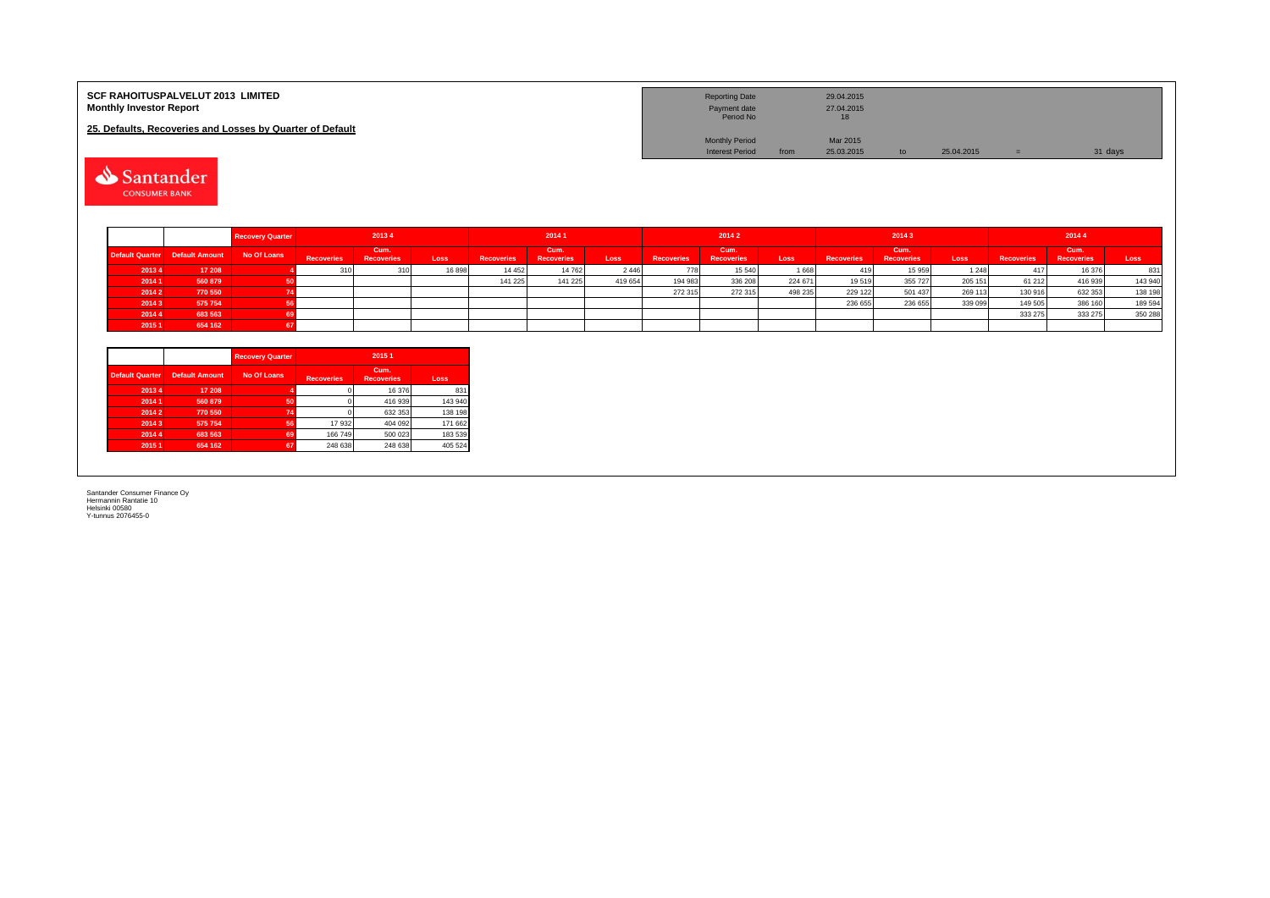| <b>SCF RAHOITUSPALVELUT 2013 LIMITED</b><br><b>Monthly Investor Report</b> | <b>Reporting Date</b><br>Payment date<br>Period No |      | 29.04.2015<br>27.04.2015<br>18 |               |            |         |
|----------------------------------------------------------------------------|----------------------------------------------------|------|--------------------------------|---------------|------------|---------|
| 25. Defaults, Recoveries and Losses by Quarter of Default                  |                                                    |      |                                |               |            |         |
|                                                                            | <b>Monthly Period</b>                              |      | Mar 2015                       |               |            |         |
|                                                                            | <b>Interest Period</b>                             | from | 25.03.2015                     | $\mathsf{to}$ | 25.04.2015 | 31 days |

Santander

|        |                                            | <b>Recovery Quarter</b> |            | 20134                     |       |                   | 20141                     |         |                   | 2014 2                    |         |                   | 20143                     |             |                   | 20144                     |         |
|--------|--------------------------------------------|-------------------------|------------|---------------------------|-------|-------------------|---------------------------|---------|-------------------|---------------------------|---------|-------------------|---------------------------|-------------|-------------------|---------------------------|---------|
|        | Default Quarter Default Amount No Of Loans |                         | Recoveries | Cum.<br><b>Recoveries</b> | Loss  | <b>Recoveries</b> | Cum.<br><b>Recoveries</b> | Loss    | <b>Recoveries</b> | Cum.<br><b>Recoveries</b> | Loss    | <b>Recoveries</b> | Cum.<br><b>Recoveries</b> | <b>Loss</b> | <b>Recoveries</b> | Cum.<br><b>Recoveries</b> | Loss    |
| 20134  | 17 208                                     |                         |            | 310                       | 16898 | 14 4 5 2          | 14 762                    | 2 4 4 6 | 778               | 15 540                    | 1668    |                   | 15 959                    | 1 2 4 8     |                   | 16 376                    | 831     |
| 2014 1 | 560 879                                    |                         |            |                           |       | 141 225           | 141 225                   | 419 654 | 194 983           | 336 208                   | 224 671 | 19519             | 355 727                   | 205 151     | 61 21 2           | 416 939                   | 143 940 |
| 20142  | 770 550                                    |                         |            |                           |       |                   |                           |         | 272 315           | 272 315                   | 498 235 | 229 122           | 501 437                   | 269 113     | 130 916           | 632 353                   | 138 198 |
| 2014 3 | 575 754                                    |                         |            |                           |       |                   |                           |         |                   |                           |         | 236 655           | 236 655                   | 339 099     | 149 505           | 386 160                   | 189 594 |
| 20144  | 683 563                                    |                         |            |                           |       |                   |                           |         |                   |                           |         |                   |                           |             | 333 275           | 333 275                   | 350 288 |
| 2015 1 | 654 162                                    |                         |            |                           |       |                   |                           |         |                   |                           |         |                   |                           |             |                   |                           |         |

|                        |                       | <b>Recovery Quarter</b> | 2015 1            |                           |         |  |  |  |  |
|------------------------|-----------------------|-------------------------|-------------------|---------------------------|---------|--|--|--|--|
| <b>Default Quarter</b> | <b>Default Amount</b> | No Of Loans             | <b>Recoveries</b> | Cum.<br><b>Recoveries</b> | Loss    |  |  |  |  |
| 2013 4                 | 17 208                |                         |                   | 16 376                    | 831     |  |  |  |  |
| 2014 1                 | 560 879               | 50                      |                   | 416 939                   | 143 940 |  |  |  |  |
| 2014 2                 | 770 550               | 74                      |                   | 632 353                   | 138 198 |  |  |  |  |
| 20143                  | 575 754               | 56                      | 17 932            | 404 092                   | 171 662 |  |  |  |  |
| 2014 4                 | 683 563               | 69                      | 166 749           | 500 023                   | 183 539 |  |  |  |  |
| 2015 1                 | 654 162               | 67                      | 248 638           | 248 638                   | 405 524 |  |  |  |  |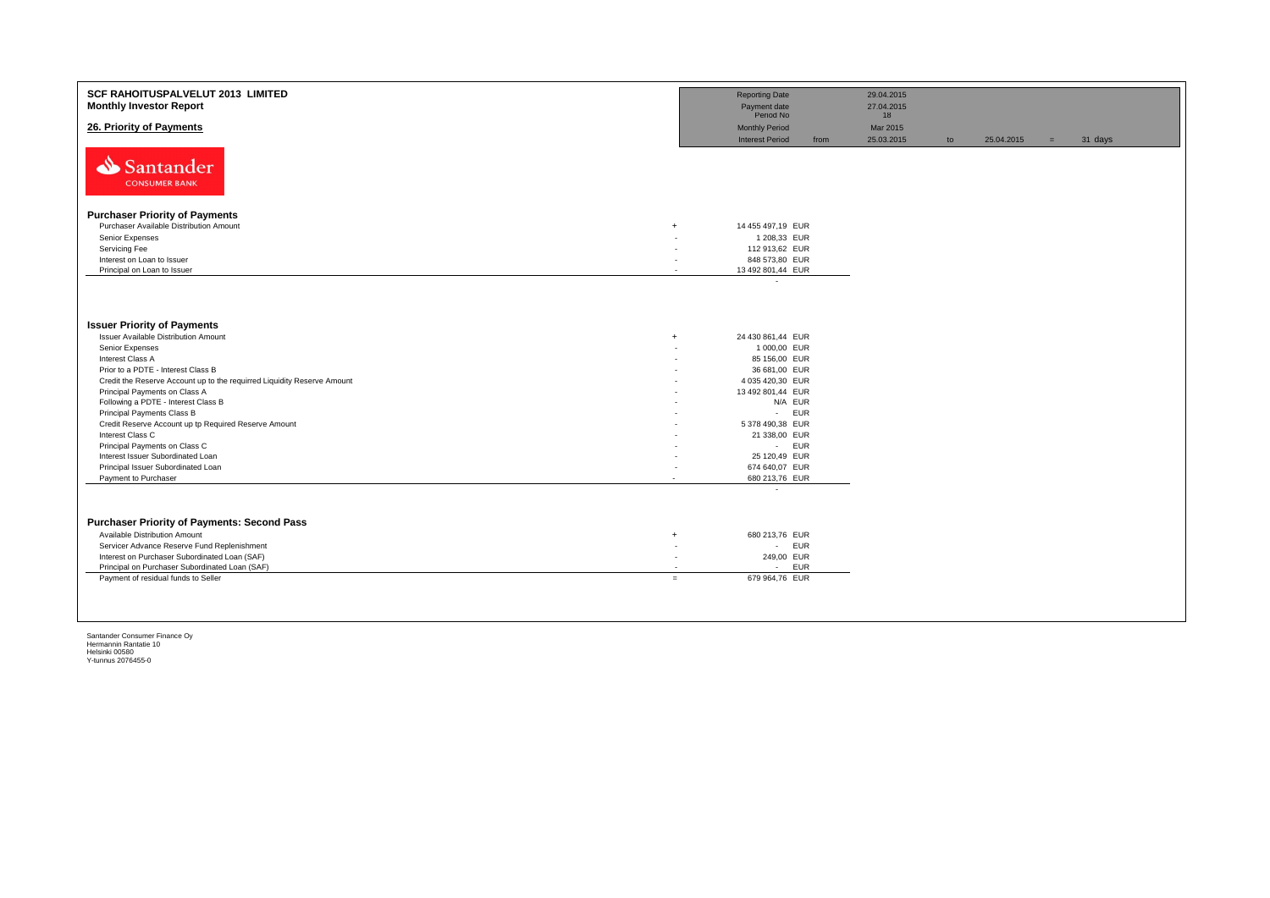| SCF RAHOITUSPALVELUT 2013 LIMITED<br><b>Monthly Investor Report</b>     | <b>Reporting Date</b><br>Payment date | 29.04.2015<br>27.04.2015 |    |            |     |         |
|-------------------------------------------------------------------------|---------------------------------------|--------------------------|----|------------|-----|---------|
| 26. Priority of Payments                                                | Period No<br><b>Monthly Period</b>    | 18<br>Mar 2015           |    |            |     |         |
|                                                                         | <b>Interest Period</b><br>from        | 25.03.2015               | to | 25.04.2015 | $=$ | 31 days |
| Santander                                                               |                                       |                          |    |            |     |         |
| <b>CONSUMER BANK</b>                                                    |                                       |                          |    |            |     |         |
| <b>Purchaser Priority of Payments</b>                                   |                                       |                          |    |            |     |         |
| Purchaser Available Distribution Amount<br>$\overline{+}$               | 14 455 497,19 EUR                     |                          |    |            |     |         |
| Senior Expenses                                                         | 1 208,33 EUR                          |                          |    |            |     |         |
| Servicing Fee                                                           | 112 913,62 EUR                        |                          |    |            |     |         |
| Interest on Loan to Issuer                                              | 848 573,80 EUR                        |                          |    |            |     |         |
| Principal on Loan to Issuer<br>×.                                       | 13 492 801,44 EUR                     |                          |    |            |     |         |
| <b>Issuer Priority of Payments</b>                                      |                                       |                          |    |            |     |         |
| Issuer Available Distribution Amount<br>$\overline{+}$                  | 24 430 861,44 EUR                     |                          |    |            |     |         |
| Senior Expenses                                                         | 1 000,00 EUR                          |                          |    |            |     |         |
| Interest Class A                                                        | 85 156,00 EUR                         |                          |    |            |     |         |
| Prior to a PDTE - Interest Class B                                      | 36 681,00 EUR                         |                          |    |            |     |         |
| Credit the Reserve Account up to the requirred Liquidity Reserve Amount | 4 035 420,30 EUR                      |                          |    |            |     |         |
| Principal Payments on Class A                                           | 13 492 801,44 EUR                     |                          |    |            |     |         |
| Following a PDTE - Interest Class B                                     | N/A EUR                               |                          |    |            |     |         |
| Principal Payments Class B                                              | <b>EUR</b><br>$\sim 100$              |                          |    |            |     |         |
| Credit Reserve Account up tp Required Reserve Amount                    | 5 378 490,38 EUR                      |                          |    |            |     |         |
| Interest Class C                                                        | 21 338,00 EUR                         |                          |    |            |     |         |
| Principal Payments on Class C                                           | - EUR                                 |                          |    |            |     |         |
| Interest Issuer Subordinated Loan                                       | 25 120,49 EUR                         |                          |    |            |     |         |
| Principal Issuer Subordinated Loan                                      | 674 640,07 EUR                        |                          |    |            |     |         |
| Payment to Purchaser<br>$\overline{\phantom{a}}$                        | 680 213,76 EUR                        |                          |    |            |     |         |
|                                                                         | $\overline{\phantom{a}}$              |                          |    |            |     |         |
|                                                                         |                                       |                          |    |            |     |         |
| <b>Purchaser Priority of Payments: Second Pass</b>                      |                                       |                          |    |            |     |         |
| Available Distribution Amount<br>$\overline{+}$                         | 680 213,76 EUR                        |                          |    |            |     |         |
| Servicer Advance Reserve Fund Replenishment<br>٠                        | <b>EUR</b><br>$\sim$                  |                          |    |            |     |         |
| Interest on Purchaser Subordinated Loan (SAF)<br>٠                      | 249,00 EUR                            |                          |    |            |     |         |
| Principal on Purchaser Subordinated Loan (SAF)                          | EUR<br>$\sim$                         |                          |    |            |     |         |
| Payment of residual funds to Seller<br>$=$                              | 679 964,76 EUR                        |                          |    |            |     |         |
|                                                                         |                                       |                          |    |            |     |         |
|                                                                         |                                       |                          |    |            |     |         |
|                                                                         |                                       |                          |    |            |     |         |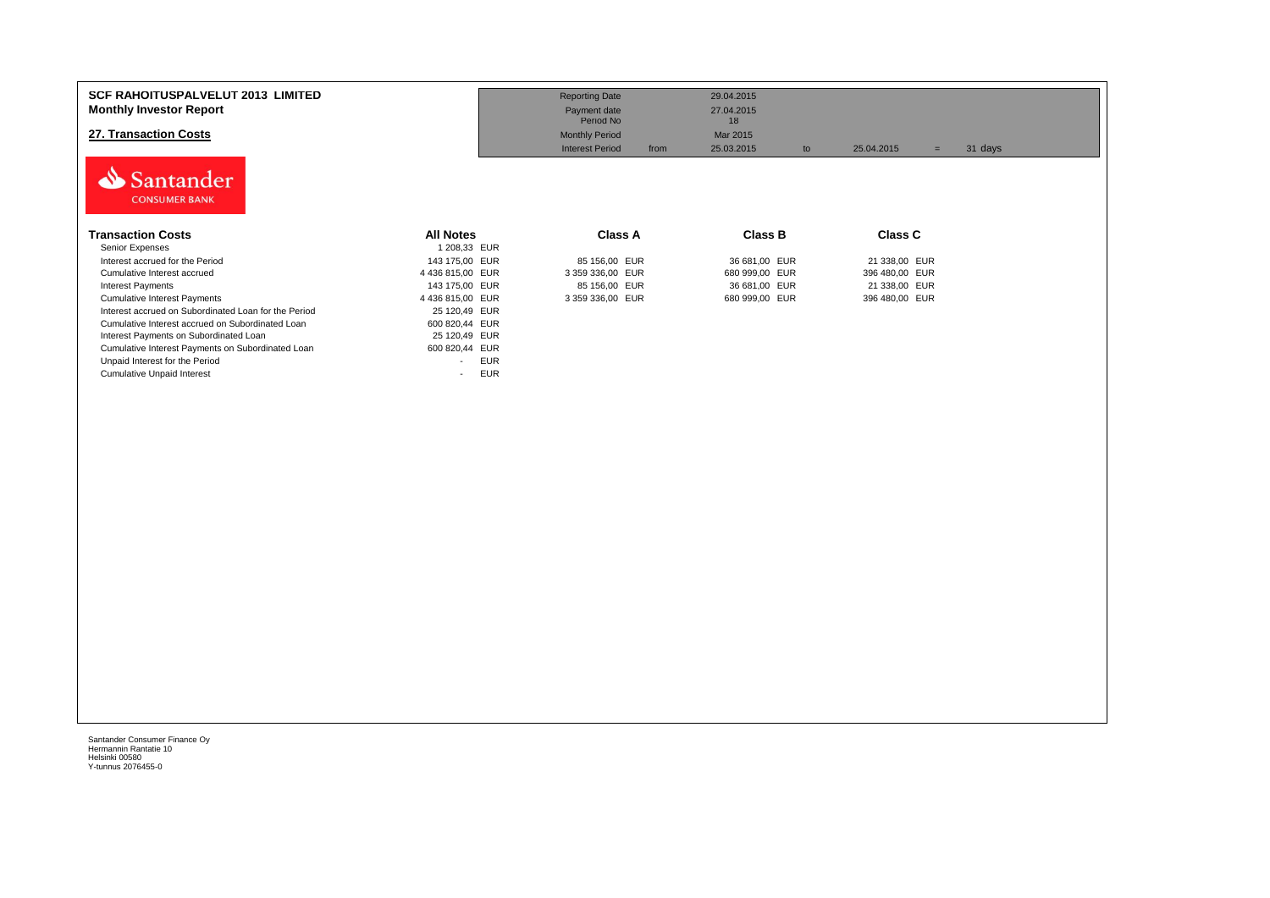| <b>SCF RAHOITUSPALVELUT 2013 LIMITED</b><br><b>Monthly Investor Report</b><br>27. Transaction Costs<br>Santander<br><b>CONSUMER BANK</b> |                                        | <b>Reporting Date</b><br>Payment date<br>Period No<br><b>Monthly Period</b><br><b>Interest Period</b><br>from | 29.04.2015<br>27.04.2015<br>18<br>Mar 2015<br>25.03.2015<br>to | 25.04.2015<br>$=$ | 31 days |
|------------------------------------------------------------------------------------------------------------------------------------------|----------------------------------------|---------------------------------------------------------------------------------------------------------------|----------------------------------------------------------------|-------------------|---------|
| <b>Transaction Costs</b>                                                                                                                 | <b>All Notes</b>                       | Class A                                                                                                       | Class B                                                        | <b>Class C</b>    |         |
| Senior Expenses                                                                                                                          | 1 208,33 EUR                           |                                                                                                               |                                                                |                   |         |
| Interest accrued for the Period                                                                                                          | 143 175,00 EUR                         | 85 156,00 EUR                                                                                                 | 36 681,00 EUR                                                  | 21 338,00 EUR     |         |
| Cumulative Interest accrued                                                                                                              | 4 436 815,00 EUR                       | 3 359 336,00 EUR                                                                                              | 680 999,00 EUR                                                 | 396 480,00 EUR    |         |
| <b>Interest Payments</b>                                                                                                                 | 143 175,00 EUR                         | 85 156,00 EUR                                                                                                 | 36 681,00 EUR                                                  | 21 338,00 EUR     |         |
| <b>Cumulative Interest Payments</b>                                                                                                      | 4 436 815,00 EUR                       | 3 359 336,00 EUR                                                                                              | 680 999,00 EUR                                                 | 396 480,00 EUR    |         |
| Interest accrued on Subordinated Loan for the Period                                                                                     | 25 120,49 EUR                          |                                                                                                               |                                                                |                   |         |
| Cumulative Interest accrued on Subordinated Loan                                                                                         | 600 820,44 EUR                         |                                                                                                               |                                                                |                   |         |
| Interest Payments on Subordinated Loan                                                                                                   | 25 120,49 EUR                          |                                                                                                               |                                                                |                   |         |
| Cumulative Interest Payments on Subordinated Loan                                                                                        | 600 820,44 EUR                         |                                                                                                               |                                                                |                   |         |
| Unpaid Interest for the Period                                                                                                           | <b>EUR</b><br>$\overline{\phantom{a}}$ |                                                                                                               |                                                                |                   |         |
| <b>Cumulative Unpaid Interest</b>                                                                                                        | <b>EUR</b><br>$\overline{\phantom{a}}$ |                                                                                                               |                                                                |                   |         |